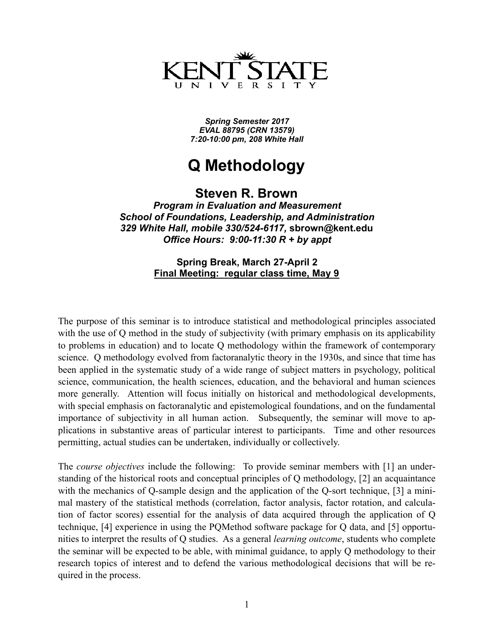

*Spring Semester 2017 EVAL 88795 (CRN 13579) 7:20-10:00 pm, 208 White Hall* 

# **Q Methodology**

**Steven R. Brown** 

*Program in Evaluation and Measurement School of Foundations, Leadership, and Administration 329 White Hall, mobile 330/524-6117,* **[sbrown@kent.edu](mailto:sbrown@kent.edu)** *Office Hours: 9:00-11:30 R + by appt* 

### **Spring Break, March 27-April 2 Final Meeting: regular class time, May 9**

The purpose of this seminar is to introduce statistical and methodological principles associated with the use of Q method in the study of subjectivity (with primary emphasis on its applicability to problems in education) and to locate Q methodology within the framework of contemporary science. Q methodology evolved from factoranalytic theory in the 1930s, and since that time has been applied in the systematic study of a wide range of subject matters in psychology, political science, communication, the health sciences, education, and the behavioral and human sciences more generally. Attention will focus initially on historical and methodological developments, with special emphasis on factoranalytic and epistemological foundations, and on the fundamental importance of subjectivity in all human action. Subsequently, the seminar will move to applications in substantive areas of particular interest to participants. Time and other resources permitting, actual studies can be undertaken, individually or collectively.

The *course objectives* include the following: To provide seminar members with [1] an understanding of the historical roots and conceptual principles of Q methodology, [2] an acquaintance with the mechanics of Q-sample design and the application of the Q-sort technique, [3] a minimal mastery of the statistical methods (correlation, factor analysis, factor rotation, and calculation of factor scores) essential for the analysis of data acquired through the application of Q technique, [4] experience in using the PQMethod software package for Q data, and [5] opportunities to interpret the results of Q studies. As a general *learning outcome*, students who complete the seminar will be expected to be able, with minimal guidance, to apply Q methodology to their research topics of interest and to defend the various methodological decisions that will be required in the process.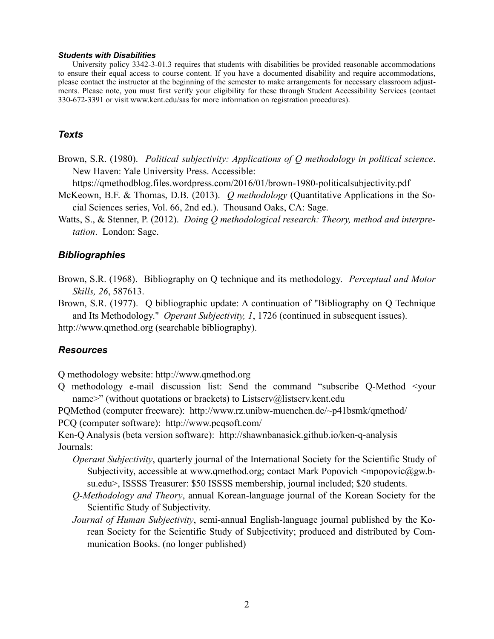#### *Students with Disabilities*

 University policy 3342-3-01.3 requires that students with disabilities be provided reasonable accommodations to ensure their equal access to course content. If you have a documented disability and require accommodations, please contact the instructor at the beginning of the semester to make arrangements for necessary classroom adjustments. Please note, you must first verify your eligibility for these through Student Accessibility Services (contact 330-672-3391 or visit [www.kent.edu/sas](http://www.registrars.kent.edu/disability/) for more information on registration procedures).

### *Texts*

Brown, S.R. (1980). *Political subjectivity: Applications of Q methodology in political science*. New Haven: Yale University Press. Accessible:

https://qmethodblog.files.wordpress.com/2016/01/brown-1980-politicalsubjectivity.pdf

- McKeown, B.F. & Thomas, D.B. (2013). *Q methodology* (Quantitative Applications in the Social Sciences series, Vol. 66, 2nd ed.). Thousand Oaks, CA: Sage.
- Watts, S., & Stenner, P. (2012). *Doing Q methodological research: Theory, method and interpretation*. London: Sage.

#### *Bibliographies*

Brown, S.R. (1968). Bibliography on Q technique and its methodology. *Perceptual and Motor Skills, 26*, 587613.

Brown, S.R. (1977). Q bibliographic update: A continuation of "Bibliography on Q Technique and Its Methodology." *Operant Subjectivity, 1*, 1726 (continued in subsequent issues).

http://www.qmethod.org (searchable bibliography).

#### *Resources*

Q methodology website: http://www.qmethod.org

Q methodology e-mail discussion list: Send the command "subscribe Q-Method <your name>" (without quotations or brackets) to Listserv@listserv.kent.edu

PQMethod (computer freeware): http://www.rz.unibw-muenchen.de/~p41bsmk/qmethod/ PCQ (computer software): http://www.pcqsoft.com/

Ken-Q Analysis (beta version software): http://shawnbanasick.github.io/ken-q-analysis Journals:

- *Operant Subjectivity*, quarterly journal of the International Society for the Scientific Study of Subjectivity, accessible at www.qmethod.org; contact Mark Popovich  $\leq$ mpopovic $@g$ gw.bsu.edu>, ISSSS Treasurer: \$50 ISSSS membership, journal included; \$20 students.
- *Q-Methodology and Theory*, annual Korean-language journal of the Korean Society for the Scientific Study of Subjectivity.
- *Journal of Human Subjectivity*, semi-annual English-language journal published by the Korean Society for the Scientific Study of Subjectivity; produced and distributed by Communication Books. (no longer published)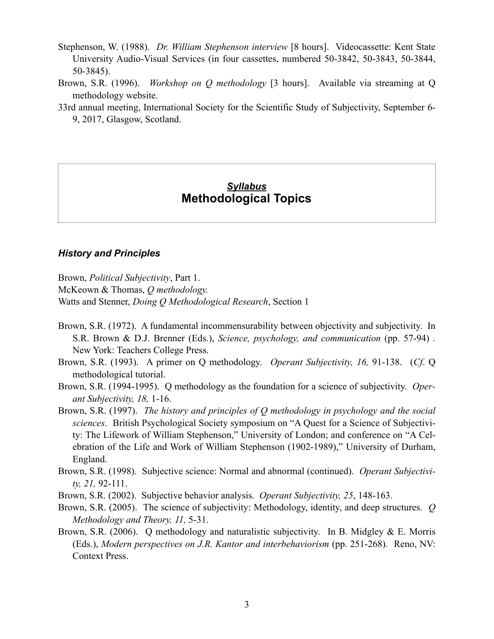- Stephenson, W. (1988). *Dr. William Stephenson interview* [8 hours]. Videocassette: Kent State University Audio-Visual Services (in four cassettes, numbered 50-3842, 50-3843, 50-3844, 50-3845).
- Brown, S.R. (1996). *Workshop on Q methodology* [3 hours]. Available via streaming at Q methodology website.
- 33rd annual meeting, International Society for the Scientific Study of Subjectivity, September 6- 9, 2017, Glasgow, Scotland.

### *Syllabus* **Methodological Topics**

### *History and Principles*

Brown, *Political Subjectivity*, Part 1.

McKeown & Thomas, *Q methodology.*

Watts and Stenner, *Doing Q Methodological Research*, Section 1

- Brown, S.R. (1972). A fundamental incommensurability between objectivity and subjectivity. In S.R. Brown & D.J. Brenner (Eds.), *Science, psychology, and communication* (pp. 57-94) *.*  New York: Teachers College Press.
- Brown, S.R. (1993). A primer on Q methodology. *Operant Subjectivity, 16,* 91-138. (*Cf*. Q methodological tutorial.
- Brown, S.R. (1994-1995). Q methodology as the foundation for a science of subjectivity. *Operant Subjectivity, 18,* 1-16.
- Brown, S.R. (1997). *The history and principles of Q methodology in psychology and the social sciences*. British Psychological Society symposium on "A Quest for a Science of Subjectivity: The Lifework of William Stephenson," University of London; and conference on "A Celebration of the Life and Work of William Stephenson (1902-1989)," University of Durham, England.
- Brown, S.R. (1998). Subjective science: Normal and abnormal (continued). *Operant Subjectivity, 21,* 92-111.
- Brown, S.R. (2002). Subjective behavior analysis*. Operant Subjectivity, 25*, 148-163.
- Brown, S.R. (2005). The science of subjectivity: Methodology, identity, and deep structures. *Q Methodology and Theory, 11,* 5-31.
- Brown, S.R. (2006). Q methodology and naturalistic subjectivity. In B. Midgley & E. Morris (Eds.), *Modern perspectives on J.R. Kantor and interbehaviorism* (pp. 251-268). Reno, NV: Context Press.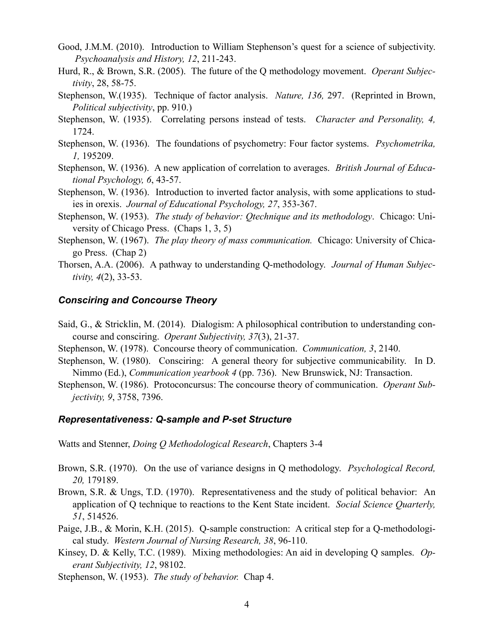- Good, J.M.M. (2010). Introduction to William Stephenson's quest for a science of subjectivity. *Psychoanalysis and History, 12*, 211-243.
- Hurd, R., & Brown, S.R. (2005). The future of the Q methodology movement. *Operant Subjectivity*, 28, 58-75.
- Stephenson, W.(1935). Technique of factor analysis. *Nature, 136,* 297. (Reprinted in Brown, *Political subjectivity*, pp. 910.)
- Stephenson, W. (1935). Correlating persons instead of tests. *Character and Personality, 4,* 1724.
- Stephenson, W. (1936). The foundations of psychometry: Four factor systems. *Psychometrika, 1,* 195209.
- Stephenson, W. (1936). A new application of correlation to averages. *British Journal of Educational Psychology, 6*, 43-57.
- Stephenson, W. (1936). Introduction to inverted factor analysis, with some applications to studies in orexis. *Journal of Educational Psychology, 27*, 353-367.
- Stephenson, W. (1953). *The study of behavior: Qtechnique and its methodology*. Chicago: University of Chicago Press. (Chaps 1, 3, 5)
- Stephenson, W. (1967). *The play theory of mass communication.* Chicago: University of Chicago Press. (Chap 2)
- Thorsen, A.A. (2006). A pathway to understanding Q-methodology. *Journal of Human Subjectivity, 4*(2), 33-53.

### *Consciring and Concourse Theory*

- Said, G., & Stricklin, M. (2014). Dialogism: A philosophical contribution to understanding concourse and consciring. *Operant Subjectivity, 37*(3), 21-37.
- Stephenson, W. (1978). Concourse theory of communication. *Communication, 3*, 2140.
- Stephenson, W. (1980). Consciring: A general theory for subjective communicability. In D. Nimmo (Ed.), *Communication yearbook 4* (pp. 736). New Brunswick, NJ: Transaction.
- Stephenson, W. (1986). Protoconcursus: The concourse theory of communication. *Operant Subjectivity, 9*, 3758, 7396.

### *Representativeness: Q-sample and P-set Structure*

Watts and Stenner, *Doing Q Methodological Research*, Chapters 3-4

- Brown, S.R. (1970). On the use of variance designs in Q methodology. *Psychological Record, 20,* 179189.
- Brown, S.R. & Ungs, T.D. (1970). Representativeness and the study of political behavior: An application of Q technique to reactions to the Kent State incident. *Social Science Quarterly, 51*, 514526.
- Paige, J.B., & Morin, K.H. (2015). Q-sample construction: A critical step for a Q-methodological study. *Western Journal of Nursing Research, 38*, 96-110.
- Kinsey, D. & Kelly, T.C. (1989). Mixing methodologies: An aid in developing Q samples. *Operant Subjectivity, 12*, 98102.

Stephenson, W. (1953). *The study of behavior.* Chap 4.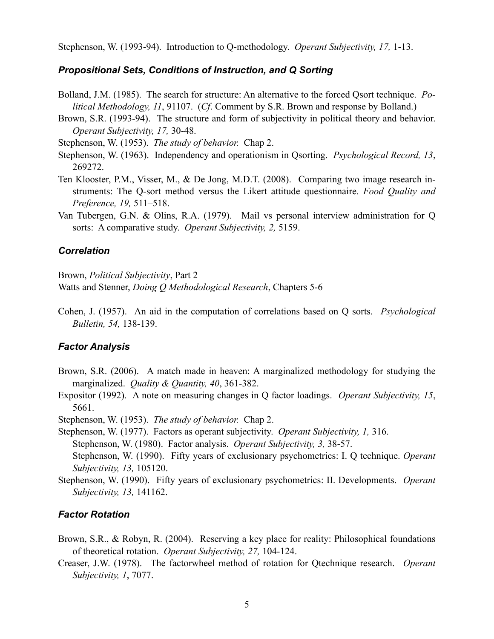Stephenson, W. (1993-94). Introduction to Q-methodology. *Operant Subjectivity, 17,* 1-13.

### *Propositional Sets, Conditions of Instruction, and Q Sorting*

- Bolland, J.M. (1985). The search for structure: An alternative to the forced Qsort technique. *Political Methodology, 11*, 91107. (*Cf*. Comment by S.R. Brown and response by Bolland.)
- Brown, S.R. (1993-94). The structure and form of subjectivity in political theory and behavior. *Operant Subjectivity, 17,* 30-48.
- Stephenson, W. (1953). *The study of behavior.* Chap 2.
- Stephenson, W. (1963). Independency and operationism in Qsorting. *Psychological Record, 13*, 269272.
- Ten Klooster, P.M., Visser, M., & De Jong, M.D.T. (2008). Comparing two image research instruments: The Q-sort method versus the Likert attitude questionnaire. *Food Quality and Preference, 19,* 511–518.
- Van Tubergen, G.N. & Olins, R.A. (1979). Mail vs personal interview administration for Q sorts: A comparative study. *Operant Subjectivity, 2,* 5159.

#### *Correlation*

Brown, *Political Subjectivity*, Part 2

Watts and Stenner, *Doing Q Methodological Research*, Chapters 5-6

Cohen, J. (1957). An aid in the computation of correlations based on Q sorts. *Psychological Bulletin, 54,* 138-139.

### *Factor Analysis*

- Brown, S.R. (2006). A match made in heaven: A marginalized methodology for studying the marginalized. *Quality & Quantity, 40*, 361-382.
- Expositor (1992). A note on measuring changes in Q factor loadings. *Operant Subjectivity, 15*, 5661.

Stephenson, W. (1953). *The study of behavior.* Chap 2.

Stephenson, W. (1977). Factors as operant subjectivity. *Operant Subjectivity, 1,* 316. Stephenson, W. (1980). Factor analysis. *Operant Subjectivity, 3,* 38-57. Stephenson, W. (1990). Fifty years of exclusionary psychometrics: I. Q technique. *Operant* 

*Subjectivity, 13,* 105120.

Stephenson, W. (1990). Fifty years of exclusionary psychometrics: II. Developments. *Operant Subjectivity, 13,* 141162.

### *Factor Rotation*

- Brown, S.R., & Robyn, R. (2004). Reserving a key place for reality: Philosophical foundations of theoretical rotation. *Operant Subjectivity, 27,* 104-124.
- Creaser, J.W. (1978). The factorwheel method of rotation for Qtechnique research. *Operant Subjectivity, 1*, 7077.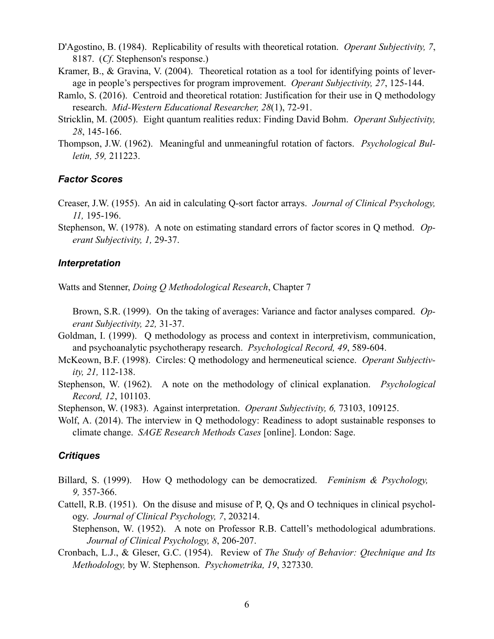D'Agostino, B. (1984). Replicability of results with theoretical rotation. *Operant Subjectivity, 7*, 8187. (*Cf*. Stephenson's response.)

- Kramer, B., & Gravina, V. (2004). Theoretical rotation as a tool for identifying points of leverage in people's perspectives for program improvement. *Operant Subjectivity, 27*, 125-144.
- Ramlo, S. (2016). Centroid and theoretical rotation: Justification for their use in Q methodology research. *Mid-Western Educational Researcher, 28*(1), 72-91.
- Stricklin, M. (2005). Eight quantum realities redux: Finding David Bohm. *Operant Subjectivity, 28*, 145-166.
- Thompson, J.W. (1962). Meaningful and unmeaningful rotation of factors. *Psychological Bulletin, 59,* 211223.

### *Factor Scores*

- Creaser, J.W. (1955). An aid in calculating Q-sort factor arrays. *Journal of Clinical Psychology, 11,* 195-196.
- Stephenson, W. (1978). A note on estimating standard errors of factor scores in Q method. *Operant Subjectivity, 1,* 29-37.

### *Interpretation*

Watts and Stenner, *Doing Q Methodological Research*, Chapter 7

 Brown, S.R. (1999). On the taking of averages: Variance and factor analyses compared. *Operant Subjectivity, 22,* 31-37.

- Goldman, I. (1999). Q methodology as process and context in interpretivism, communication, and psychoanalytic psychotherapy research. *Psychological Record, 49*, 589-604.
- McKeown, B.F. (1998). Circles: Q methodology and hermeneutical science. *Operant Subjectivity, 21,* 112-138.
- Stephenson, W. (1962). A note on the methodology of clinical explanation. *Psychological Record, 12*, 101103.
- Stephenson, W. (1983). Against interpretation. *Operant Subjectivity, 6,* 73103, 109125.
- Wolf, A. (2014). The interview in Q methodology: Readiness to adopt sustainable responses to climate change. *SAGE Research Methods Cases* [online]. London: Sage.

### *Critiques*

- Billard, S. (1999). How Q methodology can be democratized. *Feminism & Psychology, 9,* 357-366.
- Cattell, R.B. (1951). On the disuse and misuse of P, Q, Qs and O techniques in clinical psychology. *Journal of Clinical Psychology, 7*, 203214.

Stephenson, W. (1952). A note on Professor R.B. Cattell's methodological adumbrations. *Journal of Clinical Psychology, 8*, 206-207.

Cronbach, L.J., & Gleser, G.C. (1954). Review of *The Study of Behavior: Qtechnique and Its Methodology,* by W. Stephenson. *Psychometrika, 19*, 327330.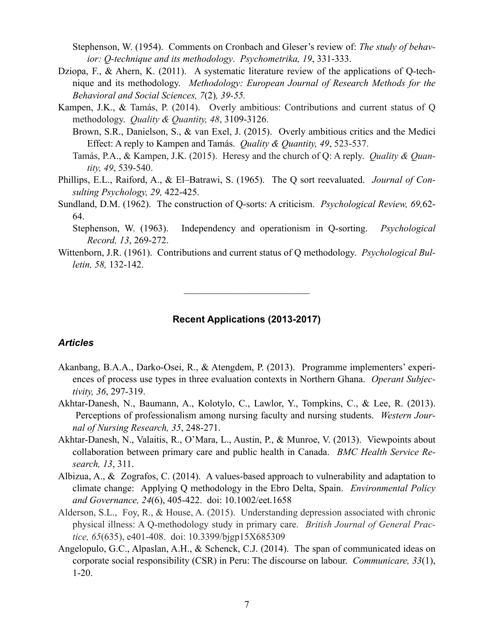Stephenson, W. (1954). Comments on Cronbach and Gleser's review of: *The study of behavior: Q-technique and its methodology*. *Psychometrika, 19*, 331-333.

- Dziopa, F., & Ahern, K. (2011). A systematic literature review of the applications of Q-technique and its methodology. *Methodology: European Journal of Research Methods for the Behavioral and Social Sciences, 7*(2)*, 39-55.*
- Kampen, J.K., & Tamás, P. (2014). Overly ambitious: Contributions and current status of Q methodology. *Quality & Quantity, 48*, 3109-3126.

Brown, S.R., Danielson, S., & van Exel, J. (2015). Overly ambitious critics and the Medici Effect: A reply to Kampen and Tamás. *Quality & Quantity, 49*, 523-537.

- Tamás, P.A., & Kampen, J.K. (2015). Heresy and the church of Q: A reply. *Quality & Quantity, 49*, 539-540.
- Phillips, E.L., Raiford, A., & El–Batrawi, S. (1965). The Q sort reevaluated. *Journal of Consulting Psychology, 29,* 422-425.
- Sundland, D.M. (1962). The construction of Q-sorts: A criticism. *Psychological Review, 69,*62- 64.

Stephenson, W. (1963). Independency and operationism in Q-sorting. *Psychological Record, 13*, 269-272.

Wittenborn, J.R. (1961). Contributions and current status of Q methodology. *Psychological Bulletin, 58,* 132-142.

 $\mathcal{L}_\text{max}$  , where  $\mathcal{L}_\text{max}$  and  $\mathcal{L}_\text{max}$ 

### **Recent Applications (2013-2017)**

### *Articles*

- Akanbang, B.A.A., Darko-Osei, R., & Atengdem, P. (2013). Programme implementers' experiences of process use types in three evaluation contexts in Northern Ghana. *Operant Subjectivity, 36*, 297-319.
- Akhtar-Danesh, N., Baumann, A., Kolotylo, C., Lawlor, Y., Tompkins, C., & Lee, R. (2013). Perceptions of professionalism among nursing faculty and nursing students. *Western Journal of Nursing Research, 35*, 248-271.
- Akhtar-Danesh, N., Valaitis, R., O'Mara, L., Austin, P., & Munroe, V. (2013). Viewpoints about collaboration between primary care and public health in Canada. *BMC Health Service Research, 13*, 311.
- Albizua, A., & Zografos, C. (2014). A values-based approach to vulnerability and adaptation to climate change: Applying Q methodology in the Ebro Delta, Spain. *Environmental Policy and Governance, 24*(6), 405-422. doi: 10.1002/eet.1658
- Alderson, S.L., Foy, R., & House, A. (2015). Understanding depression associated with chronic physical illness: A Q-methodology study in primary care. *British Journal of General Practice, 65*(635), e401-408. doi: 10.3399/bjgp15X685309
- Angelopulo, G.C., Alpaslan, A.H., & Schenck, C.J. (2014). The span of communicated ideas on corporate social responsibility (CSR) in Peru: The discourse on labour. *Communicare, 33*(1), 1-20.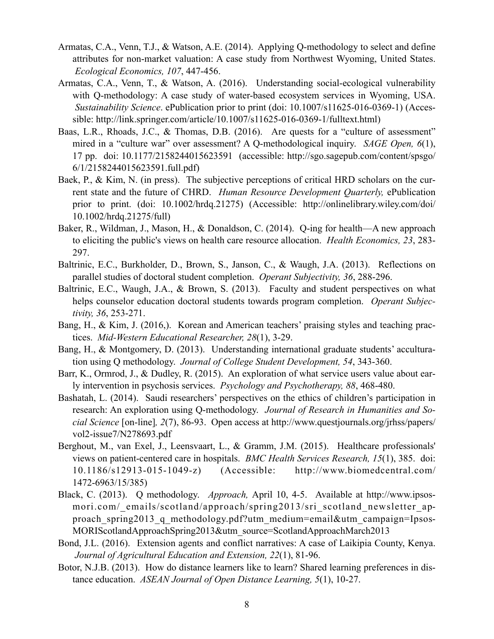- Armatas, C.A., Venn, T.J., & Watson, A.E. (2014). Applying Q-methodology to select and define attributes for non-market valuation: A case study from Northwest Wyoming, United States.  *Ecological Economics, 107*, 447-456.
- Armatas, C.A., Venn, T., & Watson, A. (2016). Understanding social-ecological vulnerability with Q-methodology: A case study of water-based ecosystem services in Wyoming, USA. *Sustainability Science*. ePublication prior to print (doi: 10.1007/s11625-016-0369-1) (Accessible: [http://link.springer.com/article/10.1007/s11625-016-0369-1/fulltext.html\)](http://link.springer.com/article/10.1007/s11625-016-0369-1/fulltext.html)
- Baas, L.R., Rhoads, J.C., & Thomas, D.B. (2016). Are quests for a "culture of assessment" mired in a "culture war" over assessment? A Q-methodological inquiry. *SAGE Open, 6*(1), 17 pp. doi: 10.1177/2158244015623591 (accessible: [http://sgo.sagepub.com/content/spsgo/](http://sgo.sagepub.com/content/spsgo/6/1/2158244015623591.full.pdf) [6/1/2158244015623591.full.pdf](http://sgo.sagepub.com/content/spsgo/6/1/2158244015623591.full.pdf))
- Baek, P., & Kim, N. (in press). The subjective perceptions of critical HRD scholars on the current state and the future of CHRD. *Human Resource Development Quarterly,* ePublication prior to print. (doi: 10.1002/hrdq.21275) (Accessible: [http://onlinelibrary.wiley.com/doi/](http://onlinelibrary.wiley.com/doi/10.1002/hrdq.21275/full) [10.1002/hrdq.21275/full](http://onlinelibrary.wiley.com/doi/10.1002/hrdq.21275/full))
- Baker, R., Wildman, J., Mason, H., & Donaldson, C. (2014). Q-ing for health—A new approach to eliciting the public's views on health care resource allocation. *Health Economics, 23*, 283- 297.
- Baltrinic, E.C., Burkholder, D., Brown, S., Janson, C., & Waugh, J.A. (2013). Reflections on parallel studies of doctoral student completion. *Operant Subjectivity, 36*, 288-296.
- Baltrinic, E.C., Waugh, J.A., & Brown, S. (2013). Faculty and student perspectives on what helps counselor education doctoral students towards program completion. *Operant Subjectivity, 36*, 253-271.
- Bang, H., & Kim, J. (2016,). Korean and American teachers' praising styles and teaching practices. *Mid-Western Educational Researcher, 28*(1), 3-29.
- Bang, H., & Montgomery, D. (2013). Understanding international graduate students' acculturation using Q methodology. *Journal of College Student Development, 54*, 343-360.
- Barr, K., Ormrod, J., & Dudley, R. (2015). An exploration of what service users value about early intervention in psychosis services. *Psychology and Psychotherapy, 88*, 468-480.
- Bashatah, L. (2014). Saudi researchers' perspectives on the ethics of children's participation in research: An exploration using Q-methodology. *Journal of Research in Humanities and Social Science* [on-line]*, 2*(7), 86-93. Open access at [http://www.questjournals.org/jrhss/papers/](http://www.questjournals.org/jrhss/papers/vol2-issue7/N278693.pdf) [vol2-issue7/N278693.pdf](http://www.questjournals.org/jrhss/papers/vol2-issue7/N278693.pdf)
- Berghout, M., van Exel, J., Leensvaart, L., & Gramm, J.M. (2015). Healthcare professionals' views on patient-centered care in hospitals. *BMC Health Services Research, 15*(1), 385. doi: 10.1186/s12913-015-1049-z) (Accessible: [http://www.biomedcentral.com/](http://www.biomedcentral.com/1472-6963/15/385) [1472-6963/15/385\)](http://www.biomedcentral.com/1472-6963/15/385)
- Black, C. (2013). Q methodology. *Approach,* April 10, 4-5. Available at [http://www.ipsos](http://www.ipsos-mori.com/_emails/scotland/approach/spring2013/sri_scotland_newsletter_approach_spring2013_q_methodology.pdf?utm_medium=email&utm_campaign=IpsosMORIScotlandApproachSpring2013&utm_source=ScotlandApproachMarch2013)mori.com/ emails/scotland/approach/spring2013/sri scotland newsletter approach spring2013 q methodology.pdf?utm medium=email&utm campaign=Ipsos-[MORIScotlandApproachSpring2013&utm\\_source=ScotlandApproachMarch2013](http://www.ipsos-mori.com/_emails/scotland/approach/spring2013/sri_scotland_newsletter_approach_spring2013_q_methodology.pdf?utm_medium=email&utm_campaign=IpsosMORIScotlandApproachSpring2013&utm_source=ScotlandApproachMarch2013)
- Bond, J.L. (2016). [Extension agents and conflict narratives: A case of Laikipia County, Kenya.](http://www.tandfonline.com/doi/full/10.1080/1389224X.2014.997256) *Journal of Agricultural Education and Extension, 22*(1), 81-96.
- Botor, N.J.B. (2013). How do distance learners like to learn? Shared learning preferences in distance education. *ASEAN Journal of Open Distance Learning, 5*(1), 10-27.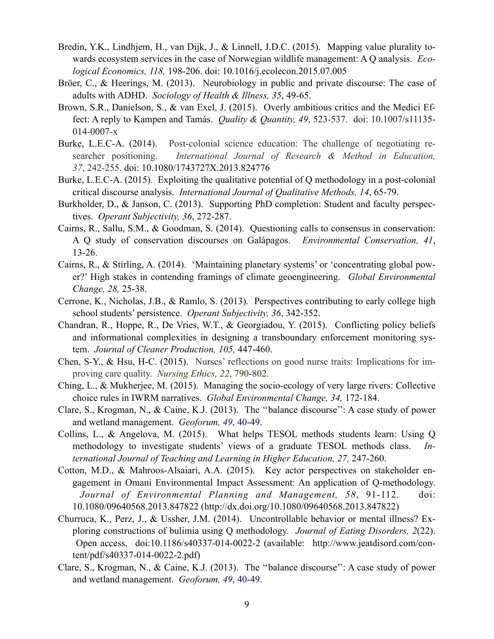- Bredin, Y.K., Lindhjem, H., van Dijk, J., & Linnell, J.D.C. (2015). Mapping value plurality towards ecosystem services in the case of Norwegian wildlife management: A Q analysis. *Ecological Economics, 118,* 198-206. doi: 10.1016/j.ecolecon.2015.07.005
- Bröer, C., & Heerings, M. (2013). Neurobiology in public and private discourse: The case of adults with ADHD. *Sociology of Health & Illness, 35*, 49-65.
- Brown, S.R., Danielson, S., & van Exel, J. (2015). Overly ambitious critics and the Medici Effect: A reply to Kampen and Tamás. *Quality & Quantity, 49*, 523-537. doi: 10.1007/s11135- 014-0007-x
- Burke, L.E.C-A. (2014). Post-colonial science education: The challenge of negotiating researcher positioning. *International Journal of Research & Method in Education, 37*, 242-255. doi: 10.1080/1743727X.2013.824776
- Burke, L.E.C-A. (2015). Exploiting the qualitative potential of Q methodology in a post-colonial critical discourse analysis. *International Journal of Qualitative Methods, 14*, 65-79.
- Burkholder, D., & Janson, C. (2013). Supporting PhD completion: Student and faculty perspectives. *Operant Subjectivity, 36*, 272-287.
- Cairns, R., Sallu, S.M., & Goodman, S. (2014). Questioning calls to consensus in conservation: A Q study of conservation discourses on Galápagos. *Environmental Conservation, 41*, 13-26.
- Cairns, R., & Stirling, A. (2014). 'Maintaining planetary systems' or 'concentrating global power?' High stakes in contending framings of climate geoengineering. *Global Environmental Change, 28,* 25-38.
- Cerrone, K., Nicholas, J.B., & Ramlo, S. (2013). Perspectives contributing to early college high school students' persistence. *Operant Subjectivity, 36*, 342-352.
- Chandran, R., Hoppe, R., De Vries, W.T., & Georgiadou, Y. (2015). Conflicting policy beliefs and informational complexities in designing a transboundary enforcement monitoring system. *Journal of Cleaner Production, 105,* 447-460.
- Chen, S-Y., & Hsu, H-C. (2015). Nurses' reflections on good nurse traits: Implications for improving care quality. *Nursing Ethics, 22*, 790-802.
- Ching, L., & Mukherjee, M. (2015). Managing the socio-ecology of very large rivers: Collective choice rules in IWRM narratives. *Global Environmental Change, 34,* 172-184.
- Clare, S., Krogman, N., & Caine, K.J. (2013). The ''balance discourse'': A case study of power and wetland management. *Geoforum, 49*, 40-49.
- Collins, L., & Angelova, M. (2015). What helps TESOL methods students learn: Using Q methodology to investigate students' views of a graduate TESOL methods class. *International Journal of Teaching and Learning in Higher Education, 27,* 247-260.
- Cotton, M.D., & Mahroos-Alsaiari, A.A. (2015). Key actor perspectives on stakeholder engagement in Omani Environmental Impact Assessment: An application of Q-methodology. *Journal of Environmental Planning and Management, 58*, 91-112*.* doi: 10.1080/09640568.2013.847822 [\(http://dx.doi.org/10.1080/09640568.2013.847822\)](http://dx.doi.org/10.1080/09640568.2013.847822)
- Churruca, K., Perz, J., & Ussher, J.M. (2014). Uncontrollable behavior or mental illness? Exploring constructions of bulimia using Q methodology. *Journal of Eating Disorders, 2*(22). Open access, doi:10.1186/s40337-014-0022-2 (available: [http://www.jeatdisord.com/con](http://www.jeatdisord.com/content/pdf/s40337-014-0022-2.pdf)[tent/pdf/s40337-014-0022-2.pdf](http://www.jeatdisord.com/content/pdf/s40337-014-0022-2.pdf))
- Clare, S., Krogman, N., & Caine, K.J. (2013). The ''balance discourse'': A case study of power and wetland management. *Geoforum, 49*, 40-49.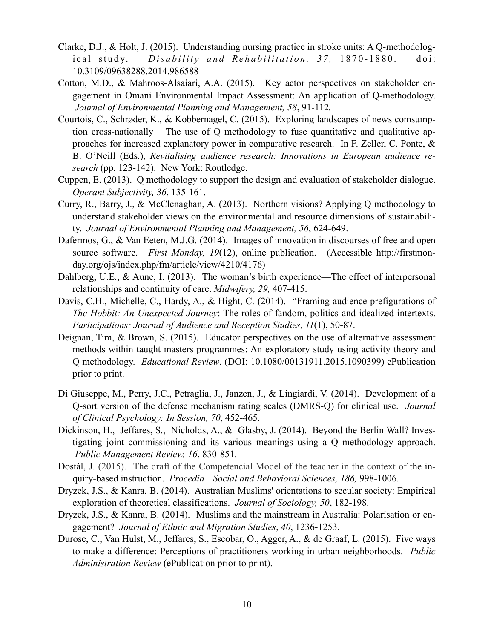- Clarke, D.J., & Holt, J. (2015). Understanding nursing practice in stroke units: A Q-methodological study. *Disability and Rehabilitation*, 37, 1870-1880. doi: 10.3109/09638288.2014.986588
- Cotton, M.D., & Mahroos-Alsaiari, A.A. (2015). Key actor perspectives on stakeholder engagement in Omani Environmental Impact Assessment: An application of Q-methodology. *Journal of Environmental Planning and Management, 58*, 91-112*.*
- Courtois, C., Schrøder, K., & Kobbernagel, C. (2015). Exploring landscapes of news comsumption cross-nationally – The use of Q methodology to fuse quantitative and qualitative approaches for increased explanatory power in comparative research. In F. Zeller, C. Ponte, & B. O'Neill (Eds.), *Revitalising audience research: Innovations in European audience research* (pp. 123-142). New York: Routledge.
- Cuppen, E. (2013). Q methodology to support the design and evaluation of stakeholder dialogue. *Operant Subjectivity, 36*, 135-161.
- Curry, R., Barry, J., & McClenaghan, A. (2013). Northern visions? Applying Q methodology to understand stakeholder views on the environmental and resource dimensions of sustainability. *Journal of Environmental Planning and Management, 56*, 624-649.
- Dafermos, G., & Van Eeten, M.J.G. (2014). Images of innovation in discourses of free and open source software. *First Monday, 19*(12), online publication. (Accessible [http://firstmon](http://firstmonday.org/ojs/index.php/fm/article/view/4210/4176)[day.org/ojs/index.php/fm/article/view/4210/4176\)](http://firstmonday.org/ojs/index.php/fm/article/view/4210/4176)
- Dahlberg, U.E., & Aune, I. (2013). The woman's birth experience—The effect of interpersonal relationships and continuity of care. *Midwifery, 29,* 407-415.
- Davis, C.H., Michelle, C., Hardy, A., & Hight, C. (2014). "Framing audience prefigurations of *The Hobbit: An Unexpected Journey*: The roles of fandom, politics and idealized intertexts. *Participations: Journal of Audience and Reception Studies, 11*(1), 50-87.
- Deignan, Tim, & Brown, S. (2015). Educator perspectives on the use of alternative assessment methods within taught masters programmes: An exploratory study using activity theory and Q methodology. *Educational Review*. (DOI: 10.1080/00131911.2015.1090399) ePublication prior to print.
- Di Giuseppe, M., Perry, J.C., Petraglia, J., Janzen, J., & Lingiardi, V. (2014). Development of a Q-sort version of the defense mechanism rating scales (DMRS-Q) for clinical use. *Journal of Clinical Psychology: In Session, 70*, 452-465.
- Dickinson, H., Jeffares, S., Nicholds, A., & Glasby, J. (2014). Beyond the Berlin Wall? Investigating joint commissioning and its various meanings using a Q methodology approach. *Public Management Review, 16*, 830-851.
- Dostál, J. (2015). The draft of the Competencial Model of the teacher in the context of the inquiry-based instruction. *Procedia—Social and Behavioral Sciences, 186,* 998-1006.
- Dryzek, J.S., & Kanra, B. (2014). Australian Muslims' orientations to secular society: Empirical exploration of theoretical classifications. *Journal of Sociology, 50*, 182-198.
- Dryzek, J.S., & Kanra, B. (2014). Muslims and the mainstream in Australia: Polarisation or engagement? *Journal of Ethnic and Migration Studies*, *40*, 1236-1253.
- Durose, C., Van Hulst, M., Jeffares, S., Escobar, O., Agger, A., & de Graaf, L. (2015). Five ways to make a difference: Perceptions of practitioners working in urban neighborhoods. *Public Administration Review* (ePublication prior to print).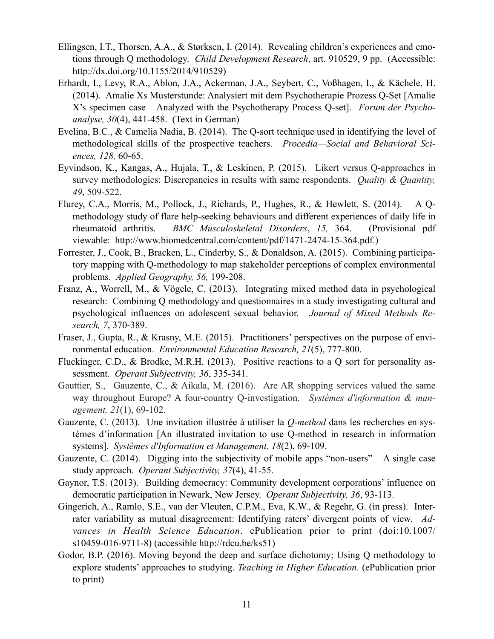- Ellingsen, I.T., Thorsen, A.A., & Størksen, I. (2014). Revealing children's experiences and emotions through Q methodology. *Child Development Research*, art. 910529, 9 pp. (Accessible: <http://dx.doi.org/10.1155/2014/910529>)
- Erhardt, I., Levy, R.A., Ablon, J.A., Ackerman, J.A., Seybert, C., Voßhagen, I., & Kächele, H. (2014). Amalie Xs Musterstunde: Analysiert mit dem Psychotherapie Prozess Q-Set [Amalie X's specimen case – Analyzed with the Psychotherapy Process Q-set]. *Forum der Psychoanalyse, 30*(4), 441-458. (Text in German)
- Evelina, B.C., & Camelia Nadia, B. (2014). The Q-sort technique used in identifying the level of methodological skills of the prospective teachers. *Procedia—Social and Behavioral Sciences, 128,* 60-65.
- Eyvindson, K., Kangas, A., Hujala, T., & Leskinen, P. (2015). Likert versus Q-approaches in survey methodologies: Discrepancies in results with same respondents. *Quality & Quantity, 49*, 509-522.
- Flurey, C.A., Morris, M., Pollock, J., Richards, P., Hughes, R., & Hewlett, S. (2014). A Qmethodology study of flare help-seeking behaviours and different experiences of daily life in rheumatoid arthritis. *BMC Musculoskeletal Disorders*, *15,* 364. (Provisional pdf viewable: <http://www.biomedcentral.com/content/pdf/1471-2474-15-364.pdf>.)
- Forrester, J., Cook, B., Bracken, L., Cinderby, S., & Donaldson, A. (2015). Combining participatory mapping with Q-methodology to map stakeholder perceptions of complex environmental problems. *Applied Geography, 56,* 199-208.
- Franz, A., Worrell, M., & Vögele, C. (2013). Integrating mixed method data in psychological research: Combining Q methodology and questionnaires in a study investigating cultural and psychological influences on adolescent sexual behavior. *Journal of Mixed Methods Research, 7*, 370-389.
- Fraser, J., Gupta, R., & Krasny, M.E. (2015). Practitioners' perspectives on the purpose of environmental education. *Environmental Education Research, 21*(5), 777-800.
- Fluckinger, C.D., & Brodke, M.R.H. (2013). Positive reactions to a Q sort for personality assessment. *Operant Subjectivity, 36*, 335-341.
- Gauttier, S., Gauzente, C., & Aikala, M. (2016). Are AR shopping services valued the same way throughout Europe? A four-country Q-investigation. *Systèmes d'information & management, 21*(1), 69-102.
- Gauzente, C. (2013). Une invitation illustrée à utiliser la *Q-method* dans les recherches en systèmes d'information [An illustrated invitation to use Q-method in research in information systems]. *Systèmes d'Information et Management, 18*(2), 69-109.
- Gauzente, C. (2014). Digging into the subjectivity of mobile apps "non-users" A single case study approach. *Operant Subjectivity, 37*(4), 41-55.
- Gaynor, T.S. (2013). Building democracy: Community development corporations' influence on democratic participation in Newark, New Jersey. *Operant Subjectivity, 36*, 93-113.
- Gingerich, A., Ramlo, S.E., van der Vleuten, C.P.M., Eva, K.W., & Regehr, G. (in press). Interrater variability as mutual disagreement: Identifying raters' divergent points of view. *Advances in Health Science Education*. ePublication prior to print (doi:10.1007/ s10459-016-9711-8) (accessible http://rdcu.be/ks51)
- Godor, B.P. (2016). Moving beyond the deep and surface dichotomy; Using Q methodology to explore students' approaches to studying. *Teaching in Higher Education*. (ePublication prior to print)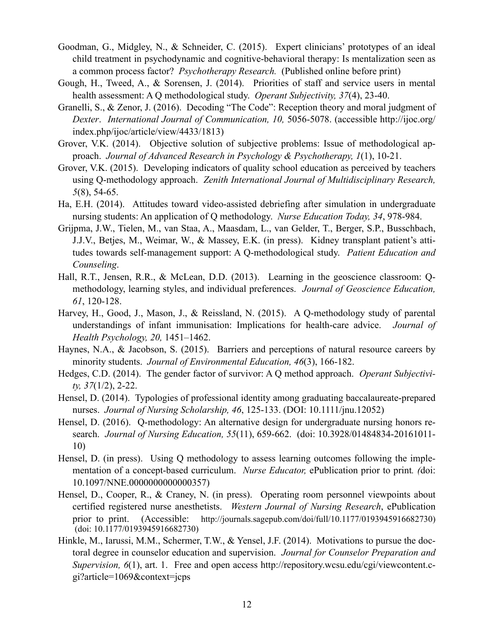- Goodman, G., Midgley, N., & Schneider, C. (2015). Expert clinicians' prototypes of an ideal child treatment in psychodynamic and cognitive-behavioral therapy: Is mentalization seen as a common process factor? *Psychotherapy Research.* (Published online before print)
- Gough, H., Tweed, A., & Sorensen, J. (2014). Priorities of staff and service users in mental health assessment: A Q methodological study. *Operant Subjectivity, 37*(4), 23-40.
- Granelli, S., & Zenor, J. (2016). Decoding "The Code": Reception theory and moral judgment of *Dexter*. *International Journal of Communication, 10,* 5056-5078. (accessible [http://ijoc.org/](http://ijoc.org/index.php/ijoc/article/view/4433/1813) [index.php/ijoc/article/view/4433/1813\)](http://ijoc.org/index.php/ijoc/article/view/4433/1813)
- Grover, V.K. (2014). Objective solution of subjective problems: Issue of methodological approach. *Journal of Advanced Research in Psychology & Psychotherapy, 1*(1), 10-21.
- Grover, V.K. (2015). Developing indicators of quality school education as perceived by teachers using Q-methodology approach. *Zenith International Journal of Multidisciplinary Research, 5*(8), 54-65.
- Ha, E.H. (2014). Attitudes toward video-assisted debriefing after simulation in undergraduate nursing students: An application of Q methodology. *Nurse Education Today, 34*, 978-984.
- Grijpma, J.W., Tielen, M., van Staa, A., Maasdam, L., van Gelder, T., Berger, S.P., Busschbach, J.J.V., Betjes, M., Weimar, W., & Massey, E.K. (in press). Kidney transplant patient's attitudes towards self-management support: A Q-methodological study. *Patient Education and Counseling*.
- Hall, R.T., Jensen, R.R., & McLean, D.D. (2013). Learning in the geoscience classroom: Qmethodology, learning styles, and individual preferences. *Journal of Geoscience Education, 61*, 120-128.
- Harvey, H., Good, J., Mason, J., & Reissland, N. (2015). A Q-methodology study of parental understandings of infant immunisation: Implications for health-care advice. *Journal of Health Psychology, 20,* 1451–1462.
- Haynes, N.A., & Jacobson, S. (2015). Barriers and perceptions of natural resource careers by minority students. *Journal of Environmental Education, 46*(3), 166-182.
- Hedges, C.D. (2014). The gender factor of survivor: A Q method approach. *Operant Subjectivity, 37*(1/2), 2-22.
- Hensel, D. (2014). Typologies of professional identity among graduating baccalaureate-prepared nurses. *Journal of Nursing Scholarship, 46*, 125-133. (DOI: 10.1111/jnu.12052)
- Hensel, D. (2016). Q-methodology: An alternative design for undergraduate nursing honors research. *Journal of Nursing Education, 55*(11), 659-662. (doi: 10.3928/01484834-20161011- 10)
- Hensel, D. (in press). Using Q methodology to assess learning outcomes following the implementation of a concept-based curriculum. *Nurse Educator,* ePublication prior to print*. (*doi: 10.1097/NNE.0000000000000357)
- Hensel, D., Cooper, R., & Craney, N. (in press). Operating room personnel viewpoints about certified registered nurse anesthetists. *Western Journal of Nursing Research*, ePublication prior to print. (Accessible: <http://journals.sagepub.com/doi/full/10.1177/0193945916682730>) (doi: 10.1177/0193945916682730)
- Hinkle, M., Iarussi, M.M., Schermer, T.W., & Yensel, J.F. (2014). Motivations to pursue the doctoral degree in counselor education and supervision. *Journal for Counselor Preparation and Supervision, 6*(1), art. 1. Free and open access [http://repository.wcsu.edu/cgi/viewcontent.c](http://repository.wcsu.edu/cgi/viewcontent.cgi?article=1069&context=jcps)[gi?article=1069&context=jcps](http://repository.wcsu.edu/cgi/viewcontent.cgi?article=1069&context=jcps)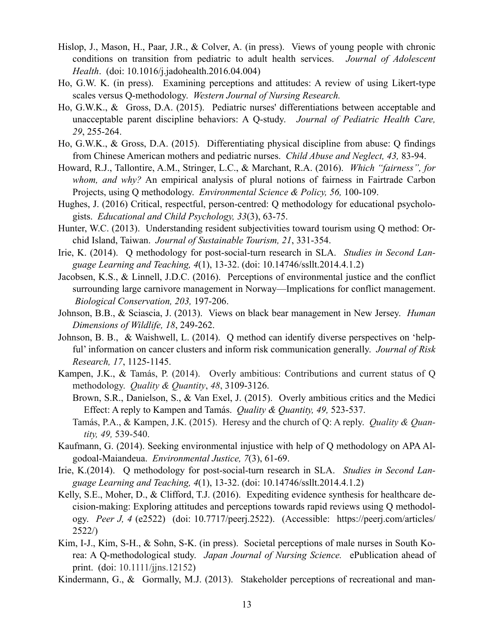- Hislop, J., Mason, H., Paar, J.R., & Colver, A. (in press). Views of young people with chronic conditions on transition from pediatric to adult health services. *Journal of Adolescent Health*. (doi: 10.1016/j.jadohealth.2016.04.004)
- Ho, G.W. K. (in press). Examining perceptions and attitudes: A review of using Likert-type scales versus Q-methodology. *Western Journal of Nursing Research.*
- Ho, G.W.K., & Gross, D.A. (2015). Pediatric nurses' differentiations between acceptable and unacceptable parent discipline behaviors: A Q-study. *Journal of Pediatric Health Care, 29*, 255-264.
- Ho, G.W.K., & Gross, D.A. (2015). Differentiating physical discipline from abuse: Q findings from Chinese American mothers and pediatric nurses. *Child Abuse and Neglect, 43,* 83-94.
- Howard, R.J., Tallontire, A.M., Stringer, L.C., & Marchant, R.A. (2016). *Which "fairness", for whom, and why?* An empirical analysis of plural notions of fairness in Fairtrade Carbon Projects, using Q methodology. *Environmental Science & Policy, 56,* 100-109.
- Hughes, J. (2016) Critical, respectful, person-centred: Q methodology for educational psychologists. *Educational and Child Psychology, 33*(3), 63-75.
- Hunter, W.C. (2013). Understanding resident subjectivities toward tourism using Q method: Orchid Island, Taiwan. *Journal of Sustainable Tourism, 21*, 331-354.
- Irie, K. (2014). Q methodology for post-social-turn research in SLA. *Studies in Second Language Learning and Teaching, 4*(1), 13-32. (doi: 10.14746/ssllt.2014.4.1.2)
- Jacobsen, K.S., & Linnell, J.D.C. (2016). Perceptions of environmental justice and the conflict surrounding large carnivore management in Norway—Implications for conflict management. *Biological Conservation, 203,* 197-206.
- Johnson, B.B., & Sciascia, J. (2013). Views on black bear management in New Jersey. *Human Dimensions of Wildlife, 18*, 249-262.
- Johnson, B. B., & Waishwell, L. (2014). Q method can identify diverse perspectives on 'helpful' information on cancer clusters and inform risk communication generally. *Journal of Risk Research, 17*, 1125-1145.
- Kampen, J.K., & Tamás, P. (2014). Overly ambitious: Contributions and current status of Q methodology. *Quality & Quantity*, *48*, 3109-3126.
	- Brown, S.R., Danielson, S., & Van Exel, J. (2015). Overly ambitious critics and the Medici Effect: A reply to Kampen and Tamás. *Quality & Quantity, 49,* 523-537.
	- Tamás, P.A., & Kampen, J.K. (2015). Heresy and the church of Q: A reply. *Quality & Quantity, 49,* 539-540.
- Kaufmann, G. (2014). Seeking environmental injustice with help of Q methodology on APA Algodoal-Maiandeua. *Environmental Justice, 7*(3), 61-69.
- Irie, K.(2014). Q methodology for post-social-turn research in SLA. *Studies in Second Language Learning and Teaching, 4*(1), 13-32. (doi: 10.14746/ssllt.2014.4.1.2)
- Kelly, S.E., Moher, D., & Clifford, T.J. (2016). Expediting evidence synthesis for healthcare decision-making: Exploring attitudes and perceptions towards rapid reviews using Q methodology. *Peer J, 4* (e2522) (doi: [10.7717/peerj.2522\)](https://doi.org/10.7717/peerj.2522). (Accessible: [https://peerj.com/articles/](https://peerj.com/articles/2522) [2522](https://peerj.com/articles/2522)/)
- Kim, I-J., Kim, S-H., & Sohn, S-K. (in press). Societal perceptions of male nurses in South Korea: A Q-methodological study. *Japan Journal of Nursing Science.* ePublication ahead of print. (doi: 10.1111/jjns.12152)
- Kindermann, G., & Gormally, M.J. (2013). Stakeholder perceptions of recreational and man-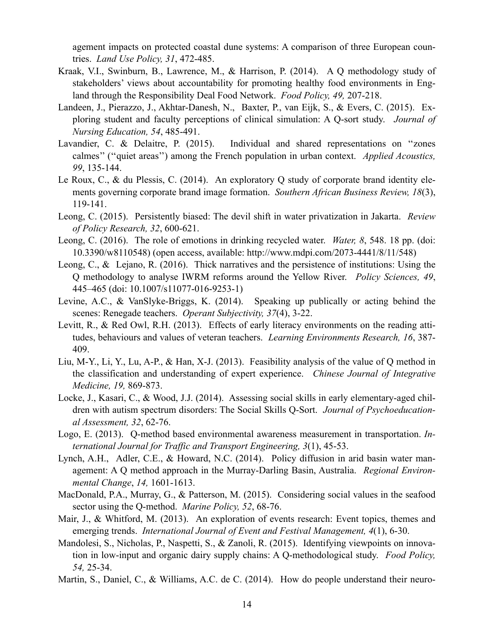agement impacts on protected coastal dune systems: A comparison of three European countries. *Land Use Policy, 31*, 472-485.

- Kraak, V.I., Swinburn, B., Lawrence, M., & Harrison, P. (2014). A Q methodology study of stakeholders' views about accountability for promoting healthy food environments in England through the Responsibility Deal Food Network. *Food Policy, 49,* 207-218.
- Landeen, J., Pierazzo, J., Akhtar-Danesh, N., Baxter, P., van Eijk, S., & Evers, C. (2015). Exploring student and faculty perceptions of clinical simulation: A Q-sort study. *Journal of Nursing Education, 54*, 485-491.
- Lavandier, C. & Delaitre, P. (2015). Individual and shared representations on ''zones calmes'' (''quiet areas'') among the French population in urban context. *Applied Acoustics, 99*, 135-144.
- Le Roux, C., & du Plessis, C. (2014). An exploratory Q study of corporate brand identity elements governing corporate brand image formation. *Southern African Business Review, 18*(3), 119-141.
- Leong, C. (2015). Persistently biased: The devil shift in water privatization in Jakarta. *Review of Policy Research, 32*, 600-621.
- Leong, C. (2016). The role of emotions in drinking recycled water. *Water, 8*, 548. 18 pp. (doi: 10.3390/w8110548) (open access, available:<http://www.mdpi.com/2073-4441/8/11/548>)
- Leong, C., & Lejano, R. (2016). Thick narratives and the persistence of institutions: Using the Q methodology to analyse IWRM reforms around the Yellow River. *Policy Sciences, 49*, 445–465 (doi: 10.1007/s11077-016-9253-1)
- Levine, A.C., & VanSlyke-Briggs, K. (2014). Speaking up publically or acting behind the scenes: Renegade teachers. *Operant Subjectivity, 37*(4), 3-22.
- Levitt, R., & Red Owl, R.H. (2013). Effects of early literacy environments on the reading attitudes, behaviours and values of veteran teachers. *Learning Environments Research, 16*, 387- 409.
- Liu, M-Y., Li, Y., Lu, A-P., & Han, X-J. (2013). Feasibility analysis of the value of Q method in the classification and understanding of expert experience. *Chinese Journal of Integrative Medicine, 19,* 869-873.
- Locke, J., Kasari, C., & Wood, J.J. (2014). Assessing social skills in early elementary-aged children with autism spectrum disorders: The Social Skills Q-Sort. *Journal of Psychoeducational Assessment, 32*, 62-76.
- Logo, E. (2013). Q-method based environmental awareness measurement in transportation. *International Journal for Traffic and Transport Engineering, 3*(1), 45-53.
- Lynch, A.H., Adler, C.E., & Howard, N.C. (2014). Policy diffusion in arid basin water management: A Q method approach in the Murray-Darling Basin, Australia. *Regional Environmental Change*, *14,* 1601-1613.
- MacDonald, P.A., Murray, G., & Patterson, M. (2015). Considering social values in the seafood sector using the Q-method. *Marine Policy, 52*, 68-76.
- Mair, J., & Whitford, M. (2013). An exploration of events research: Event topics, themes and emerging trends. *International Journal of Event and Festival Management, 4*(1), 6-30.
- Mandolesi, S., Nicholas, P., Naspetti, S., & Zanoli, R. (2015). Identifying viewpoints on innovation in low-input and organic dairy supply chains: A Q-methodological study. *Food Policy, 54,* 25-34.
- Martin, S., Daniel, C., & Williams, A.C. de C. (2014). How do people understand their neuro-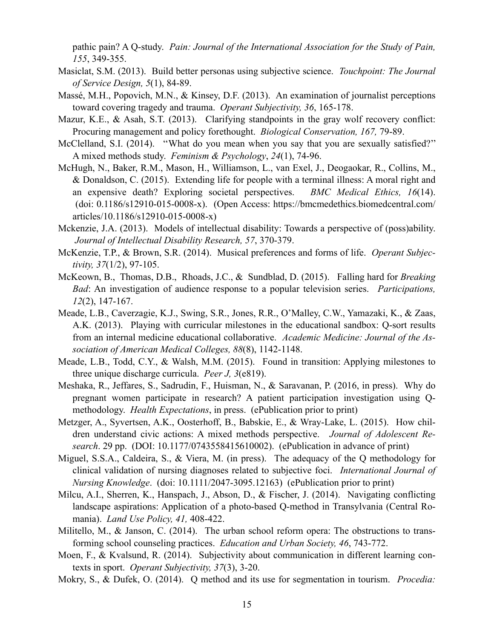pathic pain? A Q-study. *Pain: Journal of the International Association for the Study of Pain, 155*, 349-355.

- Masiclat, S.M. (2013). Build better personas using subjective science. *Touchpoint: The Journal of Service Design, 5*(1), 84-89.
- Massé, M.H., Popovich, M.N., & Kinsey, D.F. (2013). An examination of journalist perceptions toward covering tragedy and trauma. *Operant Subjectivity, 36*, 165-178.
- Mazur, K.E., & Asah, S.T. (2013). Clarifying standpoints in the gray wolf recovery conflict: Procuring management and policy forethought. *Biological Conservation, 167,* 79-89.
- McClelland, S.I. (2014). "What do you mean when you say that you are sexually satisfied?" A mixed methods study. *Feminism & Psychology*, *24*(1), 74-96.
- McHugh, N., Baker, R.M., Mason, H., Williamson, L., van Exel, J., Deogaokar, R., Collins, M., & Donaldson, C. (2015). Extending life for people with a terminal illness: A moral right and an expensive death? Exploring societal perspectives. *BMC Medical Ethics, 16*(14). (doi: 0.1186/s12910-015-0008-x). (Open Access: [https://bmcmedethics.biomedcentral.com/](https://bmcmedethics.biomedcentral.com/articles/10.1186/s12910-015-0008-x) [articles/10.1186/s12910-015-0008-x\)](https://bmcmedethics.biomedcentral.com/articles/10.1186/s12910-015-0008-x)
- Mckenzie, J.A. (2013). Models of intellectual disability: Towards a perspective of (poss)ability. *Journal of Intellectual Disability Research, 57*, 370-379.
- McKenzie, T.P., & Brown, S.R. (2014). Musical preferences and forms of life. *Operant Subjectivity, 37*(1/2), 97-105.
- McKeown, B., Thomas, D.B., Rhoads, J.C., & Sundblad, D. (2015). Falling hard for *Breaking Bad*: An investigation of audience response to a popular television series. *Participations, 12*(2), 147-167.
- Meade, L.B., Caverzagie, K.J., Swing, S.R., Jones, R.R., O'Malley, C.W., Yamazaki, K., & Zaas, A.K. (2013). Playing with curricular milestones in the educational sandbox: Q-sort results from an internal medicine educational collaborative. *Academic Medicine: Journal of the Association of American Medical Colleges, 88*(8), 1142-1148.
- Meade, L.B., Todd, C.Y., & Walsh, M.M. (2015). Found in transition: Applying milestones to three unique discharge curricula. *Peer J, 3*(e819).
- Meshaka, R., Jeffares, S., Sadrudin, F., Huisman, N., & Saravanan, P. (2016, in press). Why do pregnant women participate in research? A patient participation investigation using Qmethodology. *Health Expectations*, in press. (ePublication prior to print)
- Metzger, A., Syvertsen, A.K., Oosterhoff, B., Babskie, E., & Wray-Lake, L. (2015). How children understand civic actions: A mixed methods perspective. *Journal of Adolescent Research*. 29 pp. (DOI: 10.1177/0743558415610002). (ePublication in advance of print)
- Miguel, S.S.A., Caldeira, S., & Viera, M. (in press). The adequacy of the Q methodology for clinical validation of nursing diagnoses related to subjective foci. *International Journal of Nursing Knowledge*. (doi: 10.1111/2047-3095.12163) (ePublication prior to print)
- Milcu, A.I., Sherren, K., Hanspach, J., Abson, D., & Fischer, J. (2014). Navigating conflicting landscape aspirations: Application of a photo-based Q-method in Transylvania (Central Romania). *Land Use Policy, 41,* 408-422.
- Militello, M., & Janson, C. (2014). The urban school reform opera: The obstructions to transforming school counseling practices. *Education and Urban Society, 46*, 743-772.
- Moen, F., & Kvalsund, R. (2014). Subjectivity about communication in different learning contexts in sport. *Operant Subjectivity, 37*(3), 3-20.
- Mokry, S., & Dufek, O. (2014). Q method and its use for segmentation in tourism. *Procedia:*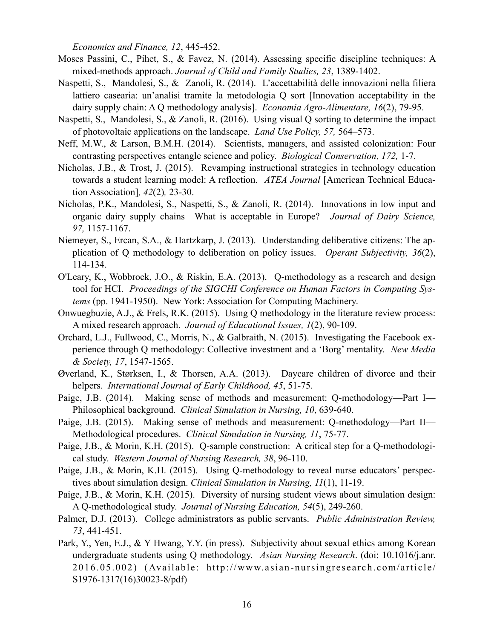*Economics and Finance, 12*, 445-452.

- Moses Passini, C., Pihet, S., & Favez, N. (2014). Assessing specific discipline techniques: A mixed-methods approach. *Journal of Child and Family Studies, 23*, 1389-1402.
- Naspetti, S., Mandolesi, S., & Zanoli, R. (2014). L'accettabilità delle innovazioni nella filiera lattiero casearia: un'analisi tramite la metodologia Q sort [Innovation acceptability in the dairy supply chain: A Q methodology analysis]. *Economia Agro-Alimentare, 16*(2), 79-95.
- Naspetti, S., Mandolesi, S., & Zanoli, R. (2016). Using visual Q sorting to determine the impact of photovoltaic applications on the landscape. *Land Use Policy, 57,* 564–573.
- Neff, M.W., & Larson, B.M.H. (2014). Scientists, managers, and assisted colonization: Four contrasting perspectives entangle science and policy. *Biological Conservation, 172,* 1-7.
- Nicholas, J.B., & Trost, J. (2015). Revamping instructional strategies in technology education towards a student learning model: A reflection. *ATEA Journal* [American Technical Education Association]*, 42*(2)*,* 23-30.
- Nicholas, P.K., Mandolesi, S., Naspetti, S., & Zanoli, R. (2014). Innovations in low input and organic dairy supply chains—What is acceptable in Europe? *Journal of Dairy Science, 97,* 1157-1167.
- Niemeyer, S., Ercan, S.A., & Hartzkarp, J. (2013). Understanding deliberative citizens: The application of Q methodology to deliberation on policy issues. *Operant Subjectivity, 36*(2), 114-134.
- O'Leary, K., Wobbrock, J.O., & Riskin, E.A. (2013). Q-methodology as a research and design tool for HCI. *Proceedings of the SIGCHI Conference on Human Factors in Computing Systems* (pp. 1941-1950). New York: Association for Computing Machinery.
- Onwuegbuzie, A.J., & Frels, R.K. (2015). Using Q methodology in the literature review process: A mixed research approach. *Journal of Educational Issues, 1*(2), 90-109.
- Orchard, L.J., Fullwood, C., Morris, N., & Galbraith, N. (2015). Investigating the Facebook experience through Q methodology: Collective investment and a 'Borg' mentality. *New Media & Society, 17*, 1547-1565.
- Øverland, K., Størksen, I., & Thorsen, A.A. (2013). Daycare children of divorce and their helpers. *International Journal of Early Childhood, 45*, 51-75.
- Paige, J.B. (2014). Making sense of methods and measurement: Q-methodology—Part I— Philosophical background. *Clinical Simulation in Nursing, 10*, 639-640.
- Paige, J.B. (2015). Making sense of methods and measurement: Q-methodology—Part II— Methodological procedures. *Clinical Simulation in Nursing, 11*, 75-77.
- Paige, J.B., & Morin, K.H. (2015). Q-sample construction: A critical step for a Q-methodological study. *Western Journal of Nursing Research, 38*, 96-110.
- Paige, J.B., & Morin, K.H. (2015). Using Q-methodology to reveal nurse educators' perspectives about simulation design. *Clinical Simulation in Nursing, 11*(1), 11-19.
- Paige, J.B., & Morin, K.H. (2015). Diversity of nursing student views about simulation design: A Q-methodological study. *Journal of Nursing Education, 54*(5), 249-260.
- Palmer, D.J. (2013). College administrators as public servants. *Public Administration Review, 73*, 441-451.
- Park, Y., Yen, E.J., & Y Hwang, Y.Y. (in press). Subjectivity about sexual ethics among Korean undergraduate students using Q methodology. *Asian Nursing Research*. (doi: 10.1016/j.anr. 2016.05.002) (Available: [http://www.asian-nursingresearch.com/article/](http://www.asian-nursingresearch.com/article/S1976-1317(16)30023-8/pdf) [S1976-1317\(16\)30023-8/pdf\)](http://www.asian-nursingresearch.com/article/S1976-1317(16)30023-8/pdf)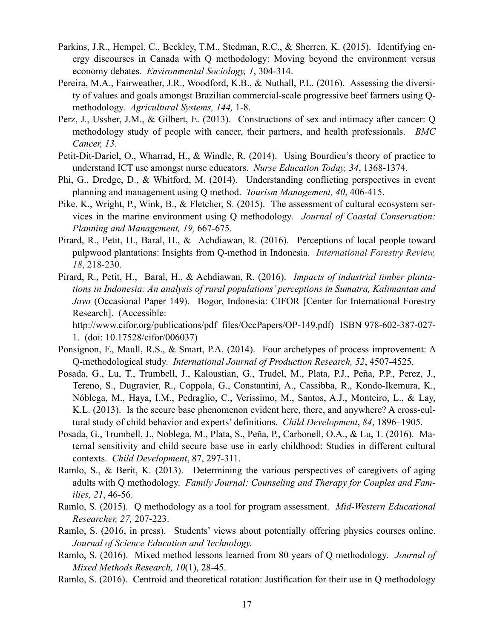- Parkins, J.R., Hempel, C., Beckley, T.M., Stedman, R.C., & Sherren, K. (2015). Identifying energy discourses in Canada with Q methodology: Moving beyond the environment versus economy debates. *Environmental Sociology, 1*, 304-314.
- Pereira, M.A., Fairweather, J.R., Woodford, K.B., & Nuthall, P.L. (2016). Assessing the diversity of values and goals amongst Brazilian commercial-scale progressive beef farmers using Qmethodology. *Agricultural Systems, 144,* 1-8.
- Perz, J., Ussher, J.M., & Gilbert, E. (2013). Constructions of sex and intimacy after cancer: Q methodology study of people with cancer, their partners, and health professionals. *BMC Cancer, 13.*
- Petit-Dit-Dariel, O., Wharrad, H., & Windle, R. (2014). Using Bourdieu's theory of practice to understand ICT use amongst nurse educators. *Nurse Education Today, 34*, 1368-1374.
- Phi, G., Dredge, D., & Whitford, M. (2014). Understanding conflicting perspectives in event planning and management using Q method. *Tourism Management, 40*, 406-415.
- Pike, K., Wright, P., Wink, B., & Fletcher, S. (2015). The assessment of cultural ecosystem services in the marine environment using Q methodology. *Journal of Coastal Conservation: Planning and Management, 19,* 667-675.
- Pirard, R., Petit, H., Baral, H., & Achdiawan, R. (2016). Perceptions of local people toward pulpwood plantations: Insights from Q-method in Indonesia. *International Forestry Review, 18*, 218-230.
- Pirard, R., Petit, H., Baral, H., & Achdiawan, R. (2016). *Impacts of industrial timber plantations in Indonesia: An analysis of rural populations' perceptions in Sumatra, Kalimantan and Java* (Occasional Paper 149). Bogor, Indonesia: CIFOR [Center for International Forestry Research]. (Accessible:

http://www.cifor.org/publications/pdf\_files/OccPapers/OP-149.pdf) ISBN 978-602-387-027-1. (doi: 10.17528/cifor/006037)

- Ponsignon, F., Maull, R.S., & Smart, P.A. (2014). Four archetypes of process improvement: A Q-methodological study. *International Journal of Production Research, 52*, 4507-4525.
- Posada, G., Lu, T., Trumbell, J., Kaloustian, G., Trudel, M., Plata, P.J., Peña, P.P., Perez, J., Tereno, S., Dugravier, R., Coppola, G., Constantini, A., Cassibba, R., Kondo-Ikemura, K., Nóblega, M., Haya, I.M., Pedraglio, C., Verissimo, M., Santos, A.J., Monteiro, L., & Lay, K.L. (2013). Is the secure base phenomenon evident here, there, and anywhere? A cross-cultural study of child behavior and experts' definitions. *Child Development*, *84*, 1896–1905.
- Posada, G., Trumbell, J., Noblega, M., Plata, S., Peña, P., Carbonell, O.A., & Lu, T. (2016). Maternal sensitivity and child secure base use in early childhood: Studies in different cultural contexts. *Child Development*, 87, 297-311.
- Ramlo, S., & Berit, K. (2013). Determining the various perspectives of caregivers of aging adults with Q methodology. *Family Journal: Counseling and Therapy for Couples and Families, 21*, 46-56.
- Ramlo, S. (2015). Q methodology as a tool for program assessment. *Mid-Western Educational Researcher, 27,* 207-223.
- Ramlo, S. (2016, in press). Students' views about potentially offering physics courses online. *Journal of Science Education and Technology.*
- Ramlo, S. (2016). Mixed method lessons learned from 80 years of Q methodology. *Journal of Mixed Methods Research, 10*(1), 28-45.
- Ramlo, S. (2016). Centroid and theoretical rotation: Justification for their use in Q methodology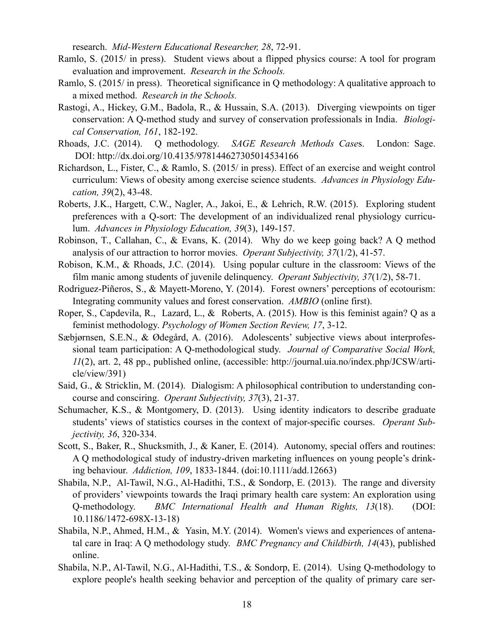research. *Mid-Western Educational Researcher, 28*, 72-91.

- Ramlo, S. (2015/ in press). Student views about a flipped physics course: A tool for program evaluation and improvement. *Research in the Schools.*
- Ramlo, S. (2015/ in press). Theoretical significance in Q methodology: A qualitative approach to a mixed method. *Research in the Schools.*
- Rastogi, A., Hickey, G.M., Badola, R., & Hussain, S.A. (2013). Diverging viewpoints on tiger conservation: A Q-method study and survey of conservation professionals in India. *Biological Conservation, 161*, 182-192.
- Rhoads, J.C. (2014). Q methodology. *SAGE Research Methods Case*s. London: Sage. DOI: <http://dx.doi.org/10.4135/978144627305014534166>
- Richardson, L., Fister, C., & Ramlo, S. (2015/ in press). Effect of an exercise and weight control curriculum: Views of obesity among exercise science students. *Advances in Physiology Education, 39*(2), 43-48.
- Roberts, J.K., Hargett, C.W., Nagler, A., Jakoi, E., & Lehrich, R.W. (2015). Exploring student preferences with a Q-sort: The development of an individualized renal physiology curriculum. *Advances in Physiology Education, 39*(3), 149-157.
- Robinson, T., Callahan, C., & Evans, K. (2014). Why do we keep going back? A Q method analysis of our attraction to horror movies. *Operant Subjectivity, 37*(1/2), 41-57.
- Robison, K.M., & Rhoads, J.C. (2014). Using popular culture in the classroom: Views of the film manic among students of juvenile delinquency. *Operant Subjectivity, 37*(1/2), 58-71.
- Rodriguez-Piñeros, S., & Mayett-Moreno, Y. (2014). Forest owners' perceptions of ecotourism: Integrating community values and forest conservation. *AMBIO* (online first).
- Roper, S., Capdevila, R., Lazard, L., & Roberts, A. (2015). How is this feminist again? Q as a feminist methodology. *Psychology of Women Section Review, 17*, 3-12.
- Sæbjørnsen, S.E.N., & Ødegård, A. (2016). Adolescents' subjective views about interprofessional team participation: A Q-methodological study. *Journal of Comparative Social Work, 11*(2), art. 2, 48 pp., published online, (accessible: http://journal.uia.no/index.php/JCSW/article/view/391)
- Said, G., & Stricklin, M. (2014). Dialogism: A philosophical contribution to understanding concourse and consciring. *Operant Subjectivity, 37*(3), 21-37.
- Schumacher, K.S., & Montgomery, D. (2013). Using identity indicators to describe graduate students' views of statistics courses in the context of major-specific courses. *Operant Subjectivity, 36*, 320-334.
- Scott, S., Baker, R., Shucksmith, J., & Kaner, E. (2014). Autonomy, special offers and routines: A Q methodological study of industry-driven marketing influences on young people's drinking behaviour. *Addiction, 109*, 1833-1844. (doi:10.1111/add.12663)
- Shabila, N.P., Al-Tawil, N.G., Al-Hadithi, T.S., & Sondorp, E. (2013). The range and diversity of providers' viewpoints towards the Iraqi primary health care system: An exploration using Q-methodology. *BMC International Health and Human Rights, 13*(18). (DOI: 10.1186/1472-698X-13-18)
- Shabila, N.P., Ahmed, H.M., & Yasin, M.Y. (2014). Women's views and experiences of antenatal care in Iraq: A Q methodology study. *BMC Pregnancy and Childbirth, 14*(43), published online.
- Shabila, N.P., Al-Tawil, N.G., Al-Hadithi, T.S., & Sondorp, E. (2014). Using Q-methodology to explore people's health seeking behavior and perception of the quality of primary care ser-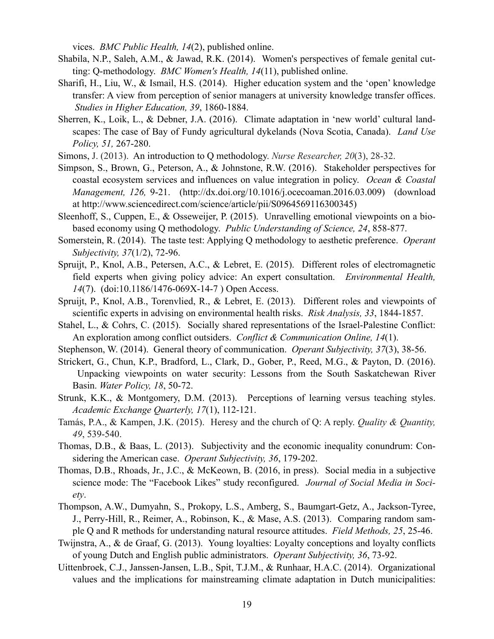vices. *BMC Public Health, 14*(2), published online.

- Shabila, N.P., Saleh, A.M., & Jawad, R.K. (2014). Women's perspectives of female genital cutting: Q-methodology. *BMC Women's Health, 14*(11), published online.
- Sharifi, H., Liu, W., & Ismail, H.S. (2014). Higher education system and the 'open' knowledge transfer: A view from perception of senior managers at university knowledge transfer offices. *Studies in Higher Education, 39*, 1860-1884.
- Sherren, K., Loik, L., & Debner, J.A. (2016). Climate adaptation in 'new world' cultural landscapes: The case of Bay of Fundy agricultural dykelands (Nova Scotia, Canada). *Land Use Policy, 51,* 267-280.
- Simons, J. (2013). An introduction to Q methodology. *Nurse Researcher, 20*(3), 28-32.
- Simpson, S., Brown, G., Peterson, A., & Johnstone, R.W. (2016). Stakeholder perspectives for coastal ecosystem services and influences on value integration in policy. *Ocean & Coastal Management, 126,* 9-21. (http://dx.doi.org/10.1016/j.ocecoaman.2016.03.009) (download at http://www.sciencedirect.com/science/article/pii/S0964569116300345)
- Sleenhoff, S., Cuppen, E., & Osseweijer, P. (2015). Unravelling emotional viewpoints on a biobased economy using Q methodology. *Public Understanding of Science, 24*, 858-877.
- Somerstein, R. (2014). The taste test: Applying Q methodology to aesthetic preference. *Operant Subjectivity, 37*(1/2), 72-96.
- Spruijt, P., Knol, A.B., Petersen, A.C., & Lebret, E. (2015). Different roles of electromagnetic field experts when giving policy advice: An expert consultation. *Environmental Health, 14*(7). (doi:10.1186/1476-069X-14-7 ) Open Access.
- Spruijt, P., Knol, A.B., Torenvlied, R., & Lebret, E. (2013). Different roles and viewpoints of scientific experts in advising on environmental health risks. *Risk Analysis, 33*, 1844-1857.
- Stahel, L., & Cohrs, C. (2015). Socially shared representations of the Israel-Palestine Conflict: An exploration among conflict outsiders. *Conflict & Communication Online, 14*(1).
- Stephenson, W. (2014). General theory of communication. *Operant Subjectivity, 37*(3), 38-56.
- Strickert, G., Chun, K.P., Bradford, L., Clark, D., Gober, P., Reed, M.G., & Payton, D. (2016). Unpacking viewpoints on water security: Lessons from the South Saskatchewan River Basin. *Water Policy, 18*, 50-72.
- Strunk, K.K., & Montgomery, D.M. (2013). Perceptions of learning versus teaching styles. *Academic Exchange Quarterly, 17*(1), 112-121.
- Tamás, P.A., & Kampen, J.K. (2015). Heresy and the church of Q: A reply. *Quality & Quantity, 49*, 539-540.
- Thomas, D.B., & Baas, L. (2013). Subjectivity and the economic inequality conundrum: Considering the American case. *Operant Subjectivity, 36*, 179-202.
- Thomas, D.B., Rhoads, Jr., J.C., & McKeown, B. (2016, in press). Social media in a subjective science mode: The "Facebook Likes" study reconfigured. *Journal of Social Media in Society*.
- Thompson, A.W., Dumyahn, S., Prokopy, L.S., Amberg, S., Baumgart-Getz, A., Jackson-Tyree, J., Perry-Hill, R., Reimer, A., Robinson, K., & Mase, A.S. (2013). Comparing random sample Q and R methods for understanding natural resource attitudes. *Field Methods, 25*, 25-46.
- Twijnstra, A., & de Graaf, G. (2013). Young loyalties: Loyalty conceptions and loyalty conflicts of young Dutch and English public administrators. *Operant Subjectivity, 36*, 73-92.
- Uittenbroek, C.J., Janssen-Jansen, L.B., Spit, T.J.M., & Runhaar, H.A.C. (2014). Organizational values and the implications for mainstreaming climate adaptation in Dutch municipalities: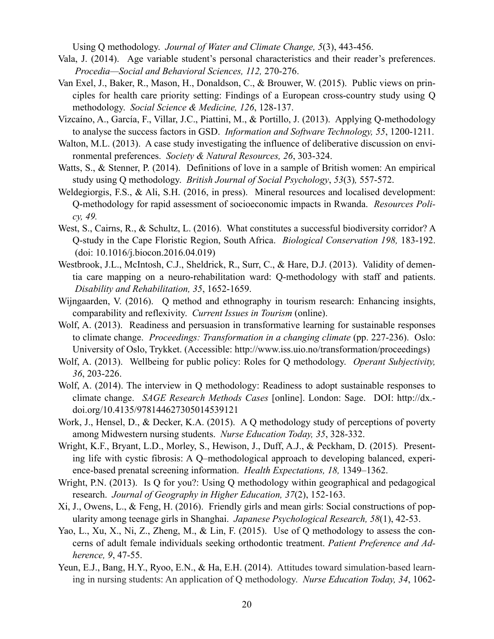Using Q methodology. *Journal of Water and Climate Change, 5*(3), 443-456.

- Vala, J. (2014). Age variable student's personal characteristics and their reader's preferences. *Procedia—Social and Behavioral Sciences, 112,* 270-276.
- Van Exel, J., Baker, R., Mason, H., Donaldson, C., & Brouwer, W. (2015). Public views on principles for health care priority setting: Findings of a European cross-country study using Q methodology. *Social Science & Medicine, 126*, 128-137.
- Vizcaíno, A., García, F., Villar, J.C., Piattini, M., & Portillo, J. (2013). Applying Q-methodology to analyse the success factors in GSD. *Information and Software Technology, 55*, 1200-1211.
- Walton, M.L. (2013). A case study investigating the influence of deliberative discussion on environmental preferences. *Society & Natural Resources, 26*, 303-324.
- Watts, S., & Stenner, P. (2014). Definitions of love in a sample of British women: An empirical study using Q methodology. *British Journal of Social Psychology*, *53*(3)*,* 557-572.
- Weldegiorgis, F.S., & Ali, S.H. (2016, in press). Mineral resources and localised development: Q-methodology for rapid assessment of socioeconomic impacts in Rwanda. *Resources Policy, 49.*
- West, S., Cairns, R., & Schultz, L. (2016). What constitutes a successful biodiversity corridor? A Q-study in the Cape Floristic Region, South Africa. *Biological Conservation 198,* 183-192. (doi: 10.1016/j.biocon.2016.04.019)
- Westbrook, J.L., McIntosh, C.J., Sheldrick, R., Surr, C., & Hare, D.J. (2013). Validity of dementia care mapping on a neuro-rehabilitation ward: Q-methodology with staff and patients. *Disability and Rehabilitation, 35*, 1652-1659.
- Wijngaarden, V. (2016). Q method and ethnography in tourism research: Enhancing insights, comparability and reflexivity. *Current Issues in Tourism* (online).
- Wolf, A. (2013). Readiness and persuasion in transformative learning for sustainable responses to climate change. *Proceedings: Transformation in a changing climate* (pp. 227-236). Oslo: University of Oslo, Trykket. (Accessible: http://www.iss.uio.no/transformation/proceedings)
- Wolf, A. (2013). Wellbeing for public policy: Roles for Q methodology. *Operant Subjectivity, 36*, 203-226.
- Wolf, A. (2014). The interview in Q methodology: Readiness to adopt sustainable responses to climate change. *SAGE Research Methods Cases* [online]. London: Sage. DOI: http://dx. doi.org/10.4135/978144627305014539121
- Work, J., Hensel, D., & Decker, K.A. (2015). A Q methodology study of perceptions of poverty among Midwestern nursing students. *Nurse Education Today, 35*, 328-332.
- Wright, K.F., Bryant, L.D., Morley, S., Hewison, J., Duff, A.J., & Peckham, D. (2015). Presenting life with cystic fibrosis: A Q–methodological approach to developing balanced, experience-based prenatal screening information. *Health Expectations, 18,* 1349–1362.
- Wright, P.N. (2013). Is Q for you?: Using Q methodology within geographical and pedagogical research. *Journal of Geography in Higher Education, 37*(2), 152-163.
- Xi, J., Owens, L., & Feng, H. (2016). Friendly girls and mean girls: Social constructions of popularity among teenage girls in Shanghai. *Japanese Psychological Research, 58*(1), 42-53.
- Yao, L., Xu, X., Ni, Z., Zheng, M., & Lin, F. (2015). Use of Q methodology to assess the concerns of adult female individuals seeking orthodontic treatment. *Patient Preference and Adherence, 9*, 47-55.
- Yeun, E.J., Bang, H.Y., Ryoo, E.N., & Ha, E.H. (2014). [Attitudes toward simulation-based learn](http://www.pubfacts.com/detail/24629271/Attitudes-toward-simulation-based-learning-in-nursing-students:-an-application-of-Q-methodology.)[ing in nursing students: An application of Q methodology.](http://www.pubfacts.com/detail/24629271/Attitudes-toward-simulation-based-learning-in-nursing-students:-an-application-of-Q-methodology.) *Nurse Education Today, 34*, 1062-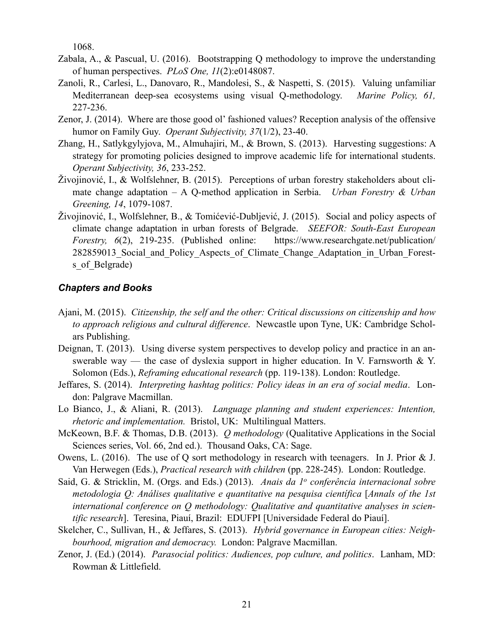1068.

- Zabala, A., & Pascual, U. (2016). Bootstrapping Q methodology to improve the understanding of human perspectives. *PLoS One, 11*(2):e0148087.
- Zanoli, R., Carlesi, L., Danovaro, R., Mandolesi, S., & Naspetti, S. (2015). Valuing unfamiliar Mediterranean deep-sea ecosystems using visual Q-methodology. *Marine Policy, 61,*  227-236.
- Zenor, J. (2014). Where are those good ol' fashioned values? Reception analysis of the offensive humor on Family Guy. *Operant Subjectivity, 37*(1/2), 23-40.
- Zhang, H., Satlykgylyjova, M., Almuhajiri, M., & Brown, S. (2013). Harvesting suggestions: A strategy for promoting policies designed to improve academic life for international students. *Operant Subjectivity, 36*, 233-252.
- Živojinović, I., & Wolfslehner, B. (2015). Perceptions of urban forestry stakeholders about climate change adaptation – A Q-method application in Serbia. *Urban Forestry & Urban Greening, 14*, 1079-1087.
- Živojinović, I., Wolfslehner, B., & Tomićević-Dubljević, J. (2015). Social and policy aspects of climate change adaptation in urban forests of Belgrade. *SEEFOR: South-East European Forestry, 6*(2), 219-235. (Published online: https://www.researchgate.net/publication/ 282859013 Social and Policy Aspects of Climate Change Adaptation in Urban Forests of Belgrade)

### *Chapters and Books*

- Ajani, M. (2015). *Citizenship, the self and the other: Critical discussions on citizenship and how to approach religious and cultural difference*. Newcastle upon Tyne, UK: Cambridge Scholars Publishing.
- Deignan, T. (2013). Using diverse system perspectives to develop policy and practice in an answerable way — the case of dyslexia support in higher education. In V. Farnsworth & Y. Solomon (Eds.), *Reframing educational research* (pp. 119-138). London: Routledge.
- Jeffares, S. (2014). *Interpreting hashtag politics: Policy ideas in an era of social media*. London: Palgrave Macmillan.
- Lo Bianco, J., & Aliani, R. (2013). *Language planning and student experiences: Intention, rhetoric and implementation.* Bristol, UK: Multilingual Matters.
- McKeown, B.F. & Thomas, D.B. (2013). *Q methodology* (Qualitative Applications in the Social Sciences series, Vol. 66, 2nd ed.). Thousand Oaks, CA: Sage.
- Owens, L. (2016). The use of Q sort methodology in research with teenagers. In J. Prior & J. Van Herwegen (Eds.), *Practical research with children* (pp. 228-245). London: Routledge.
- Said, G. & Stricklin, M. (Orgs. and Eds.) (2013). *Anais da 1o conferência internacional sobre metodologia Q: Análises qualitative e quantitative na pesquisa científica* [*Annals of the 1st international conference on Q methodology: Qualitative and quantitative analyses in scientific research*]. Teresina, Piauí, Brazil: EDUFPI [Universidade Federal do Piauí].
- Skelcher, C., Sullivan, H., & Jeffares, S. (2013). *Hybrid governance in European cities: Neighbourhood, migration and democracy.* London: Palgrave Macmillan.
- Zenor, J. (Ed.) (2014). *Parasocial politics: Audiences, pop culture, and politics*. Lanham, MD: Rowman & Littlefield.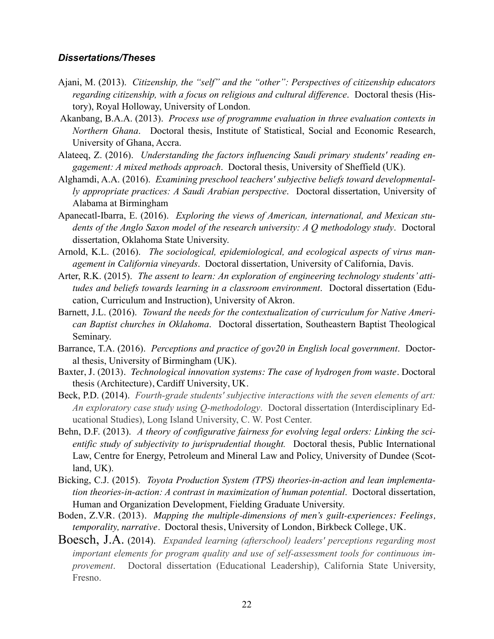### *Dissertations/Theses*

- Ajani, M. (2013). *Citizenship, the "self" and the "other": Perspectives of citizenship educators regarding citizenship, with a focus on religious and cultural difference*. Doctoral thesis (History), Royal Holloway, University of London.
- Akanbang, B.A.A. (2013). *Process use of programme evaluation in three evaluation contexts in Northern Ghana*. Doctoral thesis, Institute of Statistical, Social and Economic Research, University of Ghana, Accra.
- Alateeq, Z. (2016). *Understanding the factors influencing Saudi primary students' reading engagement: A mixed methods approach*. Doctoral thesis, University of Sheffield (UK).
- Alghamdi, A.A. (2016). *Examining preschool teachers' subjective beliefs toward developmentally appropriate practices: A Saudi Arabian perspective*. Doctoral dissertation, University of Alabama at Birmingham
- Apanecatl-Ibarra, E. (2016). *Exploring the views of American, international, and Mexican students of the Anglo Saxon model of the research university: A Q methodology study*. Doctoral dissertation, Oklahoma State University.
- Arnold, K.L. (2016). *The sociological, epidemiological, and ecological aspects of virus management in California vineyards*. Doctoral dissertation, University of California, Davis.
- Arter, R.K. (2015). *The assent to learn: An exploration of engineering technology students' attitudes and beliefs towards learning in a classroom environment*. Doctoral dissertation (Education, Curriculum and Instruction), University of Akron.
- Barnett, J.L. (2016). *Toward the needs for the contextualization of curriculum for Native American Baptist churches in Oklahoma*. Doctoral dissertation, Southeastern Baptist Theological Seminary.
- Barrance, T.A. (2016). *Perceptions and practice of gov20 in English local government*. Doctoral thesis, University of Birmingham (UK).
- Baxter, J. (2013). *Technological innovation systems: The case of hydrogen from waste*. Doctoral thesis (Architecture), Cardiff University, UK.
- Beck, P.D. (2014). *Fourth-grade students' subjective interactions with the seven elements of art: An exploratory case study using Q-methodology*. Doctoral dissertation (Interdisciplinary Educational Studies), Long Island University, C. W. Post Center.
- Behn, D.F. (2013). *A theory of configurative fairness for evolving legal orders: Linking the scientific study of subjectivity to jurisprudential thought.* Doctoral thesis, Public International Law, Centre for Energy, Petroleum and Mineral Law and Policy, University of Dundee (Scotland, UK).
- Bicking, C.J. (2015). *Toyota Production System (TPS) theories-in-action and lean implementation theories-in-action: A contrast in maximization of human potential*. Doctoral dissertation, Human and Organization Development, Fielding Graduate University.
- Boden, Z.V.R. (2013). *Mapping the multiple-dimensions of men's guilt-experiences: Feelings, temporality, narrative*. Doctoral thesis, University of London, Birkbeck College, UK.
- [Boesch, J.A.](http://search.proquest.com/pqdt/indexinglinkhandler/sng/au/Boesch,+Julie+Anne/$N?accountid=11835) (2014). *Expanded learning (afterschool) leaders' perceptions regarding most important elements for program quality and use of self-assessment tools for continuous improvement*. Doctoral dissertation (Educational Leadership), California State University, Fresno.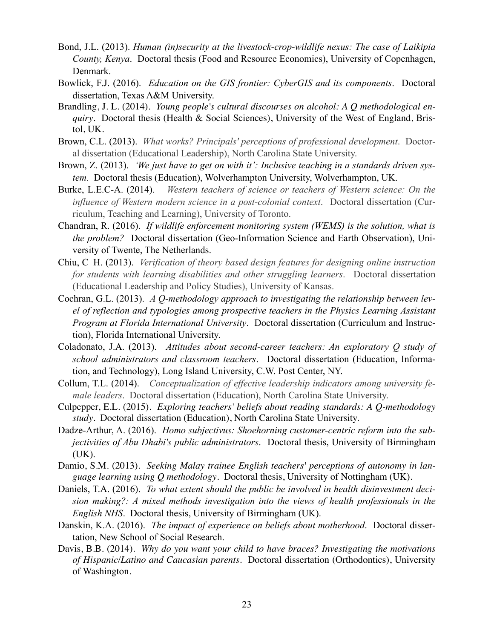- Bond, J.L. (2013). *Human (in)security at the livestock-crop-wildlife nexus: The case of Laikipia County, Kenya*. Doctoral thesis (Food and Resource Economics), University of Copenhagen, Denmark.
- Bowlick, F.J. (2016). *Education on the GIS frontier: CyberGIS and its components*. Doctoral dissertation, Texas A&M University.
- Brandling, J. L. (2014). *Young people's cultural discourses on alcohol: A Q methodological enquiry*. Doctoral thesis (Health & Social Sciences), University of the West of England, Bristol, UK.
- Brown, C.L. (2013). *What works? Principals' perceptions of professional development*. Doctoral dissertation (Educational Leadership), North Carolina State University.
- Brown, Z. (2013). *'We just have to get on with it': Inclusive teaching in a standards driven system.* Doctoral thesis (Education), Wolverhampton University, Wolverhampton, UK.
- [Burke, L.E.C-A. \(2014\).](http://search.proquest.com/pqdt/indexinglinkhandler/sng/au/Burke,+Lydia+E+Carol-Ann/$N?accountid=11835) *Western teachers of science or teachers of Western science: On the influence of Western modern science in a post-colonial context*. Doctoral dissertation (Curriculum, Teaching and Learning), University of Toronto.
- Chandran, R. (2016). *If wildlife enforcement monitoring system (WEMS) is the solution, what is the problem?* Doctoral dissertation (Geo-Information Science and Earth Observation), University of Twente, The Netherlands.
- Chiu, C–H. (2013). *Verification of theory based design features for designing online instruction for students with learning disabilities and other struggling learners*. Doctoral dissertation (Educational Leadership and Policy Studies), University of Kansas.
- Cochran, G.L. (2013). *A Q-methodology approach to investigating the relationship between level of reflection and typologies among prospective teachers in the Physics Learning Assistant Program at Florida International University*. Doctoral dissertation (Curriculum and Instruction), Florida International University.
- Coladonato, J.A. (2013). *Attitudes about second-career teachers: An exploratory Q study of school administrators and classroom teachers*. Doctoral dissertation (Education, Information, and Technology), Long Island University, C.W. Post Center, NY.
- [Collum, T.L. \(2014\).](http://search.proquest.com/pqdt/indexinglinkhandler/sng/au/Collum,+Tracy+Lovejoy/$N?accountid=11835) *Conceptualization of effective leadership indicators among university female leaders*. Doctoral dissertation (Education), North Carolina State University.
- Culpepper, E.L. (2015). *Exploring teachers' beliefs about reading standards: A Q-methodology study*. Doctoral dissertation (Education), North Carolina State University.
- Dadze-Arthur, A. (2016). *Homo subjectivus: Shoehorning customer-centric reform into the subjectivities of Abu Dhabi's public administrators*. Doctoral thesis, University of Birmingham (UK).
- Damio, S.M. (2013). *Seeking Malay trainee English teachers' perceptions of autonomy in language learning using Q methodology*. Doctoral thesis, University of Nottingham (UK).
- Daniels, T.A. (2016). *To what extent should the public be involved in health disinvestment decision making?: A mixed methods investigation into the views of health professionals in the English NHS*. Doctoral thesis, University of Birmingham (UK).
- Danskin, K.A. (2016). *The impact of experience on beliefs about motherhood*. Doctoral dissertation, New School of Social Research.
- Davis, B.B. (2014). *Why do you want your child to have braces? Investigating the motivations of Hispanic/Latino and Caucasian parents*. Doctoral dissertation (Orthodontics), University of Washington.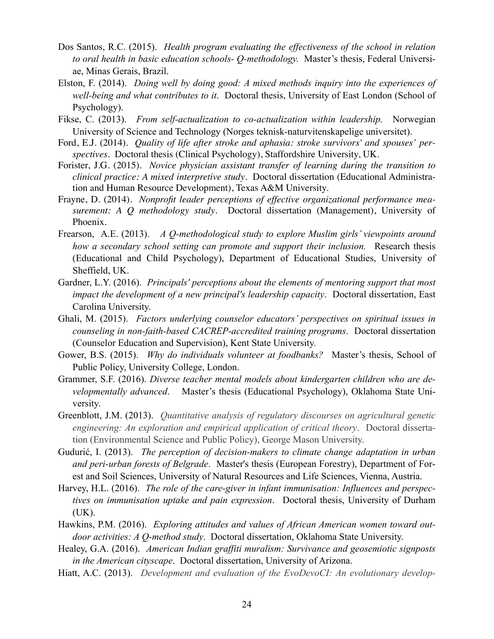- Dos Santos, R.C. (2015). *Health program evaluating the effectiveness of the school in relation to oral health in basic education schools- Q-methodology.* Master's thesis, Federal Universiae, Minas Gerais, Brazil.
- Elston, F. (2014). *Doing well by doing good: A mixed methods inquiry into the experiences of well-being and what contributes to it*. Doctoral thesis, University of East London (School of Psychology).
- Fikse, C. (2013). *From self-actualization to co-actualization within leadership.* Norwegian University of Science and Technology (Norges teknisk-naturvitenskapelige universitet).
- Ford, E.J. (2014). *Quality of life after stroke and aphasia: stroke survivors' and spouses' perspectives*. Doctoral thesis (Clinical Psychology), Staffordshire University, UK.
- Forister, J.G. (2015). *Novice physician assistant transfer of learning during the transition to clinical practice: A mixed interpretive study*. Doctoral dissertation (Educational Administration and Human Resource Development), Texas A&M University.
- Frayne, D. (2014). *Nonprofit leader perceptions of effective organizational performance measurement: A Q methodology study*. Doctoral dissertation (Management), University of Phoenix.
- Frearson, A.E. (2013). *A Q-methodological study to explore Muslim girls' viewpoints around how a secondary school setting can promote and support their inclusion.* Research thesis (Educational and Child Psychology), Department of Educational Studies, University of Sheffield, UK.
- Gardner, L.Y. (2016). *Principals' perceptions about the elements of mentoring support that most impact the development of a new principal's leadership capacity*. Doctoral dissertation, East Carolina University.
- Ghali, M. (2015). *Factors underlying counselor educators' perspectives on spiritual issues in counseling in non-faith-based CACREP-accredited training programs*. Doctoral dissertation (Counselor Education and Supervision), Kent State University.
- Gower, B.S. (2015). *Why do individuals volunteer at foodbanks?* Master's thesis, School of Public Policy, University College, London.
- Grammer, S.F. (2016). *Diverse teacher mental models about kindergarten children who are developmentally advanced*. Master's thesis (Educational Psychology), Oklahoma State University.
- Greenblott, J.M. (2013). *Quantitative analysis of regulatory discourses on agricultural genetic engineering: An exploration and empirical application of critical theory*. Doctoral dissertation (Environmental Science and Public Policy), George Mason University.
- Gudurić, I. (2013). *The perception of decision-makers to climate change adaptation in urban and peri-urban forests of Belgrade*. Master's thesis (European Forestry), Department of Forest and Soil Sciences, University of Natural Resources and Life Sciences, Vienna, Austria.
- Harvey, H.L. (2016). *The role of the care-giver in infant immunisation: Influences and perspectives on immunisation uptake and pain expression*. Doctoral thesis, University of Durham (UK).
- Hawkins, P.M. (2016). *Exploring attitudes and values of African American women toward outdoor activities: A Q-method study*. Doctoral dissertation, Oklahoma State University.
- Healey, G.A. (2016). *American Indian graffiti muralism: Survivance and geosemiotic signposts in the American cityscape*. Doctoral dissertation, University of Arizona.
- Hiatt, A.C. (2013). *Development and evaluation of the EvoDevoCI: An evolutionary develop-*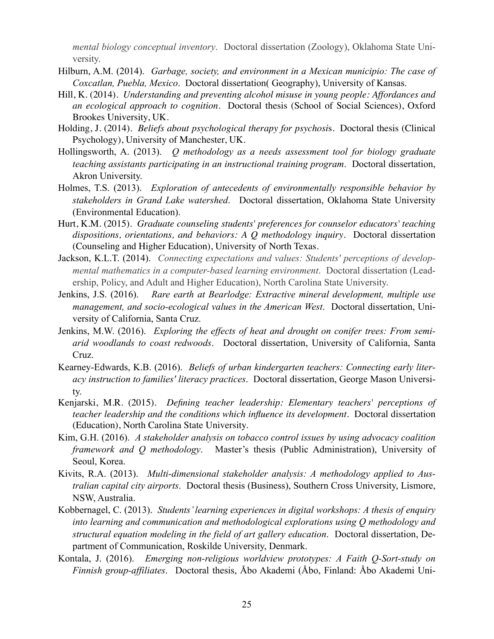*mental biology conceptual inventory*. Doctoral dissertation (Zoology), Oklahoma State University.

- Hilburn, A.M. (2014). *Garbage, society, and environment in a Mexican municipio: The case of Coxcatlan, Puebla, Mexico*. Doctoral dissertation( Geography), University of Kansas.
- Hill, K. (2014). *Understanding and preventing alcohol misuse in young people: Affordances and an ecological approach to cognition*. Doctoral thesis (School of Social Sciences), Oxford Brookes University, UK.
- Holding, J. (2014). *Beliefs about psychological therapy for psychosi*s. Doctoral thesis (Clinical Psychology), University of Manchester, UK.
- Hollingsworth, A. (2013). *Q methodology as a needs assessment tool for biology graduate teaching assistants participating in an instructional training program*. Doctoral dissertation, Akron University.
- Holmes, T.S. (2013). *Exploration of antecedents of environmentally responsible behavior by stakeholders in Grand Lake watershed*. Doctoral dissertation, Oklahoma State University (Environmental Education).
- Hurt, K.M. (2015). *Graduate counseling students' preferences for counselor educators' teaching dispositions, orientations, and behaviors: A Q methodology inquiry*. Doctoral dissertation (Counseling and Higher Education), University of North Texas.
- Jackson, K.L.T. (2014). *Connecting expectations and values: Students' perceptions of developmental mathematics in a computer-based learning environment*. Doctoral dissertation (Leadership, Policy, and Adult and Higher Education), North Carolina State University.
- Jenkins, J.S. (2016). *Rare earth at Bearlodge: Extractive mineral development, multiple use management, and socio-ecological values in the American West*. Doctoral dissertation, University of California, Santa Cruz.
- Jenkins, M.W. (2016). *Exploring the effects of heat and drought on conifer trees: From semiarid woodlands to coast redwoods*. Doctoral dissertation, University of California, Santa Cruz.
- Kearney-Edwards, K.B. (2016). *Beliefs of urban kindergarten teachers: Connecting early literacy instruction to families' literacy practices*. Doctoral dissertation, George Mason University.
- Kenjarski, M.R. (2015). *Defining teacher leadership: Elementary teachers' perceptions of teacher leadership and the conditions which influence its development*. Doctoral dissertation (Education), North Carolina State University.
- Kim, G.H. (2016). *A stakeholder analysis on tobacco control issues by using advocacy coalition framework and Q methodology*. Master's thesis (Public Administration), University of Seoul, Korea.
- Kivits, R.A. (2013). *Multi-dimensional stakeholder analysis: A methodology applied to Australian capital city airports*. Doctoral thesis (Business), Southern Cross University, Lismore, NSW, Australia.
- Kobbernagel, C. (2013). *Students' learning experiences in digital workshops: A thesis of enquiry into learning and communication and methodological explorations using Q methodology and structural equation modeling in the field of art gallery education*. Doctoral dissertation, Department of Communication, Roskilde University, Denmark.
- Kontala, J. (2016). *Emerging non-religious worldview prototypes: A Faith Q-Sort-study on Finnish group-affiliates*. Doctoral thesis, Åbo Akademi (Åbo, Finland: Åbo Akademi Uni-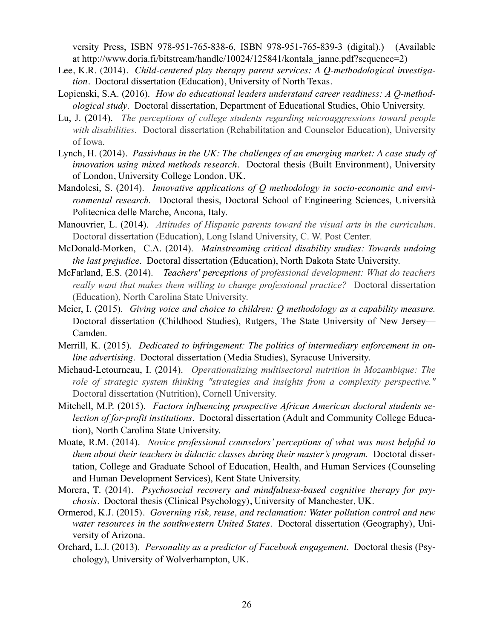versity Press, ISBN 978-951-765-838-6, ISBN 978-951-765-839-3 (digital).) (Available at http://www.doria.fi/bitstream/handle/10024/125841/kontala\_janne.pdf?sequence=2)

- Lee, K.R. (2014). *Child-centered play therapy parent services: A Q-methodological investigation*. Doctoral dissertation (Education), University of North Texas.
- Lopienski, S.A. (2016). *How do educational leaders understand career readiness: A Q-methodological study*. Doctoral dissertation, Department of Educational Studies, Ohio University.
- Lu, J. (2014). *The perceptions of college students regarding microaggressions toward people with disabilities*. Doctoral dissertation (Rehabilitation and Counselor Education), University of Iowa.
- Lynch, H. (2014). *Passivhaus in the UK: The challenges of an emerging market: A case study of innovation using mixed methods research*. Doctoral thesis (Built Environment), University of London, University College London, UK.
- Mandolesi, S. (2014). *Innovative applications of Q methodology in socio-economic and environmental research.* Doctoral thesis, Doctoral School of Engineering Sciences, Università Politecnica delle Marche, Ancona, Italy.
- [Manouvrier, L.](http://search.proquest.com/pqdt/indexinglinkhandler/sng/au/Manouvrier,+Lynne/$N?accountid=11835) (2014). *Attitudes of Hispanic parents toward the visual arts in the curriculum*. Doctoral dissertation (Education), Long Island University, C. W. Post Center.
- McDonald-Morken, C.A. (2014). *Mainstreaming critical disability studies: Towards undoing the last prejudice*. Doctoral dissertation (Education), North Dakota State University.
- [McFarland, E.S. \(2014\).](http://search.proquest.com/pqdt/indexinglinkhandler/sng/au/McFarland,+Edward+Shawyne/$N?accountid=11835) *Teachers' perceptions of professional development: What do teachers really want that makes them willing to change professional practice?* Doctoral dissertation (Education), North Carolina State University.
- Meier, I. (2015). *Giving voice and choice to children: Q methodology as a capability measure.* Doctoral dissertation (Childhood Studies), Rutgers, The State University of New Jersey— Camden.
- Merrill, K. (2015). *Dedicated to infringement: The politics of intermediary enforcement in online advertising*. Doctoral dissertation (Media Studies), Syracuse University.
- [Michaud-Letourneau, I.](http://search.proquest.com/pqdt/indexinglinkhandler/sng/au/Michaud-Letourneau,+Isabelle/$N?accountid=11835) (2014). *Operationalizing multisectoral nutrition in Mozambique: The role of strategic system thinking "strategies and insights from a complexity perspective."* Doctoral dissertation (Nutrition), Cornell University.
- Mitchell, M.P. (2015). *Factors influencing prospective African American doctoral students selection of for-profit institutions*. Doctoral dissertation (Adult and Community College Education), North Carolina State University.
- Moate, R.M. (2014). *Novice professional counselors' perceptions of what was most helpful to them about their teachers in didactic classes during their master's program.* Doctoral dissertation, College and Graduate School of Education, Health, and Human Services (Counseling and Human Development Services), Kent State University.
- Morera, T. (2014). *Psychosocial recovery and mindfulness-based cognitive therapy for psychosis*. Doctoral thesis (Clinical Psychology), University of Manchester, UK.
- Ormerod, K.J. (2015). *Governing risk, reuse, and reclamation: Water pollution control and new water resources in the southwestern United States*. Doctoral dissertation (Geography), University of Arizona.
- Orchard, L.J. (2013). *Personality as a predictor of Facebook engagement*. Doctoral thesis (Psychology), University of Wolverhampton, UK.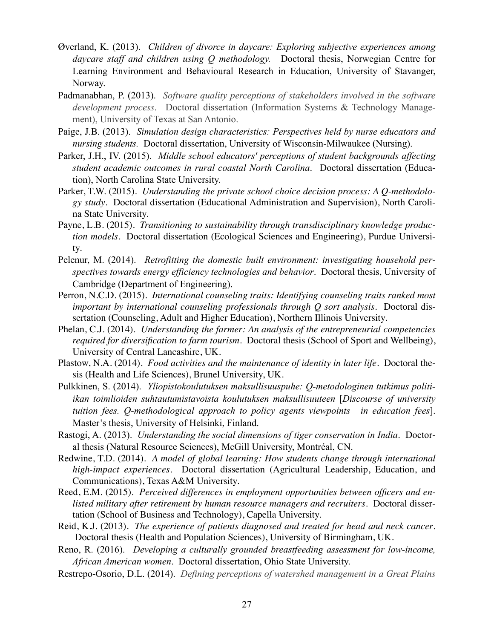- Øverland, K. (2013). *Children of divorce in daycare: Exploring subjective experiences among daycare staff and children using Q methodology.* Doctoral thesis, Norwegian Centre for Learning Environment and Behavioural Research in Education, University of Stavanger, Norway.
- Padmanabhan, P. (2013). *Software quality perceptions of stakeholders involved in the software development process*. Doctoral dissertation (Information Systems & Technology Management), University of Texas at San Antonio.
- Paige, J.B. (2013). *Simulation design characteristics: Perspectives held by nurse educators and nursing students.* Doctoral dissertation, University of Wisconsin-Milwaukee (Nursing).
- Parker, J.H., IV. (2015). *Middle school educators' perceptions of student backgrounds affecting student academic outcomes in rural coastal North Carolina*. Doctoral dissertation (Education), North Carolina State University.
- Parker, T.W. (2015). *Understanding the private school choice decision process: A Q-methodology study*. Doctoral dissertation (Educational Administration and Supervision), North Carolina State University.
- Payne, L.B. (2015). *Transitioning to sustainability through transdisciplinary knowledge production models*. Doctoral dissertation (Ecological Sciences and Engineering), Purdue University.
- Pelenur, M. (2014). *Retrofitting the domestic built environment: investigating household perspectives towards energy efficiency technologies and behavior*. Doctoral thesis, University of Cambridge (Department of Engineering).
- Perron, N.C.D. (2015). *International counseling traits: Identifying counseling traits ranked most important by international counseling professionals through Q sort analysis*. Doctoral dissertation (Counseling, Adult and Higher Education), Northern Illinois University.
- Phelan, C.J. (2014). *Understanding the farmer: An analysis of the entrepreneurial competencies required for diversification to farm tourism*. Doctoral thesis (School of Sport and Wellbeing), University of Central Lancashire, UK.
- Plastow, N.A. (2014). *Food activities and the maintenance of identity in later life*. Doctoral thesis (Health and Life Sciences), Brunel University, UK.
- Pulkkinen, S. (2014). *Yliopistokoulutuksen maksullisuuspuhe: Q-metodologinen tutkimus politiikan toimlioiden suhtautumistavoista koulutuksen maksullisuuteen* [*Discourse of university tuition fees. Q-methodological approach to policy agents viewpoints in education fees*]. Master's thesis, University of Helsinki, Finland.
- Rastogi, A. (2013). *Understanding the social dimensions of tiger conservation in India*. Doctoral thesis (Natural Resource Sciences), McGill University, Montréal, CN.
- Redwine, T.D. (2014). *A model of global learning: How students change through international high-impact experiences*. Doctoral dissertation (Agricultural Leadership, Education, and Communications), Texas A&M University.
- Reed, E.M. (2015). *Perceived differences in employment opportunities between officers and enlisted military after retirement by human resource managers and recruiters*. Doctoral dissertation (School of Business and Technology), Capella University.
- Reid, K.J. (2013). *The experience of patients diagnosed and treated for head and neck cancer*. Doctoral thesis (Health and Population Sciences), University of Birmingham, UK.
- Reno, R. (2016). *Developing a culturally grounded breastfeeding assessment for low-income, African American women*. Doctoral dissertation, Ohio State University.
- Restrepo-Osorio, D.L. (2014). *Defining perceptions of watershed management in a Great Plains*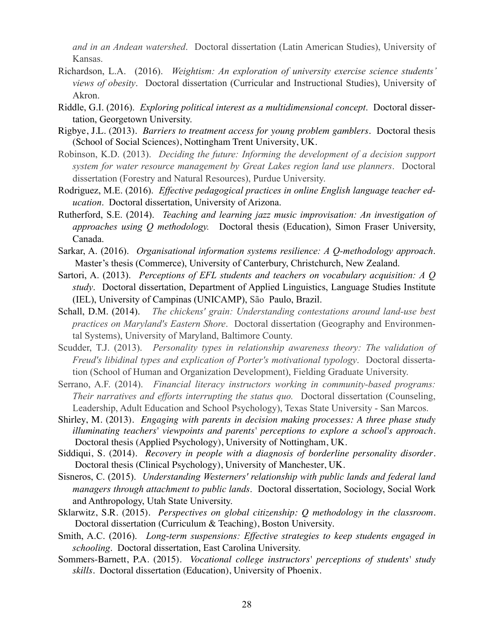*and in an Andean watershed*. Doctoral dissertation (Latin American Studies), University of Kansas.

- Richardson, L.A. (2016). *Weightism: An exploration of university exercise science students' views of obesity*. Doctoral dissertation (Curricular and Instructional Studies), University of Akron.
- Riddle, G.I. (2016). *Exploring political interest as a multidimensional concept*. Doctoral dissertation, Georgetown University.
- Rigbye, J.L. (2013). *Barriers to treatment access for young problem gamblers*. Doctoral thesis (School of Social Sciences), Nottingham Trent University, UK.
- Robinson, K.D. (2013). *Deciding the future: Informing the development of a decision support system for water resource management by Great Lakes region land use planners*. Doctoral dissertation (Forestry and Natural Resources), Purdue University.
- Rodriguez, M.E. (2016). *Effective pedagogical practices in online English language teacher education*. Doctoral dissertation, University of Arizona.
- Rutherford, S.E. (2014). *Teaching and learning jazz music improvisation: An investigation of approaches using Q methodology.* Doctoral thesis (Education), Simon Fraser University, Canada.
- Sarkar, A. (2016). *Organisational information systems resilience: A Q-methodology approach*. Master's thesis (Commerce), University of Canterbury, Christchurch, New Zealand.
- Sartori, A. (2013). *Perceptions of EFL students and teachers on vocabulary acquisition: A Q study*. Doctoral dissertation, Department of Applied Linguistics, Language Studies Institute (IEL), University of Campinas (UNICAMP), São Paulo, Brazil.
- [Schall, D.M. \(2014\).](http://search.proquest.com/pqdt/indexinglinkhandler/sng/au/Schall,+Daniel+Michael/$N?accountid=11835) *The chickens' grain: Understanding contestations around land-use best practices on Maryland's Eastern Shore*. Doctoral dissertation (Geography and Environmental Systems), University of Maryland, Baltimore County.
- Scudder, T.J. (2013). *Personality types in relationship awareness theory: The validation of Freud's libidinal types and explication of Porter's motivational typology*. Doctoral dissertation (School of Human and Organization Development), Fielding Graduate University.
- Serrano, A.F. (2014). *Financial literacy instructors working in community-based programs: Their narratives and efforts interrupting the status quo.* Doctoral dissertation (Counseling, Leadership, Adult Education and School Psychology), Texas State University - San Marcos.
- Shirley, M. (2013). *Engaging with parents in decision making processes: A three phase study illuminating teachers' viewpoints and parents' perceptions to explore a school's approach*. Doctoral thesis (Applied Psychology), University of Nottingham, UK.
- Siddiqui, S. (2014). *Recovery in people with a diagnosis of borderline personality disorder*. Doctoral thesis (Clinical Psychology), University of Manchester, UK.
- Sisneros, C. (2015). *Understanding Westerners' relationship with public lands and federal land managers through attachment to public lands*. Doctoral dissertation, Sociology, Social Work and Anthropology, Utah State University.
- Sklarwitz, S.R. (2015). *Perspectives on global citizenship: Q methodology in the classroom*. Doctoral dissertation (Curriculum & Teaching), Boston University.
- Smith, A.C. (2016). *Long-term suspensions: Effective strategies to keep students engaged in schooling*. Doctoral dissertation, East Carolina University.
- Sommers-Barnett, P.A. (2015). *Vocational college instructors' perceptions of students' study skills*. Doctoral dissertation (Education), University of Phoenix.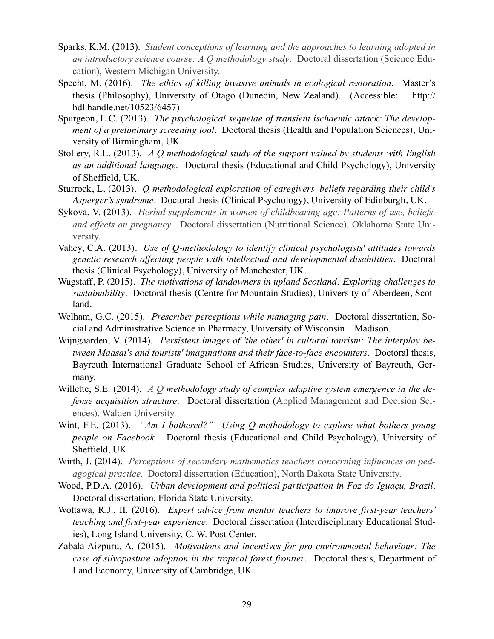- Sparks, K.M. (2013). *Student conceptions of learning and the approaches to learning adopted in an introductory science course: A Q methodology study*. Doctoral dissertation (Science Education), Western Michigan University.
- Specht, M. (2016). *The ethics of killing invasive animals in ecological restoration*. Master's thesis (Philosophy), University of Otago (Dunedin, New Zealand). (Accessible: http:// hdl.handle.net/10523/6457)
- Spurgeon, L.C. (2013). *The psychological sequelae of transient ischaemic attack: The development of a preliminary screening tool*. Doctoral thesis (Health and Population Sciences), University of Birmingham, UK.
- Stollery, R.L. (2013). *A Q methodological study of the support valued by students with English as an additional language*. Doctoral thesis (Educational and Child Psychology), University of Sheffield, UK.
- Sturrock, L. (2013). *Q methodological exploration of caregivers' beliefs regarding their child's Asperger's syndrome*. Doctoral thesis (Clinical Psychology), University of Edinburgh, UK.
- Sykova, V. (2013). *Herbal supplements in women of childbearing age: Patterns of use, beliefs, and effects on pregnancy*. Doctoral dissertation (Nutritional Science), Oklahoma State University.
- Vahey, C.A. (2013). *Use of Q-methodology to identify clinical psychologists' attitudes towards genetic research affecting people with intellectual and developmental disabilities*. Doctoral thesis (Clinical Psychology), University of Manchester, UK.
- Wagstaff, P. (2015). *The motivations of landowners in upland Scotland: Exploring challenges to sustainability*. Doctoral thesis (Centre for Mountain Studies), University of Aberdeen, Scotland.
- Welham, G.C. (2015). *Prescriber perceptions while managing pain*. Doctoral dissertation, Social and Administrative Science in Pharmacy, University of Wisconsin – Madison.
- Wijngaarden, V. (2014). *Persistent images of 'the other' in cultural tourism: The interplay between Maasai's and tourists' imaginations and their face-to-face encounters*. Doctoral thesis, Bayreuth International Graduate School of African Studies, University of Bayreuth, Germany.
- [Willette, S.E.](http://search.proquest.com/pqdt/indexinglinkhandler/sng/au/Willette,+Scott+Evans/$N?accountid=11835) (2014). *A Q methodology study of complex adaptive system emergence in the defense acquisition structure*. Doctoral dissertation (Applied Management and Decision Sciences), Walden University.
- Wint, F.E. (2013). *"Am I bothered?"—Using Q-methodology to explore what bothers young people on Facebook.* Doctoral thesis (Educational and Child Psychology), University of Sheffield, UK.
- Wirth, J. (2014). *Perceptions of secondary mathematics teachers concerning influences on pedagogical practice*. Doctoral dissertation (Education), North Dakota State University.
- Wood, P.D.A. (2016). *Urban development and political participation in Foz do Iguaçu, Brazil*. Doctoral dissertation, Florida State University.
- Wottawa, R.J., II. (2016). *Expert advice from mentor teachers to improve first-year teachers' teaching and first-year experience*. Doctoral dissertation (Interdisciplinary Educational Studies), Long Island University, C. W. Post Center.
- Zabala Aizpuru, A. (2015). *Motivations and incentives for pro-environmental behaviour: The case of silvopasture adoption in the tropical forest frontier*. Doctoral thesis, Department of Land Economy, University of Cambridge, UK.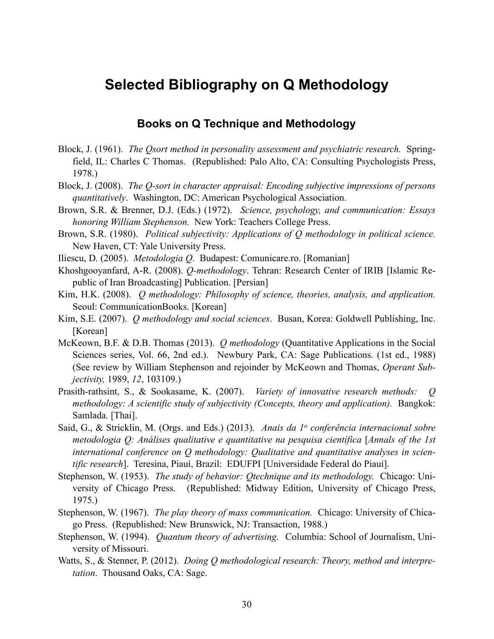## **Selected Bibliography on Q Methodology**

### **Books on Q Technique and Methodology**

- Block, J. (1961). *The Qsort method in personality assessment and psychiatric research.* Springfield, IL: Charles C Thomas. (Republished: Palo Alto, CA: Consulting Psychologists Press, 1978.)
- Block, J. (2008). *The Q-sort in character appraisal: Encoding subjective impressions of persons quantitatively*. Washington, DC: American Psychological Association.
- Brown, S.R. & Brenner, D.J. (Eds.) (1972). *Science, psychology, and communication: Essays honoring William Stephenson.* New York: Teachers College Press.
- Brown, S.R. (1980). *Political subjectivity: Applications of Q methodology in political science.* New Haven, CT: Yale University Press.
- Iliescu, D. (2005). *Metodologia Q*. Budapest: Comunicare.ro. [Romanian]
- Khoshgooyanfard, A-R. (2008). *Q-methodology*. Tehran: Research Center of IRIB [Islamic Republic of Iran Broadcasting] Publication. [Persian]
- Kim, H.K. (2008). *Q methodology: Philosophy of science, theories, analysis, and application.* Seoul: CommunicationBooks. [Korean]
- Kim, S.E. (2007). *Q methodology and social sciences*. Busan, Korea: Goldwell Publishing, Inc. [Korean]
- McKeown, B.F. & D.B. Thomas (2013). *Q methodology* (Quantitative Applications in the Social Sciences series, Vol. 66, 2nd ed.). Newbury Park, CA: Sage Publications. (1st ed., 1988) (See review by William Stephenson and rejoinder by McKeown and Thomas, *Operant Subjectivity,* 1989, *12*, 103109.)
- Prasith-rathsint, S., & Sookasame, K. (2007). *Variety of innovative research methods: Q methodology: A scientific study of subjectivity (Concepts, theory and application).* Bangkok: Samlada. [Thai].
- Said, G., & Stricklin, M. (Orgs. and Eds.) (2013). *Anais da 1o conferência internacional sobre metodologia Q: Análises qualitative e quantitative na pesquisa científica* [*Annals of the 1st international conference on Q methodology: Qualitative and quantitative analyses in scientific research*]. Teresina, Piauí, Brazil: EDUFPI [Universidade Federal do Piauí].
- Stephenson, W. (1953). *The study of behavior: Qtechnique and its methodology.* Chicago: University of Chicago Press. (Republished: Midway Edition, University of Chicago Press, 1975.)
- Stephenson, W. (1967). *The play theory of mass communication.* Chicago: University of Chicago Press. (Republished: New Brunswick, NJ: Transaction, 1988.)
- Stephenson, W. (1994). *Quantum theory of advertising.* Columbia: School of Journalism, University of Missouri.
- Watts, S., & Stenner, P. (2012). *Doing Q methodological research: Theory, method and interpretation*. Thousand Oaks, CA: Sage.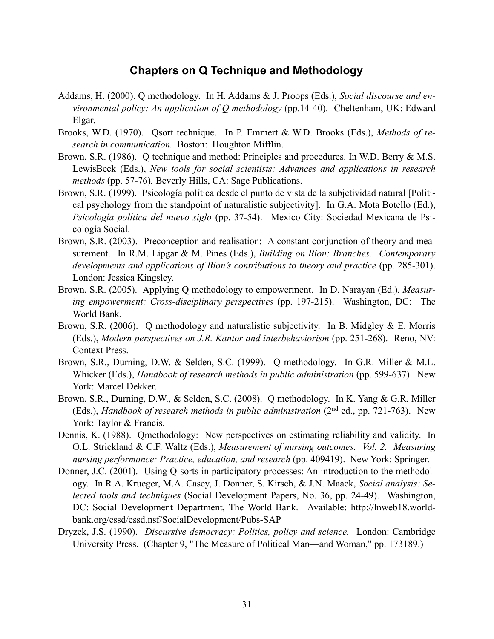### **Chapters on Q Technique and Methodology**

- Addams, H. (2000). Q methodology. In H. Addams & J. Proops (Eds.), *Social discourse and environmental policy: An application of Q methodology* (pp.14-40). Cheltenham, UK: Edward Elgar.
- Brooks, W.D. (1970). Qsort technique. In P. Emmert & W.D. Brooks (Eds.), *Methods of research in communication.* Boston: Houghton Mifflin.
- Brown, S.R. (1986). Q technique and method: Principles and procedures. In W.D. Berry & M.S. LewisBeck (Eds.), *New tools for social scientists: Advances and applications in research methods* (pp. 57-76)*.* Beverly Hills, CA: Sage Publications.
- Brown, S.R. (1999). Psicología política desde el punto de vista de la subjetividad natural [Political psychology from the standpoint of naturalistic subjectivity]. In G.A. Mota Botello (Ed.), *Psicología política del nuevo siglo* (pp. 37-54). Mexico City: Sociedad Mexicana de Psicología Social.
- Brown, S.R. (2003). Preconception and realisation: A constant conjunction of theory and measurement. In R.M. Lipgar & M. Pines (Eds.), *Building on Bion: Branches. Contemporary developments and applications of Bion's contributions to theory and practice* (pp. 285-301). London: Jessica Kingsley.
- Brown, S.R. (2005). Applying Q methodology to empowerment. In D. Narayan (Ed.), *Measuring empowerment: Cross-disciplinary perspectives* (pp. 197-215). Washington, DC: The World Bank.
- Brown, S.R. (2006). Q methodology and naturalistic subjectivity. In B. Midgley & E. Morris (Eds.), *Modern perspectives on J.R. Kantor and interbehaviorism* (pp. 251-268). Reno, NV: Context Press.
- Brown, S.R., Durning, D.W. & Selden, S.C. (1999). Q methodology. In G.R. Miller & M.L. Whicker (Eds.), *Handbook of research methods in public administration* (pp. 599-637). New York: Marcel Dekker.
- Brown, S.R., Durning, D.W., & Selden, S.C. (2008). Q methodology. In K. Yang & G.R. Miller (Eds.), *Handbook of research methods in public administration* (2nd ed., pp. 721-763). New York: Taylor & Francis.
- Dennis, K. (1988). Qmethodology: New perspectives on estimating reliability and validity. In O.L. Strickland & C.F. Waltz (Eds.), *Measurement of nursing outcomes. Vol. 2. Measuring nursing performance: Practice, education, and research* (pp. 409419). New York: Springer.
- Donner, J.C. (2001). Using Q-sorts in participatory processes: An introduction to the methodology. In R.A. Krueger, M.A. Casey, J. Donner, S. Kirsch, & J.N. Maack, *Social analysis: Selected tools and techniques* (Social Development Papers, No. 36, pp. 24-49). Washington, DC: Social Development Department, The World Bank. Available: http://lnweb18.worldbank.org/essd/essd.nsf/SocialDevelopment/Pubs-SAP
- Dryzek, J.S. (1990). *Discursive democracy: Politics, policy and science.* London: Cambridge University Press. (Chapter 9, "The Measure of Political Man—and Woman," pp. 173189.)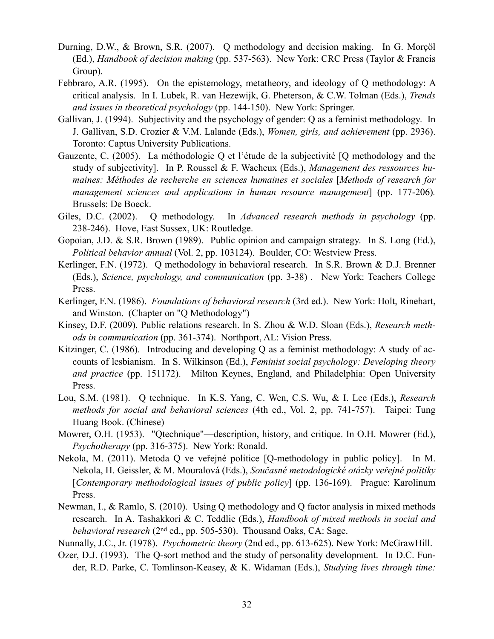- Durning, D.W., & Brown, S.R. (2007). Q methodology and decision making. In G. Morçöl (Ed.), *Handbook of decision making* (pp. 537-563). New York: CRC Press (Taylor & Francis Group).
- Febbraro, A.R. (1995). On the epistemology, metatheory, and ideology of Q methodology: A critical analysis. In I. Lubek, R. van Hezewijk, G. Pheterson, & C.W. Tolman (Eds.), *Trends and issues in theoretical psychology* (pp. 144-150). New York: Springer.
- Gallivan, J. (1994). Subjectivity and the psychology of gender: Q as a feminist methodology. In J. Gallivan, S.D. Crozier & V.M. Lalande (Eds.), *Women, girls, and achievement* (pp. 2936). Toronto: Captus University Publications.
- Gauzente, C. (2005). La méthodologie Q et l'étude de la subjectivité [Q methodology and the study of subjectivity]. In P. Roussel & F. Wacheux (Eds.), *Management des ressources humaines: Méthodes de recherche en sciences humaines et sociales* [*Methods of research for management sciences and applications in human resource management*] (pp. 177-206)*.* Brussels: De Boeck.
- Giles, D.C. (2002). Q methodology. In *Advanced research methods in psychology* (pp. 238-246). Hove, East Sussex, UK: Routledge.
- Gopoian, J.D. & S.R. Brown (1989). Public opinion and campaign strategy. In S. Long (Ed.), *Political behavior annual* (Vol. 2, pp. 103124). Boulder, CO: Westview Press.
- Kerlinger, F.N. (1972). Q methodology in behavioral research. In S.R. Brown & D.J. Brenner (Eds.), *Science, psychology, and communication* (pp. 3-38) *.* New York: Teachers College Press.
- Kerlinger, F.N. (1986). *Foundations of behavioral research* (3rd ed.). New York: Holt, Rinehart, and Winston. (Chapter on "Q Methodology")
- Kinsey, D.F. (2009). Public relations research. In S. Zhou & W.D. Sloan (Eds.), *Research methods in communication* (pp. 361-374). Northport, AL: Vision Press.
- Kitzinger, C. (1986). Introducing and developing Q as a feminist methodology: A study of accounts of lesbianism. In S. Wilkinson (Ed.), *Feminist social psychology: Developing theory and practice* (pp. 151172). Milton Keynes, England, and Philadelphia: Open University Press.
- Lou, S.M. (1981). Q technique. In K.S. Yang, C. Wen, C.S. Wu, & I. Lee (Eds.), *Research methods for social and behavioral sciences* (4th ed., Vol. 2, pp. 741-757). Taipei: Tung Huang Book. (Chinese)
- Mowrer, O.H. (1953). "Qtechnique"—description, history, and critique. In O.H. Mowrer (Ed.), *Psychotherapy* (pp. 316-375). New York: Ronald.
- Nekola, M. (2011). Metoda Q ve veřejné politice [Q-methodology in public policy]. In M. Nekola, H. Geissler, & M. Mouralová (Eds.), *Současné metodologické otázky veřejné politiky*  [*Contemporary methodological issues of public policy*] (pp. 136-169). Prague: Karolinum Press.
- Newman, I., & Ramlo, S. (2010). Using Q methodology and Q factor analysis in mixed methods research. In A. Tashakkori & C. Teddlie (Eds.), *Handbook of mixed methods in social and behavioral research* (2nd ed., pp. 505-530). Thousand Oaks, CA: Sage.
- Nunnally, J.C., Jr. (1978). *Psychometric theory* (2nd ed., pp. 613-625). New York: McGrawHill.
- Ozer, D.J. (1993). The Q-sort method and the study of personality development. In D.C. Funder, R.D. Parke, C. Tomlinson-Keasey, & K. Widaman (Eds.), *Studying lives through time:*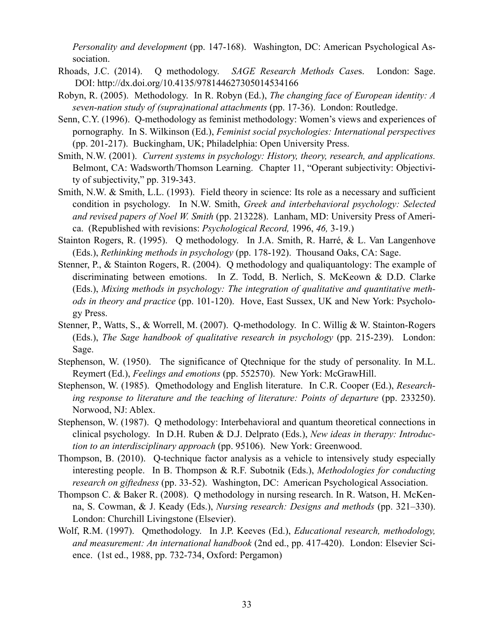*Personality and development* (pp. 147-168). Washington, DC: American Psychological Association.

- Rhoads, J.C. (2014). Q methodology. *SAGE Research Methods Case*s. London: Sage. DOI: <http://dx.doi.org/10.4135/978144627305014534166>
- Robyn, R. (2005). Methodology. In R. Robyn (Ed.), *The changing face of European identity: A seven-nation study of (supra)national attachments* (pp. 17-36). London: Routledge.
- Senn, C.Y. (1996). Q-methodology as feminist methodology: Women's views and experiences of pornography. In S. Wilkinson (Ed.), *Feminist social psychologies: International perspectives* (pp. 201-217). Buckingham, UK; Philadelphia: Open University Press.
- Smith, N.W. (2001). *Current systems in psychology: History, theory, research, and applications.*  Belmont, CA: Wadsworth/Thomson Learning. Chapter 11, "Operant subjectivity: Objectivity of subjectivity," pp. 319-343.
- Smith, N.W. & Smith, L.L. (1993). Field theory in science: Its role as a necessary and sufficient condition in psychology. In N.W. Smith, *Greek and interbehavioral psychology: Selected and revised papers of Noel W. Smith* (pp. 213228). Lanham, MD: University Press of America. (Republished with revisions: *Psychological Record,* 1996, *46,* 3-19.)
- Stainton Rogers, R. (1995). Q methodology. In J.A. Smith, R. Harré, & L. Van Langenhove (Eds.), *Rethinking methods in psychology* (pp. 178-192). Thousand Oaks, CA: Sage.
- Stenner, P., & Stainton Rogers, R. (2004). Q methodology and qualiquantology: The example of discriminating between emotions. In Z. Todd, B. Nerlich, S. McKeown & D.D. Clarke (Eds.), *Mixing methods in psychology: The integration of qualitative and quantitative methods in theory and practice* (pp. 101-120). Hove, East Sussex, UK and New York: Psychology Press.
- Stenner, P., Watts, S., & Worrell, M. (2007). Q-methodology. In C. Willig & W. Stainton-Rogers (Eds.), *The Sage handbook of qualitative research in psychology* (pp. 215-239). London: Sage.
- Stephenson, W. (1950). The significance of Qtechnique for the study of personality. In M.L. Reymert (Ed.), *Feelings and emotions* (pp. 552570). New York: McGrawHill.
- Stephenson, W. (1985). Qmethodology and English literature. In C.R. Cooper (Ed.), *Researching response to literature and the teaching of literature: Points of departure* (pp. 233250). Norwood, NJ: Ablex.
- Stephenson, W. (1987). Q methodology: Interbehavioral and quantum theoretical connections in clinical psychology. In D.H. Ruben & D.J. Delprato (Eds.), *New ideas in therapy: Introduction to an interdisciplinary approach* (pp. 95106). New York: Greenwood.
- Thompson, B. (2010). Q-technique factor analysis as a vehicle to intensively study especially interesting people. In B. Thompson & R.F. Subotnik (Eds.), *Methodologies for conducting research on giftedness* (pp. 33-52). Washington, DC: American Psychological Association.
- Thompson C. & Baker R. (2008). Q methodology in nursing research. In R. Watson, H. McKenna, S. Cowman, & J. Keady (Eds.), *Nursing research: Designs and methods* (pp. 321–330). London: Churchill Livingstone (Elsevier).
- Wolf, R.M. (1997). Qmethodology. In J.P. Keeves (Ed.), *Educational research, methodology, and measurement: An international handbook* (2nd ed., pp. 417-420). London: Elsevier Science. (1st ed., 1988, pp. 732-734, Oxford: Pergamon)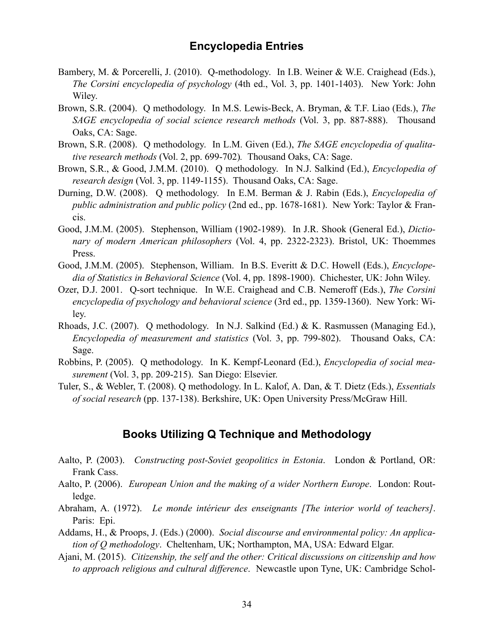### **Encyclopedia Entries**

- Bambery, M. & Porcerelli, J. (2010). Q-methodology. In I.B. Weiner & W.E. Craighead (Eds.), *The Corsini encyclopedia of psychology* (4th ed., Vol. 3, pp. 1401-1403). New York: John Wiley.
- Brown, S.R. (2004). Q methodology. In M.S. Lewis-Beck, A. Bryman, & T.F. Liao (Eds.), *The SAGE encyclopedia of social science research methods* (Vol. 3, pp. 887-888). Thousand Oaks, CA: Sage.
- Brown, S.R. (2008). Q methodology. In L.M. Given (Ed.), *The SAGE encyclopedia of qualitative research methods* (Vol. 2, pp. 699-702)*.* Thousand Oaks, CA: Sage.
- Brown, S.R., & Good, J.M.M. (2010). Q methodology. In N.J. Salkind (Ed.), *Encyclopedia of research design* (Vol. 3, pp. 1149-1155). Thousand Oaks, CA: Sage.
- Durning, D.W. (2008). Q methodology. In E.M. Berman & J. Rabin (Eds.), *Encyclopedia of public administration and public policy* (2nd ed., pp. 1678-1681). New York: Taylor & Francis.
- Good, J.M.M. (2005). Stephenson, William (1902-1989). In J.R. Shook (General Ed.), *Dictionary of modern American philosophers* (Vol. 4, pp. 2322-2323). Bristol, UK: Thoemmes Press.
- Good, J.M.M. (2005). Stephenson, William. In B.S. Everitt & D.C. Howell (Eds.), *Encyclopedia of Statistics in Behavioral Science* (Vol. 4, pp. 1898-1900). Chichester, UK: John Wiley.
- Ozer, D.J. 2001. Q-sort technique. In W.E. Craighead and C.B. Nemeroff (Eds.), *The Corsini encyclopedia of psychology and behavioral science* (3rd ed., pp. 1359-1360). New York: Wiley.
- Rhoads, J.C. (2007). Q methodology. In N.J. Salkind (Ed.) & K. Rasmussen (Managing Ed.), *Encyclopedia of measurement and statistics* (Vol. 3, pp. 799-802). Thousand Oaks, CA: Sage.
- Robbins, P. (2005). Q methodology. In K. Kempf-Leonard (Ed.), *Encyclopedia of social measurement* (Vol. 3, pp. 209-215). San Diego: Elsevier.
- Tuler, S., & Webler, T. (2008). Q methodology. In L. Kalof, A. Dan, & T. Dietz (Eds.), *Essentials of social research* (pp. 137-138). Berkshire, UK: Open University Press/McGraw Hill.

### **Books Utilizing Q Technique and Methodology**

- Aalto, P. (2003). *Constructing post-Soviet geopolitics in Estonia*. London & Portland, OR: Frank Cass.
- Aalto, P. (2006). *European Union and the making of a wider Northern Europe*. London: Routledge.
- Abraham, A. (1972). *Le monde intérieur des enseignants [The interior world of teachers]*. Paris: Epi.
- Addams, H., & Proops, J. (Eds.) (2000). *Social discourse and environmental policy: An application of Q methodology*. Cheltenham, UK; Northampton, MA, USA: Edward Elgar.
- Ajani, M. (2015). *Citizenship, the self and the other: Critical discussions on citizenship and how to approach religious and cultural difference*. Newcastle upon Tyne, UK: Cambridge Schol-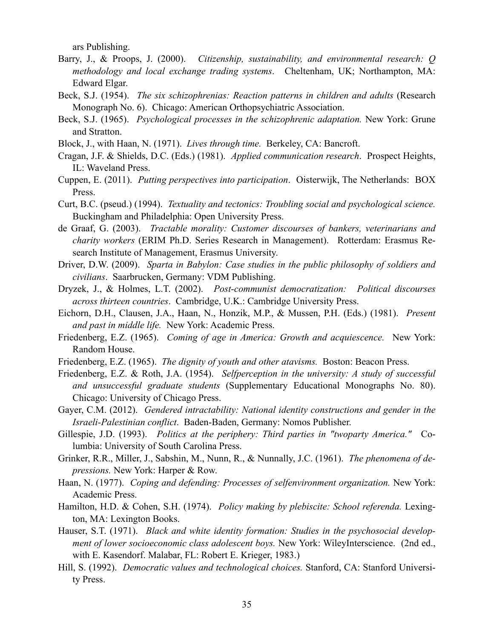ars Publishing.

- Barry, J., & Proops, J. (2000). *Citizenship, sustainability, and environmental research: Q methodology and local exchange trading systems*. Cheltenham, UK; Northampton, MA: Edward Elgar.
- Beck, S.J. (1954). *The six schizophrenias: Reaction patterns in children and adults* (Research Monograph No. 6). Chicago: American Orthopsychiatric Association.
- Beck, S.J. (1965). *Psychological processes in the schizophrenic adaptation.* New York: Grune and Stratton.
- Block, J., with Haan, N. (1971). *Lives through time.* Berkeley, CA: Bancroft.
- Cragan, J.F. & Shields, D.C. (Eds.) (1981). *Applied communication research*. Prospect Heights, IL: Waveland Press.
- Cuppen, E. (2011). *Putting perspectives into participation*. Oisterwijk, The Netherlands: BOX Press.
- Curt, B.C. (pseud.) (1994). *Textuality and tectonics: Troubling social and psychological science.*  Buckingham and Philadelphia: Open University Press.
- de Graaf, G. (2003). *Tractable morality: Customer discourses of bankers, veterinarians and charity workers* (ERIM Ph.D. Series Research in Management). Rotterdam: Erasmus Research Institute of Management, Erasmus University.
- Driver, D.W. (2009). *Sparta in Babylon: Case studies in the public philosophy of soldiers and civilians*. Saarbrucken, Germany: VDM Publishing.
- Dryzek, J., & Holmes, L.T. (2002). *Post-communist democratization: Political discourses across thirteen countries*. Cambridge, U.K.: Cambridge University Press.
- Eichorn, D.H., Clausen, J.A., Haan, N., Honzik, M.P., & Mussen, P.H. (Eds.) (1981). *Present and past in middle life.* New York: Academic Press.
- Friedenberg, E.Z. (1965). *Coming of age in America: Growth and acquiescence.* New York: Random House.
- Friedenberg, E.Z. (1965). *The dignity of youth and other atavisms.* Boston: Beacon Press.
- Friedenberg, E.Z. & Roth, J.A. (1954). *Selfperception in the university: A study of successful and unsuccessful graduate students* (Supplementary Educational Monographs No. 80). Chicago: University of Chicago Press.
- Gayer, C.M. (2012). *Gendered intractability: National identity constructions and gender in the Israeli-Palestinian conflict*. Baden-Baden, Germany: Nomos Publisher.
- Gillespie, J.D. (1993). *Politics at the periphery: Third parties in "twoparty America."* Columbia: University of South Carolina Press.
- Grinker, R.R., Miller, J., Sabshin, M., Nunn, R., & Nunnally, J.C. (1961). *The phenomena of depressions.* New York: Harper & Row.
- Haan, N. (1977). *Coping and defending: Processes of selfenvironment organization*. New York: Academic Press.
- Hamilton, H.D. & Cohen, S.H. (1974). *Policy making by plebiscite: School referenda.* Lexington, MA: Lexington Books.
- Hauser, S.T. (1971). *Black and white identity formation: Studies in the psychosocial development of lower socioeconomic class adolescent boys.* New York: WileyInterscience. (2nd ed., with E. Kasendorf. Malabar, FL: Robert E. Krieger, 1983.)
- Hill, S. (1992). *Democratic values and technological choices.* Stanford, CA: Stanford University Press.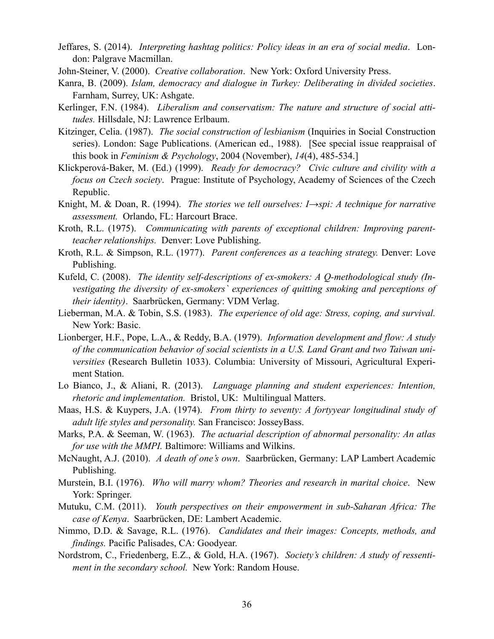- Jeffares, S. (2014). *Interpreting hashtag politics: Policy ideas in an era of social media*. London: Palgrave Macmillan.
- John-Steiner, V. (2000). *Creative collaboration*. New York: Oxford University Press.
- Kanra, B. (2009). *Islam, democracy and dialogue in Turkey: Deliberating in divided societies*. Farnham, Surrey, UK: Ashgate.
- Kerlinger, F.N. (1984). *Liberalism and conservatism: The nature and structure of social attitudes.* Hillsdale, NJ: Lawrence Erlbaum.
- Kitzinger, Celia. (1987). *The social construction of lesbianism* (Inquiries in Social Construction series). London: Sage Publications. (American ed., 1988). [See special issue reappraisal of this book in *Feminism & Psychology*, 2004 (November), *14*(4), 485-534.]
- Klickperová-Baker, M. (Ed.) (1999). *Ready for democracy? Civic culture and civility with a focus on Czech society*. Prague: Institute of Psychology, Academy of Sciences of the Czech Republic.
- Knight, M. & Doan, R. (1994). *The stories we tell ourselves: I→spi: A technique for narrative assessment.* Orlando, FL: Harcourt Brace.
- Kroth, R.L. (1975). *Communicating with parents of exceptional children: Improving parentteacher relationships.* Denver: Love Publishing.
- Kroth, R.L. & Simpson, R.L. (1977). *Parent conferences as a teaching strategy.* Denver: Love Publishing.
- Kufeld, C. (2008). *The identity self-descriptions of ex-smokers: A Q-methodological study (Investigating the diversity of ex-smokers` experiences of quitting smoking and perceptions of their identity)*. Saarbrücken, Germany: VDM Verlag.
- Lieberman, M.A. & Tobin, S.S. (1983). *The experience of old age: Stress, coping, and survival.* New York: Basic.
- Lionberger, H.F., Pope, L.A., & Reddy, B.A. (1979). *Information development and flow: A study of the communication behavior of social scientists in a U.S. Land Grant and two Taiwan universities* (Research Bulletin 1033). Columbia: University of Missouri, Agricultural Experiment Station.
- Lo Bianco, J., & Aliani, R. (2013). *Language planning and student experiences: Intention, rhetoric and implementation.* Bristol, UK: Multilingual Matters.
- Maas, H.S. & Kuypers, J.A. (1974). *From thirty to seventy: A fortyyear longitudinal study of adult life styles and personality.* San Francisco: JosseyBass.
- Marks, P.A. & Seeman, W. (1963). *The actuarial description of abnormal personality: An atlas for use with the MMPI.* Baltimore: Williams and Wilkins.
- McNaught, A.J. (2010). *A death of one's own*. Saarbrücken, Germany: LAP Lambert Academic Publishing.
- Murstein, B.I. (1976). *Who will marry whom? Theories and research in marital choice*. New York: Springer.
- Mutuku, C.M. (2011). *Youth perspectives on their empowerment in sub-Saharan Africa: The case of Kenya*. Saarbrücken, DE: Lambert Academic.
- Nimmo, D.D. & Savage, R.L. (1976). *Candidates and their images: Concepts, methods, and findings.* Pacific Palisades, CA: Goodyear.
- Nordstrom, C., Friedenberg, E.Z., & Gold, H.A. (1967). *Society's children: A study of ressentiment in the secondary school.* New York: Random House.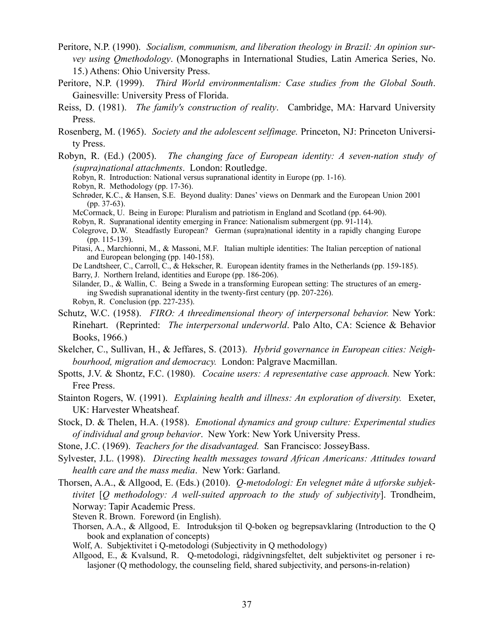- Peritore, N.P. (1990). *Socialism, communism, and liberation theology in Brazil: An opinion survey using Qmethodology*. (Monographs in International Studies, Latin America Series, No. 15.) Athens: Ohio University Press.
- Peritore, N.P. (1999). *Third World environmentalism: Case studies from the Global South*. Gainesville: University Press of Florida.
- Reiss, D. (1981). *The family's construction of reality*. Cambridge, MA: Harvard University Press.
- Rosenberg, M. (1965). *Society and the adolescent selfimage.* Princeton, NJ: Princeton University Press.
- Robyn, R. (Ed.) (2005). *The changing face of European identity: A seven-nation study of (supra)national attachments*. London: Routledge.
	- Robyn, R. Introduction: National versus supranational identity in Europe (pp. 1-16).
	- Robyn, R. Methodology (pp. 17-36).
	- Schrøder, K.C., & Hansen, S.E. Beyond duality: Danes' views on Denmark and the European Union 2001 (pp. 37-63).
	- McCormack, U. Being in Europe: Pluralism and patriotism in England and Scotland (pp. 64-90).
	- Robyn, R. Supranational identity emerging in France: Nationalism submergent (pp. 91-114).
	- Colegrove, D.W. Steadfastly European? German (supra)national identity in a rapidly changing Europe (pp. 115-139).
	- Pitasi, A., Marchionni, M., & Massoni, M.F. Italian multiple identities: The Italian perception of national and European belonging (pp. 140-158).
	- De Landtsheer, C., Carroll, C., & Hekscher, R. European identity frames in the Netherlands (pp. 159-185). Barry, J. Northern Ireland, identities and Europe (pp. 186-206).
	- Silander, D., & Wallin, C. Being a Swede in a transforming European setting: The structures of an emerging Swedish supranational identity in the twenty-first century (pp. 207-226). Robyn, R. Conclusion (pp. 227-235).
- Schutz, W.C. (1958). *FIRO: A threedimensional theory of interpersonal behavior.* New York: Rinehart. (Reprinted: *The interpersonal underworld*. Palo Alto, CA: Science & Behavior Books, 1966.)
- Skelcher, C., Sullivan, H., & Jeffares, S. (2013). *Hybrid governance in European cities: Neighbourhood, migration and democracy.* London: Palgrave Macmillan.
- Spotts, J.V. & Shontz, F.C. (1980). *Cocaine users: A representative case approach.* New York: Free Press.
- Stainton Rogers, W. (1991). *Explaining health and illness: An exploration of diversity.* Exeter, UK: Harvester Wheatsheaf.
- Stock, D. & Thelen, H.A. (1958). *Emotional dynamics and group culture: Experimental studies of individual and group behavior*. New York: New York University Press.
- Stone, J.C. (1969). *Teachers for the disadvantaged.* San Francisco: JosseyBass.
- Sylvester, J.L. (1998). *Directing health messages toward African Americans: Attitudes toward health care and the mass media*. New York: Garland.
- Thorsen, A.A., & Allgood, E. (Eds.) (2010). *Q-metodologi: En velegnet måte å utforske subjektivitet* [*Q methodology: A well-suited approach to the study of subjectivity*]. Trondheim, Norway: Tapir Academic Press.
	- Steven R. Brown. Foreword (in English).
	- Thorsen, A.A., & Allgood, E. Introduksjon til Q-boken og begrepsavklaring (Introduction to the Q book and explanation of concepts)
	- Wolf, A. Subjektivitet i Q-metodologi (Subjectivity in Q methodology)
	- Allgood, E., & Kvalsund, R. Q-metodologi, rådgivningsfeltet, delt subjektivitet og personer i relasjoner (Q methodology, the counseling field, shared subjectivity, and persons-in-relation)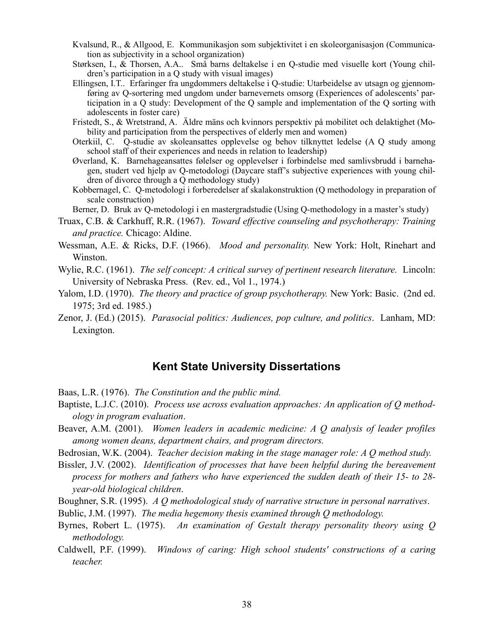- Kvalsund, R., & Allgood, E. Kommunikasjon som subjektivitet i en skoleorganisasjon (Communication as subjectivity in a school organization)
- Størksen, I., & Thorsen, A.A.. Små barns deltakelse i en Q-studie med visuelle kort (Young children's participation in a Q study with visual images)
- Ellingsen, I.T.. Erfaringer fra ungdommers deltakelse i Q-studie: Utarbeidelse av utsagn og gjennomføring av Q-sortering med ungdom under barnevernets omsorg (Experiences of adolescents' participation in a Q study: Development of the Q sample and implementation of the Q sorting with adolescents in foster care)
- Fristedt, S., & Wretstrand, A. Äldre mäns och kvinnors perspektiv på mobilitet och delaktighet (Mobility and participation from the perspectives of elderly men and women)
- Oterkiil, C. Q-studie av skoleansattes opplevelse og behov tilknyttet ledelse (A Q study among school staff of their experiences and needs in relation to leadership)
- Øverland, K. Barnehageansattes følelser og opplevelser i forbindelse med samlivsbrudd i barnehagen, studert ved hjelp av Q-metodologi (Daycare staff's subjective experiences with young children of divorce through a Q methodology study)
- Kobbernagel, C. Q-metodologi i forberedelser af skalakonstruktion (Q methodology in preparation of scale construction)
- Berner, D. Bruk av Q-metodologi i en mastergradstudie (Using Q-methodology in a master's study)
- Truax, C.B. & Carkhuff, R.R. (1967). *Toward effective counseling and psychotherapy: Training and practice.* Chicago: Aldine.
- Wessman, A.E. & Ricks, D.F. (1966). *Mood and personality.* New York: Holt, Rinehart and Winston.
- Wylie, R.C. (1961). *The self concept: A critical survey of pertinent research literature.* Lincoln: University of Nebraska Press. (Rev. ed., Vol 1., 1974.)
- Yalom, I.D. (1970). *The theory and practice of group psychotherapy.* New York: Basic. (2nd ed. 1975; 3rd ed. 1985.)
- Zenor, J. (Ed.) (2015). *Parasocial politics: Audiences, pop culture, and politics*. Lanham, MD: Lexington.

### **Kent State University Dissertations**

- Baas, L.R. (1976). *The Constitution and the public mind.*
- Baptiste, L.J.C. (2010). *Process use across evaluation approaches: An application of Q methodology in program evaluation*.
- Beaver, A.M. (2001). *Women leaders in academic medicine: A Q analysis of leader profiles among women deans, department chairs, and program directors.*
- Bedrosian, W.K. (2004). *Teacher decision making in the stage manager role: A Q method study.*
- Bissler, J.V. (2002). *Identification of processes that have been helpful during the bereavement process for mothers and fathers who have experienced the sudden death of their 15- to 28 year-old biological children*.
- Boughner, S.R. (1995). *A Q methodological study of narrative structure in personal narratives*.
- Bublic, J.M. (1997). *The media hegemony thesis examined through Q methodology.*
- Byrnes, Robert L. (1975). *An examination of Gestalt therapy personality theory using Q methodology.*
- Caldwell, P.F. (1999). *Windows of caring: High school students' constructions of a caring teacher.*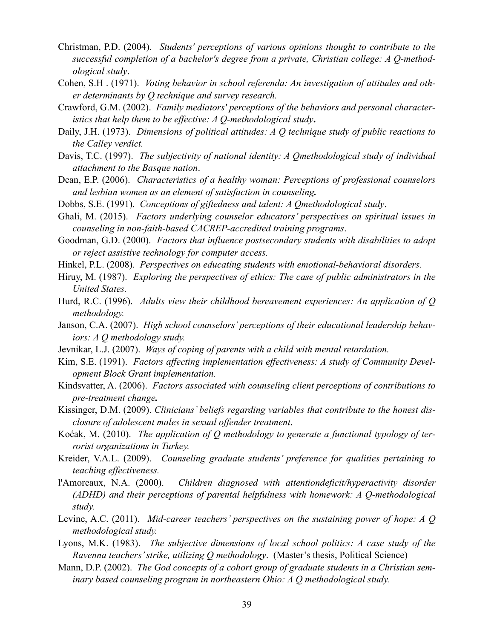- Christman, P.D. (2004). *Students' perceptions of various opinions thought to contribute to the successful completion of a bachelor's degree from a private, Christian college: A Q-methodological study*.
- Cohen, S.H . (1971). *Voting behavior in school referenda: An investigation of attitudes and other determinants by Q technique and survey research.*
- Crawford, G.M. (2002). *Family mediators' perceptions of the behaviors and personal characteristics that help them to be effective: A Q-methodological study***.**
- Daily, J.H. (1973). *Dimensions of political attitudes: A Q technique study of public reactions to the Calley verdict.*
- Davis, T.C. (1997). *The subjectivity of national identity: A Qmethodological study of individual attachment to the Basque nation*.
- Dean, E.P. (2006). *Characteristics of a healthy woman: Perceptions of professional counselors and lesbian women as an element of satisfaction in counseling.*
- Dobbs, S.E. (1991). *Conceptions of giftedness and talent: A Qmethodological study*.
- Ghali, M. (2015). *Factors underlying counselor educators' perspectives on spiritual issues in counseling in non-faith-based CACREP-accredited training programs*.
- Goodman, G.D. (2000). *Factors that influence postsecondary students with disabilities to adopt or reject assistive technology for computer access.*
- Hinkel, P.L. (2008). *Perspectives on educating students with emotional-behavioral disorders.*
- Hiruy, M. (1987). *Exploring the perspectives of ethics: The case of public administrators in the United States.*
- Hurd, R.C. (1996). *Adults view their childhood bereavement experiences: An application of Q methodology.*
- Janson, C.A. (2007). *High school counselors' perceptions of their educational leadership behaviors: A Q methodology study.*
- Jevnikar, L.J. (2007). *Ways of coping of parents with a child with mental retardation.*
- Kim, S.E. (1991). *Factors affecting implementation effectiveness: A study of Community Development Block Grant implementation.*
- Kindsvatter, A. (2006). *Factors associated with counseling client perceptions of contributions to pre-treatment change.*
- Kissinger, D.M. (2009). *Clinicians' beliefs regarding variables that contribute to the honest disclosure of adolescent males in sexual offender treatment*.
- Koćak, M. (2010). *The application of Q methodology to generate a functional typology of terrorist organizations in Turkey.*
- Kreider, V.A.L. (2009). *Counseling graduate students' preference for qualities pertaining to teaching effectiveness.*
- l'Amoreaux, N.A. (2000). *Children diagnosed with attentiondeficit/hyperactivity disorder (ADHD) and their perceptions of parental helpfulness with homework: A Q-methodological study.*
- Levine, A.C. (2011). *Mid-career teachers' perspectives on the sustaining power of hope: A Q methodological study.*
- Lyons, M.K. (1983). *The subjective dimensions of local school politics: A case study of the Ravenna teachers' strike, utilizing Q methodology*. (Master's thesis, Political Science)
- Mann, D.P. (2002). *The God concepts of a cohort group of graduate students in a Christian seminary based counseling program in northeastern Ohio: A Q methodological study.*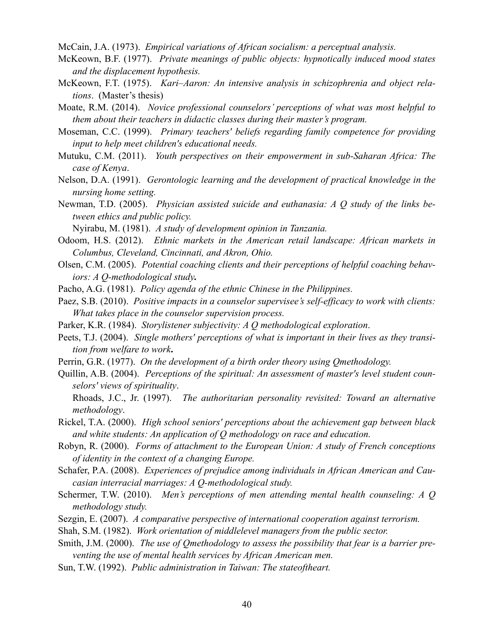McCain, J.A. (1973). *Empirical variations of African socialism: a perceptual analysis.*

- McKeown, B.F. (1977). *Private meanings of public objects: hypnotically induced mood states and the displacement hypothesis.*
- McKeown, F.T. (1975). *Kari–Aaron: An intensive analysis in schizophrenia and object relations*. (Master's thesis)
- Moate, R.M. (2014). *Novice professional counselors' perceptions of what was most helpful to them about their teachers in didactic classes during their master's program.*
- Moseman, C.C. (1999). *Primary teachers' beliefs regarding family competence for providing input to help meet children's educational needs.*
- Mutuku, C.M. (2011). *Youth perspectives on their empowerment in sub-Saharan Africa: The case of Kenya*.
- Nelson, D.A. (1991). *Gerontologic learning and the development of practical knowledge in the nursing home setting.*
- Newman, T.D. (2005). *Physician assisted suicide and euthanasia: A Q study of the links between ethics and public policy.*

Nyirabu, M. (1981). *A study of development opinion in Tanzania.* 

- Odoom, H.S. (2012). *Ethnic markets in the American retail landscape: African markets in Columbus, Cleveland, Cincinnati, and Akron, Ohio.*
- Olsen, C.M. (2005). *Potential coaching clients and their perceptions of helpful coaching behaviors: A Q-methodological study.*
- Pacho, A.G. (1981). *Policy agenda of the ethnic Chinese in the Philippines.*
- Paez, S.B. (2010). *Positive impacts in a counselor supervisee's self-efficacy to work with clients: What takes place in the counselor supervision process.*
- Parker, K.R. (1984). *Storylistener subjectivity: A Q methodological exploration*.
- Peets, T.J. (2004). *Single mothers' perceptions of what is important in their lives as they transition from welfare to work***.**
- Perrin, G.R. (1977). *On the development of a birth order theory using Qmethodology.*
- [Quillin, A.B.](http://kentlink.kent.edu/search/aQuillin%252C+Amy+B./aquillin+amy+b/-2,-1,0,B/browse) (2004).*Perceptions of the spiritual: An assessment of master's level student counselors' views of spirituality*.
	- Rhoads, J.C., Jr. (1997). *The authoritarian personality revisited: Toward an alternative methodology*.
- Rickel, T.A. (2000). *High school seniors' perceptions about the achievement gap between black and white students: An application of Q methodology on race and education.*
- Robyn, R. (2000). *Forms of attachment to the European Union: A study of French conceptions of identity in the context of a changing Europe.*
- Schafer, P.A. (2008). *Experiences of prejudice among individuals in African American and Caucasian interracial marriages: A Q-methodological study.*
- Schermer, T.W. (2010). *Men's perceptions of men attending mental health counseling: A Q methodology study.*
- Sezgin, E. (2007). *A comparative perspective of international cooperation against terrorism.*
- Shah, S.M. (1982). *Work orientation of middlelevel managers from the public sector.*
- Smith, J.M. (2000). *The use of Qmethodology to assess the possibility that fear is a barrier preventing the use of mental health services by African American men.*
- Sun, T.W. (1992). *Public administration in Taiwan: The stateoftheart.*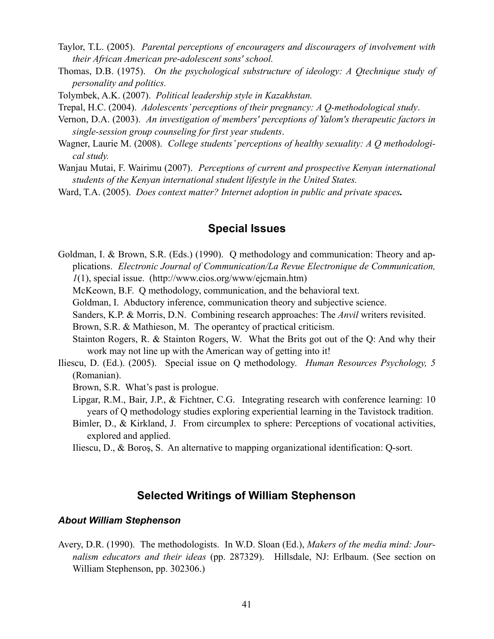- Taylor, T.L. (2005). *Parental perceptions of encouragers and discouragers of involvement with their African American pre-adolescent sons' school.*
- Thomas, D.B. (1975). *On the psychological substructure of ideology: A Qtechnique study of personality and politics.*
- Tolymbek, A.K. (2007). *Political leadership style in Kazakhstan.*
- Trepal, H.C. (2004). *Adolescents' perceptions of their pregnancy: A Q-methodological study*.
- Vernon, D.A. (2003). *An investigation of members' perceptions of Yalom's therapeutic factors in single-session group counseling for first year students*.
- Wagner, Laurie M. (2008). *College students' perceptions of healthy sexuality: A Q methodological study.*
- Wanjau Mutai, F. Wairimu (2007). *Perceptions of current and prospective Kenyan international students of the Kenyan international student lifestyle in the United States.*
- Ward, T.A. (2005). *Does context matter? Internet adoption in public and private spaces.*

### **Special Issues**

- Goldman, I. & Brown, S.R. (Eds.) (1990). Q methodology and communication: Theory and applications. *Electronic Journal of Communication/La Revue Electronique de Communication, 1*(1), special issue. [\(http://www.cios.org/www/ejcmain.htm\)](http://www.cios.org/www/ejcmain.htm)
	- McKeown, B.F. Q methodology, communication, and the behavioral text.
	- Goldman, I. Abductory inference, communication theory and subjective science.
	- Sanders, K.P. & Morris, D.N. Combining research approaches: The *Anvil* writers revisited.

Brown, S.R. & Mathieson, M. The operantcy of practical criticism.

- Stainton Rogers, R. & Stainton Rogers, W. What the Brits got out of the Q: And why their work may not line up with the American way of getting into it!
- Iliescu, D. (Ed.). (2005). Special issue on Q methodology. *Human Resources Psychology, 5* (Romanian).
	- Brown, S.R. What's past is prologue.
	- Lipgar, R.M., Bair, J.P., & Fichtner, C.G. Integrating research with conference learning: 10 years of Q methodology studies exploring experiential learning in the Tavistock tradition.
	- Bimler, D., & Kirkland, J. From circumplex to sphere: Perceptions of vocational activities, explored and applied.
	- Iliescu, D., & Boroş, S. An alternative to mapping organizational identification: Q-sort.

### **Selected Writings of William Stephenson**

#### *About William Stephenson*

Avery, D.R. (1990). The methodologists. In W.D. Sloan (Ed.), *Makers of the media mind: Journalism educators and their ideas* (pp. 287329). Hillsdale, NJ: Erlbaum. (See section on William Stephenson, pp. 302306.)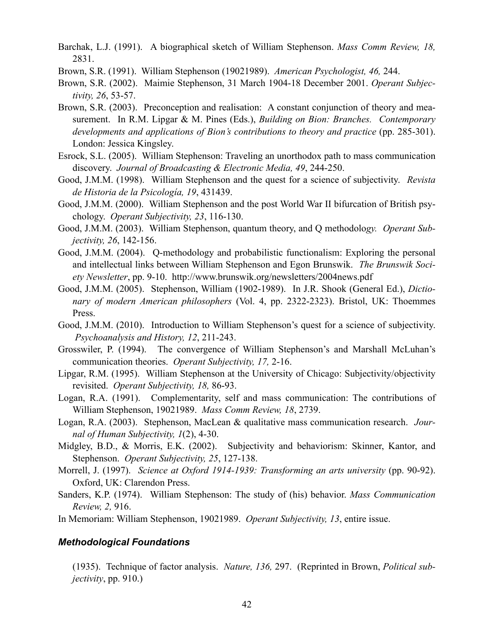- Barchak, L.J. (1991). A biographical sketch of William Stephenson. *Mass Comm Review, 18,* 2831.
- Brown, S.R. (1991). William Stephenson (19021989). *American Psychologist, 46,* 244.
- Brown, S.R. (2002). Maimie Stephenson, 31 March 1904-18 December 2001. *Operant Subjectivity, 26*, 53-57.
- Brown, S.R. (2003). Preconception and realisation: A constant conjunction of theory and measurement. In R.M. Lipgar & M. Pines (Eds.), *Building on Bion: Branches. Contemporary developments and applications of Bion's contributions to theory and practice* (pp. 285-301). London: Jessica Kingsley.
- Esrock, S.L. (2005). William Stephenson: Traveling an unorthodox path to mass communication discovery. *Journal of Broadcasting & Electronic Media, 49*, 244-250.
- Good, J.M.M. (1998). William Stephenson and the quest for a science of subjectivity. *Revista de Historia de la Psicología, 19*, 431439.
- Good, J.M.M. (2000). William Stephenson and the post World War II bifurcation of British psychology. *Operant Subjectivity, 23*, 116-130.
- Good, J.M.M. (2003). William Stephenson, quantum theory, and Q methodolo*gy. Operant Subjectivity, 26*, 142-156.
- Good, J.M.M. (2004). Q-methodology and probabilistic functionalism: Exploring the personal and intellectual links between William Stephenson and Egon Brunswik. *The Brunswik Society Newsletter*, pp. 9-10. http://www.brunswik.org/newsletters/2004news.pdf
- Good, J.M.M. (2005). Stephenson, William (1902-1989). In J.R. Shook (General Ed.), *Dictionary of modern American philosophers* (Vol. 4, pp. 2322-2323). Bristol, UK: Thoemmes Press.
- Good, J.M.M. (2010). Introduction to William Stephenson's quest for a science of subjectivity. *Psychoanalysis and History, 12*, 211-243.
- Grosswiler, P. (1994). The convergence of William Stephenson's and Marshall McLuhan's communication theories. *Operant Subjectivity, 17,* 2-16.
- Lipgar, R.M. (1995). William Stephenson at the University of Chicago: Subjectivity/objectivity revisited. *Operant Subjectivity, 18,* 86-93.
- Logan, R.A. (1991). Complementarity, self and mass communication: The contributions of William Stephenson, 19021989. *Mass Comm Review, 18*, 2739.
- Logan, R.A. (2003). Stephenson, MacLean & qualitative mass communication research. *Journal of Human Subjectivity, 1*(2), 4-30.
- Midgley, B.D., & Morris, E.K. (2002). Subjectivity and behaviorism: Skinner, Kantor, and Stephenson. *Operant Subjectivity, 25*, 127-138.
- Morrell, J. (1997). *Science at Oxford 1914-1939: Transforming an arts university* (pp. 90-92). Oxford, UK: Clarendon Press.
- Sanders, K.P. (1974). William Stephenson: The study of (his) behavior. *Mass Communication Review, 2,* 916.

In Memoriam: William Stephenson, 19021989. *Operant Subjectivity, 13*, entire issue.

### *Methodological Foundations*

 (1935). Technique of factor analysis. *Nature, 136,* 297. (Reprinted in Brown, *Political subjectivity*, pp. 910.)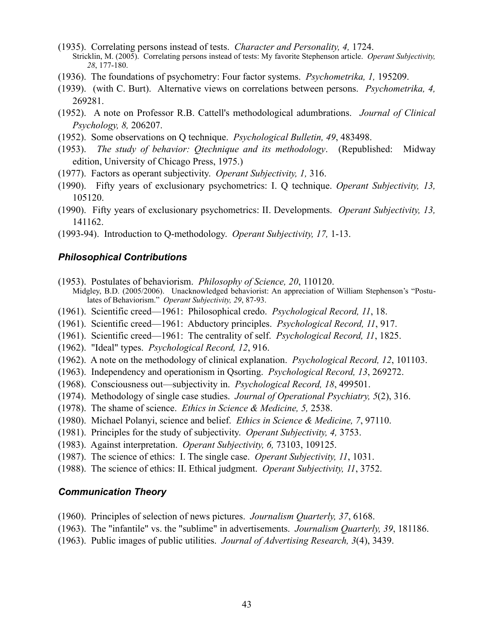- (1935). Correlating persons instead of tests. *Character and Personality, 4,* 1724. Stricklin, M. (2005). Correlating persons instead of tests: My favorite Stephenson article. *Operant Subjectivity, 28*, 177-180.
- (1936). The foundations of psychometry: Four factor systems. *Psychometrika, 1,* 195209.
- (1939). (with C. Burt). Alternative views on correlations between persons. *Psychometrika, 4,* 269281.
- (1952). A note on Professor R.B. Cattell's methodological adumbrations. *Journal of Clinical Psychology, 8,* 206207.
- (1952). Some observations on Q technique. *Psychological Bulletin, 49*, 483498.
- (1953). *The study of behavior: Qtechnique and its methodology*. (Republished: Midway edition, University of Chicago Press, 1975.)
- (1977). Factors as operant subjectivity. *Operant Subjectivity, 1,* 316.
- (1990). Fifty years of exclusionary psychometrics: I. Q technique. *Operant Subjectivity, 13,* 105120.
- (1990). Fifty years of exclusionary psychometrics: II. Developments. *Operant Subjectivity, 13,* 141162.
- (1993-94). Introduction to Q-methodology. *Operant Subjectivity, 17,* 1-13.

#### *Philosophical Contributions*

- (1953). Postulates of behaviorism. *Philosophy of Science, 20*, 110120. Midgley, B.D. (2005/2006). Unacknowledged behaviorist: An appreciation of William Stephenson's "Postulates of Behaviorism." *Operant Subjectivity, 29*, 87-93.
- (1961). Scientific creed—1961: Philosophical credo. *Psychological Record, 11*, 18.
- (1961). Scientific creed—1961: Abductory principles. *Psychological Record, 11*, 917.
- (1961). Scientific creed—1961: The centrality of self. *Psychological Record, 11*, 1825.
- (1962). "Ideal" types. *Psychological Record, 12*, 916.
- (1962). A note on the methodology of clinical explanation. *Psychological Record, 12*, 101103.
- (1963). Independency and operationism in Qsorting. *Psychological Record, 13*, 269272.
- (1968). Consciousness out—subjectivity in. *Psychological Record, 18*, 499501.
- (1974). Methodology of single case studies. *Journal of Operational Psychiatry, 5*(2), 316.
- (1978). The shame of science. *Ethics in Science & Medicine, 5,* 2538.
- (1980). Michael Polanyi, science and belief. *Ethics in Science & Medicine, 7*, 97110.
- (1981). Principles for the study of subjectivity. *Operant Subjectivity, 4,* 3753.
- (1983). Against interpretation. *Operant Subjectivity, 6,* 73103, 109125.
- (1987). The science of ethics: I. The single case. *Operant Subjectivity, 11*, 1031.
- (1988). The science of ethics: II. Ethical judgment. *Operant Subjectivity, 11*, 3752.

#### *Communication Theory*

- (1960). Principles of selection of news pictures. *Journalism Quarterly, 37*, 6168.
- (1963). The "infantile" vs. the "sublime" in advertisements. *Journalism Quarterly, 39*, 181186.
- (1963). Public images of public utilities. *Journal of Advertising Research, 3*(4), 3439.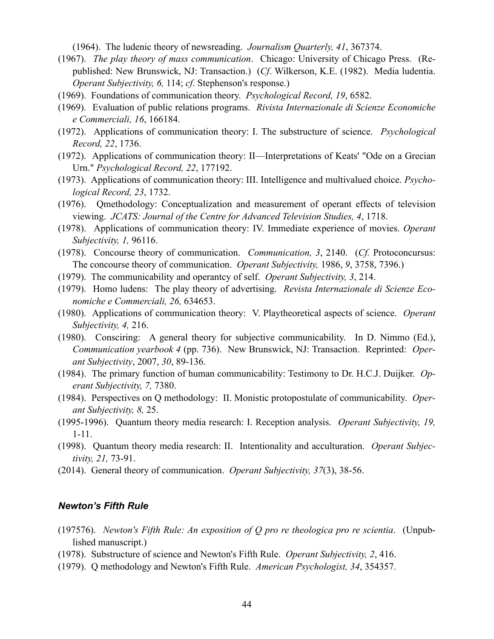(1964). The ludenic theory of newsreading. *Journalism Quarterly, 41*, 367374.

- (1967). *The play theory of mass communication*. Chicago: University of Chicago Press. (Republished: New Brunswick, NJ: Transaction.) (*Cf*. Wilkerson, K.E. (1982). Media ludentia. *Operant Subjectivity, 6,* 114; *cf*. Stephenson's response.)
- (1969). Foundations of communication theory. *Psychological Record, 19*, 6582.
- (1969). Evaluation of public relations programs. *Rivista Internazionale di Scienze Economiche e Commerciali, 16*, 166184.
- (1972). Applications of communication theory: I. The substructure of science. *Psychological Record, 22*, 1736.
- (1972). Applications of communication theory: II—Interpretations of Keats' "Ode on a Grecian Urn." *Psychological Record, 22*, 177192.
- (1973). Applications of communication theory: III. Intelligence and multivalued choice. *Psychological Record, 23*, 1732.
- (1976). Qmethodology: Conceptualization and measurement of operant effects of television viewing. *JCATS: Journal of the Centre for Advanced Television Studies, 4*, 1718.
- (1978). Applications of communication theory: IV. Immediate experience of movies. *Operant Subjectivity, 1,* 96116.
- (1978). Concourse theory of communication. *Communication, 3*, 2140. (*Cf.* Protoconcursus: The concourse theory of communication. *Operant Subjectivity,* 1986, *9*, 3758, 7396.)
- (1979). The communicability and operantcy of self. *Operant Subjectivity, 3*, 214.
- (1979). Homo ludens: The play theory of advertising. *Revista Internazionale di Scienze Economiche e Commerciali, 26,* 634653.
- (1980). Applications of communication theory: V. Playtheoretical aspects of science. *Operant Subjectivity, 4,* 216.
- (1980). Consciring: A general theory for subjective communicability. In D. Nimmo (Ed.), *Communication yearbook 4* (pp. 736). New Brunswick, NJ: Transaction. Reprinted: *Operant Subjectivity*, 2007, *30*, 89-136.
- (1984). The primary function of human communicability: Testimony to Dr. H.C.J. Duijker. *Operant Subjectivity, 7,* 7380.
- (1984). Perspectives on Q methodology: II. Monistic protopostulate of communicability. *Operant Subjectivity, 8,* 25.
- (1995-1996). Quantum theory media research: I. Reception analysis. *Operant Subjectivity, 19,* 1-11.
- (1998). Quantum theory media research: II. Intentionality and acculturation. *Operant Subjectivity, 21,* 73-91.
- (2014). General theory of communication. *Operant Subjectivity, 37*(3), 38-56.

### *Newton's Fifth Rule*

- (197576). *Newton's Fifth Rule: An exposition of Q pro re theologica pro re scientia*. (Unpublished manuscript.)
- (1978). Substructure of science and Newton's Fifth Rule. *Operant Subjectivity, 2*, 416.
- (1979). Q methodology and Newton's Fifth Rule. *American Psychologist, 34*, 354357.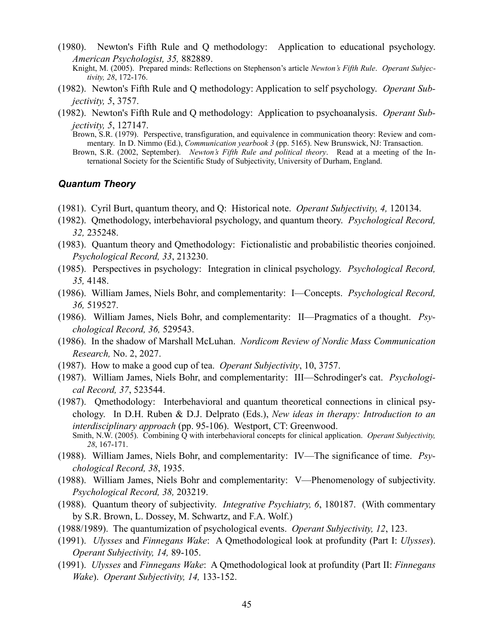- (1980). Newton's Fifth Rule and Q methodology: Application to educational psychology. *American Psychologist, 35,* 882889.
	- Knight, M. (2005). Prepared minds: Reflections on Stephenson's article *Newton's Fifth Rule*. *Operant Subjectivity, 28*, 172-176.
- (1982). Newton's Fifth Rule and Q methodology: Application to self psychology. *Operant Subjectivity, 5*, 3757.
- (1982). Newton's Fifth Rule and Q methodology: Application to psychoanalysis. *Operant Subjectivity, 5*, 127147.
	- Brown, S.R. (1979). Perspective, transfiguration, and equivalence in communication theory: Review and commentary. In D. Nimmo (Ed.), *Communication yearbook 3* (pp. 5165). New Brunswick, NJ: Transaction.
	- Brown, S.R. (2002, September). *Newton's Fifth Rule and political theory*. Read at a meeting of the International Society for the Scientific Study of Subjectivity, University of Durham, England.

### *Quantum Theory*

- (1981). Cyril Burt, quantum theory, and Q: Historical note. *Operant Subjectivity, 4,* 120134.
- (1982). Qmethodology, interbehavioral psychology, and quantum theory. *Psychological Record, 32,* 235248.
- (1983). Quantum theory and Qmethodology: Fictionalistic and probabilistic theories conjoined. *Psychological Record, 33*, 213230.
- (1985). Perspectives in psychology: Integration in clinical psychology. *Psychological Record, 35,* 4148.
- (1986). William James, Niels Bohr, and complementarity: I—Concepts. *Psychological Record, 36,* 519527.
- (1986). William James, Niels Bohr, and complementarity: II—Pragmatics of a thought. *Psychological Record, 36,* 529543.
- (1986). In the shadow of Marshall McLuhan. *Nordicom Review of Nordic Mass Communication Research,* No. 2, 2027.
- (1987). How to make a good cup of tea. *Operant Subjectivity*, 10, 3757.
- (1987). William James, Niels Bohr, and complementarity: III—Schrodinger's cat. *Psychological Record, 37*, 523544.
- (1987). Qmethodology: Interbehavioral and quantum theoretical connections in clinical psychology. In D.H. Ruben & D.J. Delprato (Eds.), *New ideas in therapy: Introduction to an interdisciplinary approach* (pp. 95-106). Westport, CT: Greenwood. Smith, N.W. (2005). Combining Q with interbehavioral concepts for clinical application. *Operant Subjectivity, 28*, 167-171.
- (1988). William James, Niels Bohr, and complementarity: IV—The significance of time. *Psychological Record, 38*, 1935.
- (1988). William James, Niels Bohr and complementarity: V—Phenomenology of subjectivity. *Psychological Record, 38,* 203219.
- (1988). Quantum theory of subjectivity. *Integrative Psychiatry, 6*, 180187. (With commentary by S.R. Brown, L. Dossey, M. Schwartz, and F.A. Wolf.)
- (1988/1989). The quantumization of psychological events. *Operant Subjectivity, 12*, 123.
- (1991). *Ulysses* and *Finnegans Wake*: A Qmethodological look at profundity (Part I: *Ulysses*). *Operant Subjectivity, 14,* 89-105.
- (1991). *Ulysses* and *Finnegans Wake*: A Qmethodological look at profundity (Part II: *Finnegans Wake*). *Operant Subjectivity, 14,* 133-152.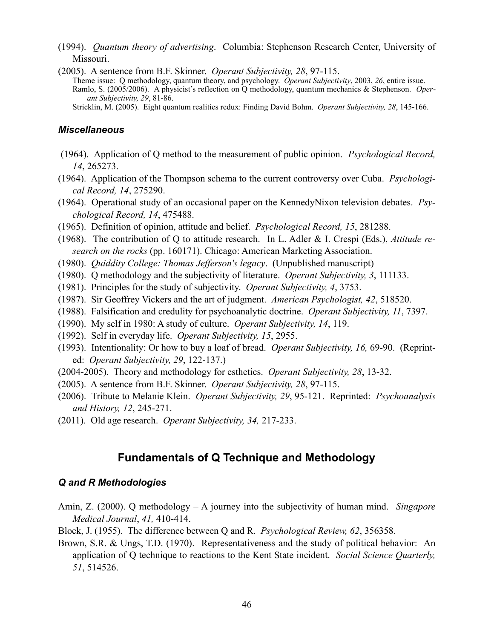- (1994). *Quantum theory of advertising*. Columbia: Stephenson Research Center, University of Missouri.
- (2005). A sentence from B.F. Skinner. *Operant Subjectivity, 28*, 97-115.

Theme issue: Q methodology, quantum theory, and psychology. *Operant Subjectivity*, 2003, *26*, entire issue. Ramlo, S. (2005/2006). A physicist's reflection on Q methodology, quantum mechanics & Stephenson. *Operant Subjectivity, 29*, 81-86.

Stricklin, M. (2005). Eight quantum realities redux: Finding David Bohm. *Operant Subjectivity, 28*, 145-166.

### *Miscellaneous*

- (1964). Application of Q method to the measurement of public opinion. *Psychological Record, 14*, 265273.
- (1964). Application of the Thompson schema to the current controversy over Cuba. *Psychological Record, 14*, 275290.
- (1964). Operational study of an occasional paper on the KennedyNixon television debates. *Psychological Record, 14*, 475488.
- (1965). Definition of opinion, attitude and belief. *Psychological Record, 15*, 281288.
- (1968). The contribution of Q to attitude research. In L. Adler & I. Crespi (Eds.), *Attitude research on the rocks* (pp. 160171). Chicago: American Marketing Association.
- (1980). *Quiddity College: Thomas Jefferson's legacy*. (Unpublished manuscript)
- (1980). Q methodology and the subjectivity of literature. *Operant Subjectivity, 3*, 111133.
- (1981). Principles for the study of subjectivity. *Operant Subjectivity, 4*, 3753.
- (1987). Sir Geoffrey Vickers and the art of judgment. *American Psychologist, 42*, 518520.
- (1988). Falsification and credulity for psychoanalytic doctrine. *Operant Subjectivity, 11*, 7397.
- (1990). My self in 1980: A study of culture. *Operant Subjectivity, 14*, 119.
- (1992). Self in everyday life. *Operant Subjectivity, 15*, 2955.
- (1993). Intentionality: Or how to buy a loaf of bread. *Operant Subjectivity, 16,* 69-90. (Reprinted: *Operant Subjectivity, 29*, 122-137.)
- (2004-2005). Theory and methodology for esthetics. *Operant Subjectivity, 28*, 13-32.
- (2005). A sentence from B.F. Skinner. *Operant Subjectivity, 28*, 97-115.
- (2006). Tribute to Melanie Klein. *Operant Subjectivity, 29*, 95-121. Reprinted: *Psychoanalysis and History, 12*, 245-271.
- (2011). Old age research. *Operant Subjectivity, 34,* 217-233.

### **Fundamentals of Q Technique and Methodology**

### *Q and R Methodologies*

- Amin, Z. (2000). Q methodology A journey into the subjectivity of human mind. *Singapore Medical Journal*, *41,* 410-414.
- Block, J. (1955). The difference between Q and R. *Psychological Review, 62*, 356358.
- Brown, S.R. & Ungs, T.D. (1970). Representativeness and the study of political behavior: An application of Q technique to reactions to the Kent State incident. *Social Science Quarterly, 51*, 514526.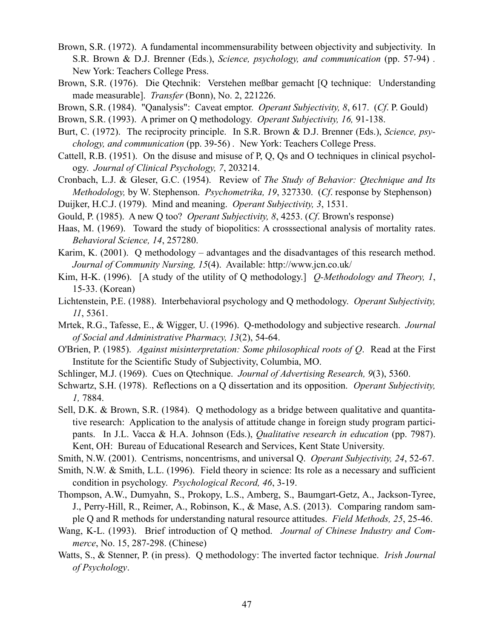- Brown, S.R. (1972). A fundamental incommensurability between objectivity and subjectivity. In S.R. Brown & D.J. Brenner (Eds.), *Science, psychology, and communication* (pp. 57-94) *.*  New York: Teachers College Press.
- Brown, S.R. (1976). Die Qtechnik: Verstehen meßbar gemacht [Q technique: Understanding made measurable]. *Transfer* (Bonn), No. 2, 221226.
- Brown, S.R. (1984). "Qanalysis": Caveat emptor. *Operant Subjectivity, 8*, 617. (*Cf*. P. Gould)

Brown, S.R. (1993). A primer on Q methodology. *Operant Subjectivity, 16,* 91-138.

- Burt, C. (1972). The reciprocity principle. In S.R. Brown & D.J. Brenner (Eds.), *Science, psychology, and communication* (pp. 39-56) *.* New York: Teachers College Press.
- Cattell, R.B. (1951). On the disuse and misuse of P, Q, Qs and O techniques in clinical psychology. *Journal of Clinical Psychology, 7*, 203214.
- Cronbach, L.J. & Gleser, G.C. (1954). Review of *The Study of Behavior: Qtechnique and Its Methodology,* by W. Stephenson. *Psychometrika, 19*, 327330. (*Cf*. response by Stephenson)
- Duijker, H.C.J. (1979). Mind and meaning. *Operant Subjectivity, 3*, 1531.
- Gould, P. (1985). A new Q too? *Operant Subjectivity, 8*, 4253. (*Cf*. Brown's response)
- Haas, M. (1969). Toward the study of biopolitics: A crosssectional analysis of mortality rates. *Behavioral Science, 14*, 257280.
- Karim, K. (2001). Q methodology advantages and the disadvantages of this research method. *Journal of Community Nursing, 15*(4). Available: http://www.jcn.co.uk/
- Kim, H-K. (1996). [A study of the utility of Q methodology.] *Q-Methodology and Theory, 1*, 15-33. (Korean)
- Lichtenstein, P.E. (1988). Interbehavioral psychology and Q methodology. *Operant Subjectivity, 11*, 5361.
- Mrtek, R.G., Tafesse, E., & Wigger, U. (1996). Q-methodology and subjective research. *Journal of Social and Administrative Pharmacy, 13*(2), 54-64.
- O'Brien, P. (1985). *Against misinterpretation: Some philosophical roots of Q*. Read at the First Institute for the Scientific Study of Subjectivity, Columbia, MO.
- Schlinger, M.J. (1969). Cues on Qtechnique. *Journal of Advertising Research, 9*(3), 5360.
- Schwartz, S.H. (1978). Reflections on a Q dissertation and its opposition. *Operant Subjectivity, 1,* 7884.
- Sell, D.K. & Brown, S.R. (1984). Q methodology as a bridge between qualitative and quantitative research: Application to the analysis of attitude change in foreign study program participants. In J.L. Vacca & H.A. Johnson (Eds.), *Qualitative research in education* (pp. 7987). Kent, OH: Bureau of Educational Research and Services, Kent State University.
- Smith, N.W. (2001). Centrisms, noncentrisms, and universal Q. *Operant Subjectivity, 24*, 52-67.
- Smith, N.W. & Smith, L.L. (1996). Field theory in science: Its role as a necessary and sufficient condition in psychology. *Psychological Record, 46*, 3-19.
- Thompson, A.W., Dumyahn, S., Prokopy, L.S., Amberg, S., Baumgart-Getz, A., Jackson-Tyree, J., Perry-Hill, R., Reimer, A., Robinson, K., & Mase, A.S. (2013). Comparing random sample Q and R methods for understanding natural resource attitudes. *Field Methods, 25*, 25-46.
- Wang, K-L. (1993). Brief introduction of Q method. *Journal of Chinese Industry and Commerce*, No. 15, 287-298. (Chinese)
- Watts, S., & Stenner, P. (in press). Q methodology: The inverted factor technique. *Irish Journal of Psychology*.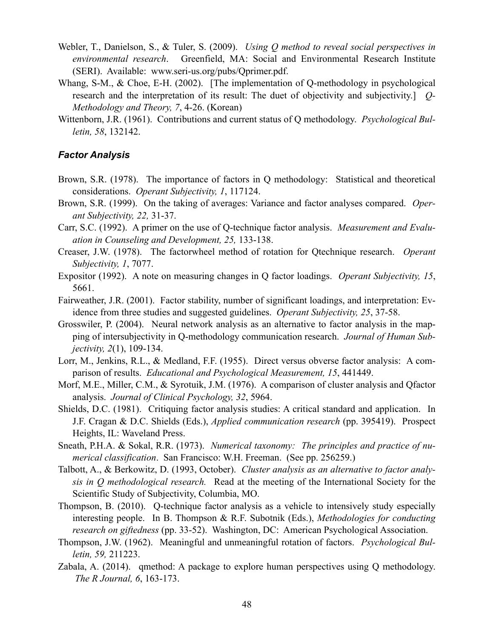- Webler, T., Danielson, S., & Tuler, S. (2009). *Using Q method to reveal social perspectives in environmental research*. Greenfield, MA: Social and Environmental Research Institute (SERI). Available: www.seri-us.org/pubs/Qprimer.pdf.
- Whang, S-M., & Choe, E-H. (2002). [The implementation of Q-methodology in psychological research and the interpretation of its result: The duet of objectivity and subjectivity.] *Q-Methodology and Theory, 7*, 4-26. (Korean)
- Wittenborn, J.R. (1961). Contributions and current status of Q methodology. *Psychological Bulletin, 58*, 132142.

### *Factor Analysis*

- Brown, S.R. (1978). The importance of factors in Q methodology: Statistical and theoretical considerations. *Operant Subjectivity, 1*, 117124.
- Brown, S.R. (1999). On the taking of averages: Variance and factor analyses compared. *Operant Subjectivity, 22,* 31-37.
- Carr, S.C. (1992). A primer on the use of Q-technique factor analysis. *Measurement and Evaluation in Counseling and Development, 25,* 133-138.
- Creaser, J.W. (1978). The factorwheel method of rotation for Qtechnique research. *Operant Subjectivity, 1*, 7077.
- Expositor (1992). A note on measuring changes in Q factor loadings. *Operant Subjectivity, 15*, 5661.
- Fairweather, J.R. (2001). Factor stability, number of significant loadings, and interpretation: Evidence from three studies and suggested guidelines. *Operant Subjectivity, 25*, 37-58.
- Grosswiler, P. (2004). Neural network analysis as an alternative to factor analysis in the mapping of intersubjectivity in Q-methodology communication research. *Journal of Human Subjectivity, 2*(1), 109-134.
- Lorr, M., Jenkins, R.L., & Medland, F.F. (1955). Direct versus obverse factor analysis: A comparison of results. *Educational and Psychological Measurement, 15*, 441449.
- Morf, M.E., Miller, C.M., & Syrotuik, J.M. (1976). A comparison of cluster analysis and Qfactor analysis. *Journal of Clinical Psychology, 32*, 5964.
- Shields, D.C. (1981). Critiquing factor analysis studies: A critical standard and application. In J.F. Cragan & D.C. Shields (Eds.), *Applied communication research* (pp. 395419). Prospect Heights, IL: Waveland Press.
- Sneath, P.H.A. & Sokal, R.R. (1973). *Numerical taxonomy: The principles and practice of numerical classification*. San Francisco: W.H. Freeman. (See pp. 256259.)
- Talbott, A., & Berkowitz, D. (1993, October). *Cluster analysis as an alternative to factor analysis in Q methodological research.* Read at the meeting of the International Society for the Scientific Study of Subjectivity, Columbia, MO.
- Thompson, B. (2010). Q-technique factor analysis as a vehicle to intensively study especially interesting people. In B. Thompson & R.F. Subotnik (Eds.), *Methodologies for conducting research on giftedness* (pp. 33-52). Washington, DC: American Psychological Association.
- Thompson, J.W. (1962). Meaningful and unmeaningful rotation of factors. *Psychological Bulletin, 59,* 211223.
- Zabala, A. (2014). qmethod: A package to explore human perspectives using Q methodology. *The R Journal, 6*, 163-173.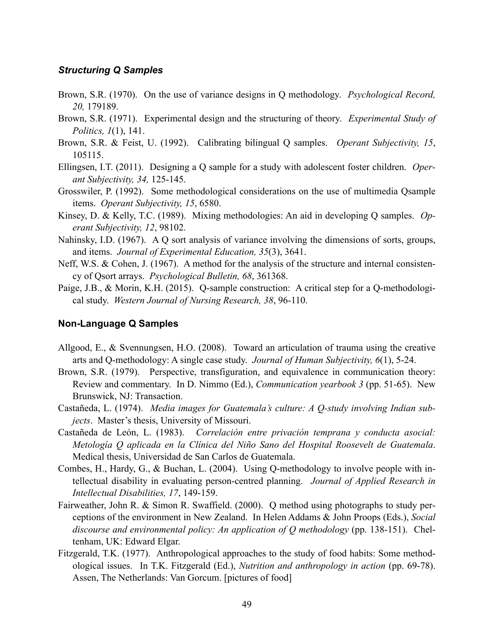### *Structuring Q Samples*

- Brown, S.R. (1970). On the use of variance designs in Q methodology. *Psychological Record, 20,* 179189.
- Brown, S.R. (1971). Experimental design and the structuring of theory. *Experimental Study of Politics, 1*(1), 141.
- Brown, S.R. & Feist, U. (1992). Calibrating bilingual Q samples. *Operant Subjectivity, 15*, 105115.
- Ellingsen, I.T. (2011). Designing a Q sample for a study with adolescent foster children. *Operant Subjectivity, 34,* 125-145.
- Grosswiler, P. (1992). Some methodological considerations on the use of multimedia Qsample items. *Operant Subjectivity, 15*, 6580.
- Kinsey, D. & Kelly, T.C. (1989). Mixing methodologies: An aid in developing Q samples. *Operant Subjectivity, 12*, 98102.
- Nahinsky, I.D. (1967). A Q sort analysis of variance involving the dimensions of sorts, groups, and items. *Journal of Experimental Education, 35*(3), 3641.
- Neff, W.S. & Cohen, J. (1967). A method for the analysis of the structure and internal consistency of Qsort arrays. *Psychological Bulletin, 68*, 361368.
- Paige, J.B., & Morin, K.H. (2015). Q-sample construction: A critical step for a Q-methodological study. *Western Journal of Nursing Research, 38*, 96-110.

### **Non-Language Q Samples**

- Allgood, E., & Svennungsen, H.O. (2008). Toward an articulation of trauma using the creative arts and Q-methodology: A single case study. *Journal of Human Subjectivity, 6*(1), 5-24.
- Brown, S.R. (1979). Perspective, transfiguration, and equivalence in communication theory: Review and commentary. In D. Nimmo (Ed.), *Communication yearbook 3* (pp. 51-65). New Brunswick, NJ: Transaction.
- Castañeda, L. (1974). *Media images for Guatemala's culture: A Q-study involving Indian subjects*. Master's thesis, University of Missouri.
- Castañeda de León, L. (1983). *Correlación entre privación temprana y conducta asocial: Metología Q aplicada en la Clínica del Niño Sano del Hospital Roosevelt de Guatemala*. Medical thesis, Universidad de San Carlos de Guatemala.
- Combes, H., Hardy, G., & Buchan, L. (2004). Using Q-methodology to involve people with intellectual disability in evaluating person-centred planning. *Journal of Applied Research in Intellectual Disabilities, 17*, 149-159.
- Fairweather, John R. & Simon R. Swaffield. (2000). Q method using photographs to study perceptions of the environment in New Zealand. In Helen Addams & John Proops (Eds.), *Social discourse and environmental policy: An application of Q methodology* (pp. 138-151). Cheltenham, UK: Edward Elgar.
- Fitzgerald, T.K. (1977). Anthropological approaches to the study of food habits: Some methodological issues. In T.K. Fitzgerald (Ed.), *Nutrition and anthropology in action* (pp. 69-78). Assen, The Netherlands: Van Gorcum. [pictures of food]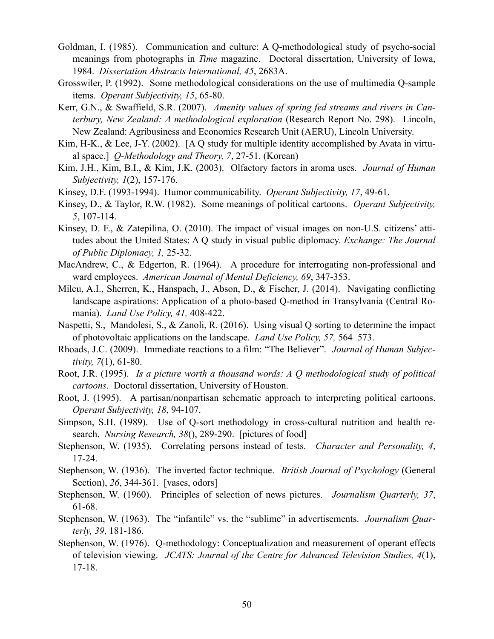- Goldman, I. (1985). Communication and culture: A Q-methodological study of psycho-social meanings from photographs in *Time* magazine. Doctoral dissertation, University of Iowa, 1984. *Dissertation Abstracts International, 45*, 2683A.
- Grosswiler, P. (1992). Some methodological considerations on the use of multimedia Q-sample items. *Operant Subjectivity, 15*, 65-80.
- Kerr, G.N., & Swaffield, S.R. (2007). *Amenity values of spring fed streams and rivers in Canterbury, New Zealand: A methodological exploration* (Research Report No. 298). Lincoln, New Zealand: Agribusiness and Economics Research Unit (AERU), Lincoln University.
- Kim, H-K., & Lee, J-Y. (2002). [A Q study for multiple identity accomplished by Avata in virtual space.] *Q-Methodology and Theory, 7*, 27-51. (Korean)
- Kim, J.H., Kim, B.I., & Kim, J.K. (2003). Olfactory factors in aroma uses. *Journal of Human Subjectivity, 1*(2), 157-176.
- Kinsey, D.F. (1993-1994). Humor communicability. *Operant Subjectivity, 17*, 49-61.
- Kinsey, D., & Taylor, R.W. (1982). Some meanings of political cartoons. *Operant Subjectivity, 5*, 107-114.
- Kinsey, D. F., & Zatepilina, O. (2010). The impact of visual images on non-U.S. citizens' attitudes about the United States: A Q study in visual public diplomacy. *Exchange: The Journal of Public Diplomacy, 1,* 25-32.
- MacAndrew, C., & Edgerton, R. (1964). A procedure for interrogating non-professional and ward employees. *American Journal of Mental Deficiency, 69*, 347-353.
- Milcu, A.I., Sherren, K., Hanspach, J., Abson, D., & Fischer, J. (2014). Navigating conflicting landscape aspirations: Application of a photo-based Q-method in Transylvania (Central Romania). *Land Use Policy, 41,* 408-422.
- Naspetti, S., Mandolesi, S., & Zanoli, R. (2016). Using visual Q sorting to determine the impact of photovoltaic applications on the landscape. *Land Use Policy, 57,* 564–573.
- Rhoads, J.C. (2009). Immediate reactions to a film: "The Believer". *Journal of Human Subjectivity, 7*(1), 61-80.
- Root, J.R. (1995). *Is a picture worth a thousand words: A Q methodological study of political cartoons*. Doctoral dissertation, University of Houston.
- Root, J. (1995). A partisan/nonpartisan schematic approach to interpreting political cartoons. *Operant Subjectivity, 18*, 94-107.
- Simpson, S.H. (1989). Use of Q-sort methodology in cross-cultural nutrition and health research. *Nursing Research, 38*(), 289-290. [pictures of food]
- Stephenson, W. (1935). Correlating persons instead of tests. *Character and Personality, 4*, 17-24.
- Stephenson, W. (1936). The inverted factor technique. *British Journal of Psychology* (General Section), *26*, 344-361. [vases, odors]
- Stephenson, W. (1960). Principles of selection of news pictures. *Journalism Quarterly, 37*, 61-68.
- Stephenson, W. (1963). The "infantile" vs. the "sublime" in advertisements. *Journalism Quarterly, 39*, 181-186.
- Stephenson, W. (1976). Q-methodology: Conceptualization and measurement of operant effects of television viewing. *JCATS: Journal of the Centre for Advanced Television Studies, 4*(1), 17-18.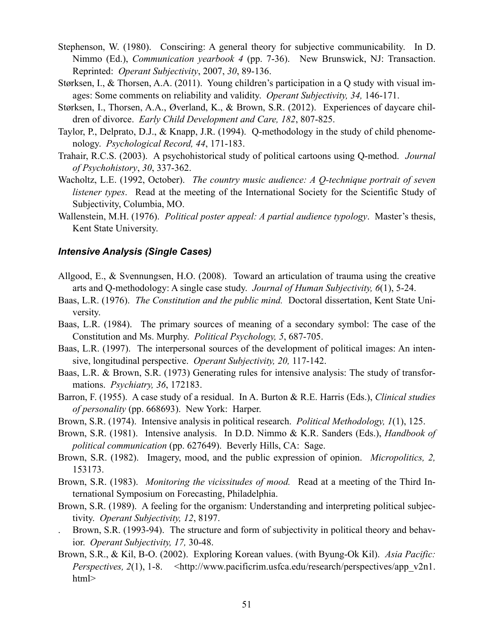- Stephenson, W. (1980). Consciring: A general theory for subjective communicability. In D. Nimmo (Ed.), *Communication yearbook 4* (pp. 7-36). New Brunswick, NJ: Transaction. Reprinted: *Operant Subjectivity*, 2007, *30*, 89-136.
- Størksen, I., & Thorsen, A.A. (2011). Young children's participation in a Q study with visual images: Some comments on reliability and validity. *Operant Subjectivity, 34,* 146-171.
- Størksen, I., Thorsen, A.A., Øverland, K., & Brown, S.R. (2012). Experiences of daycare children of divorce. *Early Child Development and Care, 182*, 807-825.
- Taylor, P., Delprato, D.J., & Knapp, J.R. (1994). Q-methodology in the study of child phenomenology. *Psychological Record, 44*, 171-183.
- Trahair, R.C.S. (2003). A psychohistorical study of political cartoons using Q-method. *Journal of Psychohistory*, *30*, 337-362.
- Wacholtz, L.E. (1992, October). *The country music audience: A Q-technique portrait of seven listener types*. Read at the meeting of the International Society for the Scientific Study of Subjectivity, Columbia, MO.
- Wallenstein, M.H. (1976). *Political poster appeal: A partial audience typology*. Master's thesis, Kent State University.

### *Intensive Analysis (Single Cases)*

- Allgood, E., & Svennungsen, H.O. (2008). Toward an articulation of trauma using the creative arts and Q-methodology: A single case study. *Journal of Human Subjectivity, 6*(1), 5-24.
- Baas, L.R. (1976). *The Constitution and the public mind.* Doctoral dissertation, Kent State University.
- Baas, L.R. (1984). The primary sources of meaning of a secondary symbol: The case of the Constitution and Ms. Murphy. *Political Psychology, 5*, 687-705.
- Baas, L.R. (1997). The interpersonal sources of the development of political images: An intensive, longitudinal perspective. *Operant Subjectivity, 20,* 117-142.
- Baas, L.R. & Brown, S.R. (1973) Generating rules for intensive analysis: The study of transformations. *Psychiatry, 36*, 172183.
- Barron, F. (1955). A case study of a residual. In A. Burton & R.E. Harris (Eds.), *Clinical studies of personality* (pp. 668693). New York: Harper.
- Brown, S.R. (1974). Intensive analysis in political research. *Political Methodology, 1*(1), 125.
- Brown, S.R. (1981). Intensive analysis. In D.D. Nimmo & K.R. Sanders (Eds.), *Handbook of political communication* (pp. 627649). Beverly Hills, CA: Sage.
- Brown, S.R. (1982). Imagery, mood, and the public expression of opinion. *Micropolitics, 2,* 153173.
- Brown, S.R. (1983). *Monitoring the vicissitudes of mood.* Read at a meeting of the Third International Symposium on Forecasting, Philadelphia.
- Brown, S.R. (1989). A feeling for the organism: Understanding and interpreting political subjectivity. *Operant Subjectivity, 12*, 8197.
- . Brown, S.R. (1993-94). The structure and form of subjectivity in political theory and behavior. *Operant Subjectivity, 17,* 30-48.
- Brown, S.R., & Kil, B-O. (2002). Exploring Korean values. (with Byung-Ok Kil). *Asia Pacific: Perspectives, 2(1), 1-8.* <http://www.pacificrim.usfca.edu/research/perspectives/app\_v2n1. html>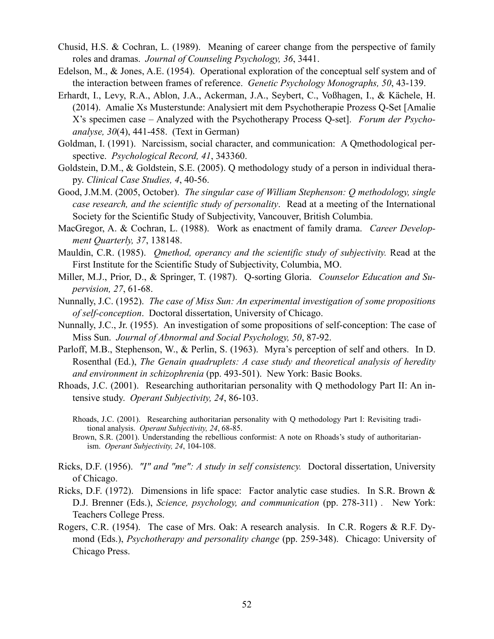- Chusid, H.S. & Cochran, L. (1989). Meaning of career change from the perspective of family roles and dramas. *Journal of Counseling Psychology, 36*, 3441.
- Edelson, M., & Jones, A.E. (1954). Operational exploration of the conceptual self system and of the interaction between frames of reference. *Genetic Psychology Monographs, 50*, 43-139.
- Erhardt, I., Levy, R.A., Ablon, J.A., Ackerman, J.A., Seybert, C., Voßhagen, I., & Kächele, H. (2014). Amalie Xs Musterstunde: Analysiert mit dem Psychotherapie Prozess Q-Set [Amalie X's specimen case – Analyzed with the Psychotherapy Process Q-set]. *Forum der Psychoanalyse, 30*(4), 441-458. (Text in German)
- Goldman, I. (1991). Narcissism, social character, and communication: A Qmethodological perspective. *Psychological Record, 41*, 343360.
- Goldstein, D.M., & Goldstein, S.E. (2005). Q methodology study of a person in individual therapy. *Clinical Case Studies, 4*, 40-56.
- Good, J.M.M. (2005, October). *The singular case of William Stephenson: Q methodology, single case research, and the scientific study of personality*. Read at a meeting of the International Society for the Scientific Study of Subjectivity, Vancouver, British Columbia.
- MacGregor, A. & Cochran, L. (1988). Work as enactment of family drama. *Career Development Quarterly, 37*, 138148.
- Mauldin, C.R. (1985). *Qmethod, operancy and the scientific study of subjectivity*. Read at the First Institute for the Scientific Study of Subjectivity, Columbia, MO.
- Miller, M.J., Prior, D., & Springer, T. (1987). Q-sorting Gloria. *Counselor Education and Supervision, 27*, 61-68.
- Nunnally, J.C. (1952). *The case of Miss Sun: An experimental investigation of some propositions of self-conception*. Doctoral dissertation, University of Chicago.
- Nunnally, J.C., Jr. (1955). An investigation of some propositions of self-conception: The case of Miss Sun. *Journal of Abnormal and Social Psychology, 50*, 87-92.
- Parloff, M.B., Stephenson, W., & Perlin, S. (1963). Myra's perception of self and others. In D. Rosenthal (Ed.), *The Genain quadruplets: A case study and theoretical analysis of heredity and environment in schizophrenia* (pp. 493-501). New York: Basic Books.
- Rhoads, J.C. (2001). Researching authoritarian personality with Q methodology Part II: An intensive study. *Operant Subjectivity, 24*, 86-103.
	- Rhoads, J.C. (2001). Researching authoritarian personality with Q methodology Part I: Revisiting traditional analysis. *Operant Subjectivity, 24*, 68-85.
	- Brown, S.R. (2001). Understanding the rebellious conformist: A note on Rhoads's study of authoritarianism. *Operant Subjectivity, 24*, 104-108.
- Ricks, D.F. (1956). *"I" and "me": A study in self consistency.* Doctoral dissertation, University of Chicago.
- Ricks, D.F. (1972). Dimensions in life space: Factor analytic case studies. In S.R. Brown & D.J. Brenner (Eds.), *Science, psychology, and communication* (pp. 278-311) *.* New York: Teachers College Press.
- Rogers, C.R. (1954). The case of Mrs. Oak: A research analysis. In C.R. Rogers & R.F. Dymond (Eds.), *Psychotherapy and personality change* (pp. 259-348). Chicago: University of Chicago Press.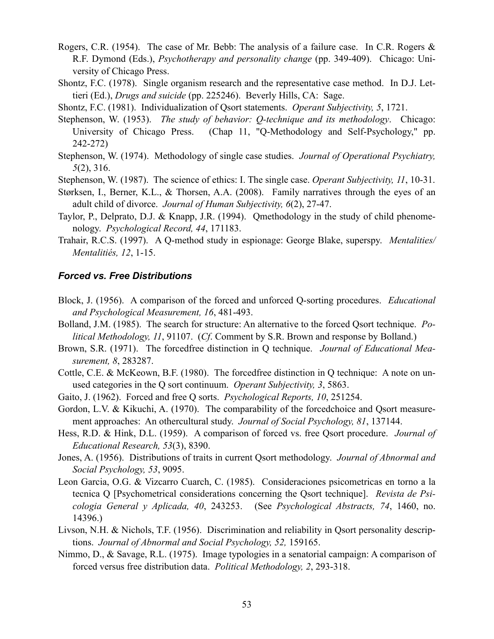- Rogers, C.R. (1954). The case of Mr. Bebb: The analysis of a failure case. In C.R. Rogers & R.F. Dymond (Eds.), *Psychotherapy and personality change* (pp. 349-409). Chicago: University of Chicago Press.
- Shontz, F.C. (1978). Single organism research and the representative case method. In D.J. Lettieri (Ed.), *Drugs and suicide* (pp. 225246). Beverly Hills, CA: Sage.
- Shontz, F.C. (1981). Individualization of Qsort statements. *Operant Subjectivity, 5*, 1721.
- Stephenson, W. (1953). *The study of behavior: Q-technique and its methodology*. Chicago: University of Chicago Press. (Chap 11, "Q-Methodology and Self-Psychology," pp. 242-272)
- Stephenson, W. (1974). Methodology of single case studies. *Journal of Operational Psychiatry, 5*(2), 316.
- Stephenson, W. (1987). The science of ethics: I. The single case. *Operant Subjectivity, 11*, 10-31.
- Størksen, I., Berner, K.L., & Thorsen, A.A. (2008). Family narratives through the eyes of an adult child of divorce. *Journal of Human Subjectivity, 6*(2), 27-47.
- Taylor, P., Delprato, D.J. & Knapp, J.R. (1994). Qmethodology in the study of child phenomenology. *Psychological Record, 44*, 171183.
- Trahair, R.C.S. (1997). A Q-method study in espionage: George Blake, superspy. *Mentalities/ Mentalitiés, 12*, 1-15.

#### *Forced vs. Free Distributions*

- Block, J. (1956). A comparison of the forced and unforced Q-sorting procedures. *Educational and Psychological Measurement, 16*, 481-493.
- Bolland, J.M. (1985). The search for structure: An alternative to the forced Qsort technique. *Political Methodology, 11*, 91107. (*Cf*. Comment by S.R. Brown and response by Bolland.)
- Brown, S.R. (1971). The forcedfree distinction in Q technique. *Journal of Educational Measurement, 8*, 283287.
- Cottle, C.E. & McKeown, B.F. (1980). The forcedfree distinction in Q technique: A note on unused categories in the Q sort continuum. *Operant Subjectivity, 3*, 5863.
- Gaito, J. (1962). Forced and free Q sorts. *Psychological Reports, 10*, 251254.
- Gordon, L.V. & Kikuchi, A. (1970). The comparability of the forcedchoice and Qsort measurement approaches: An othercultural study. *Journal of Social Psychology, 81*, 137144.
- Hess, R.D. & Hink, D.L. (1959). A comparison of forced vs. free Qsort procedure. *Journal of Educational Research, 53*(3), 8390.
- Jones, A. (1956). Distributions of traits in current Qsort methodology. *Journal of Abnormal and Social Psychology, 53*, 9095.
- Leon Garcia, O.G. & Vizcarro Cuarch, C. (1985). Consideraciones psicometricas en torno a la tecnica Q [Psychometrical considerations concerning the Qsort technique]. *Revista de Psicologia General y Aplicada, 40*, 243253. (See *Psychological Abstracts, 74*, 1460, no. 14396.)
- Livson, N.H. & Nichols, T.F. (1956). Discrimination and reliability in Qsort personality descriptions. *Journal of Abnormal and Social Psychology, 52,* 159165.
- Nimmo, D., & Savage, R.L. (1975). Image typologies in a senatorial campaign: A comparison of forced versus free distribution data. *Political Methodology, 2*, 293-318.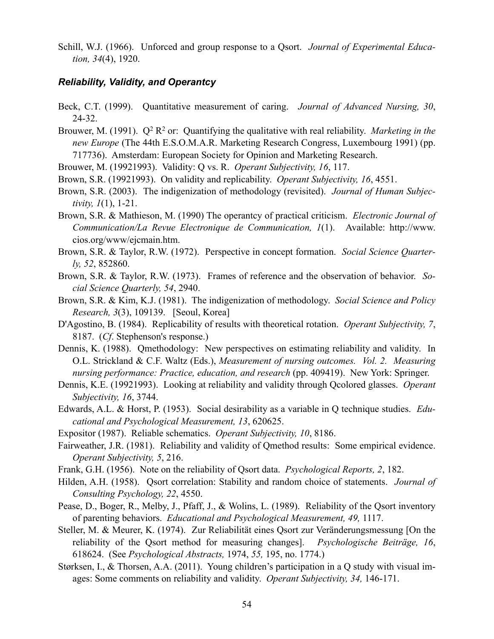Schill, W.J. (1966). Unforced and group response to a Qsort. *Journal of Experimental Education, 34*(4), 1920.

### *Reliability, Validity, and Operantcy*

- Beck, C.T. (1999). Quantitative measurement of caring. *Journal of Advanced Nursing, 30*, 24-32.
- Brouwer, M. (1991).  $Q^2 R^2$  or: Quantifying the qualitative with real reliability. *Marketing in the new Europe* (The 44th E.S.O.M.A.R. Marketing Research Congress, Luxembourg 1991) (pp. 717736). Amsterdam: European Society for Opinion and Marketing Research.
- Brouwer, M. (19921993). Validity: Q vs. R. *Operant Subjectivity, 16*, 117.
- Brown, S.R. (19921993). On validity and replicability. *Operant Subjectivity, 16*, 4551.
- Brown, S.R. (2003). The indigenization of methodology (revisited). *Journal of Human Subjectivity, 1*(1), 1-21.
- Brown, S.R. & Mathieson, M. (1990) The operantcy of practical criticism. *Electronic Journal of Communication/La Revue Electronique de Communication, 1*(1). Available: <http://www>. cios.org/www/ejcmain.htm.
- Brown, S.R. & Taylor, R.W. (1972). Perspective in concept formation. *Social Science Quarterly, 52*, 852860.
- Brown, S.R. & Taylor, R.W. (1973). Frames of reference and the observation of behavior. *Social Science Quarterly, 54*, 2940.
- Brown, S.R. & Kim, K.J. (1981). The indigenization of methodology. *Social Science and Policy Research, 3*(3), 109139. [Seoul, Korea]
- D'Agostino, B. (1984). Replicability of results with theoretical rotation. *Operant Subjectivity, 7*, 8187. (*Cf*. Stephenson's response.)
- Dennis, K. (1988). Qmethodology: New perspectives on estimating reliability and validity. In O.L. Strickland & C.F. Waltz (Eds.), *Measurement of nursing outcomes. Vol. 2. Measuring nursing performance: Practice, education, and research* (pp. 409419). New York: Springer.
- Dennis, K.E. (19921993). Looking at reliability and validity through Qcolored glasses. *Operant Subjectivity, 16*, 3744.
- Edwards, A.L. & Horst, P. (1953). Social desirability as a variable in Q technique studies. *Educational and Psychological Measurement, 13*, 620625.
- Expositor (1987). Reliable schematics. *Operant Subjectivity, 10*, 8186.
- Fairweather, J.R. (1981). Reliability and validity of Qmethod results: Some empirical evidence. *Operant Subjectivity, 5*, 216.
- Frank, G.H. (1956). Note on the reliability of Qsort data. *Psychological Reports, 2*, 182.
- Hilden, A.H. (1958). Qsort correlation: Stability and random choice of statements. *Journal of Consulting Psychology, 22*, 4550.
- Pease, D., Boger, R., Melby, J., Pfaff, J., & Wolins, L. (1989). Reliability of the Qsort inventory of parenting behaviors. *Educational and Psychological Measurement, 49,* 1117.
- Steller, M. & Meurer, K. (1974). Zur Reliabilität eines Qsort zur Veränderungsmessung [On the reliability of the Qsort method for measuring changes]. *Psychologische Beiträge, 16*, 618624. (See *Psychological Abstracts,* 1974, *55,* 195, no. 1774.)
- Størksen, I., & Thorsen, A.A. (2011). Young children's participation in a Q study with visual images: Some comments on reliability and validity. *Operant Subjectivity, 34,* 146-171.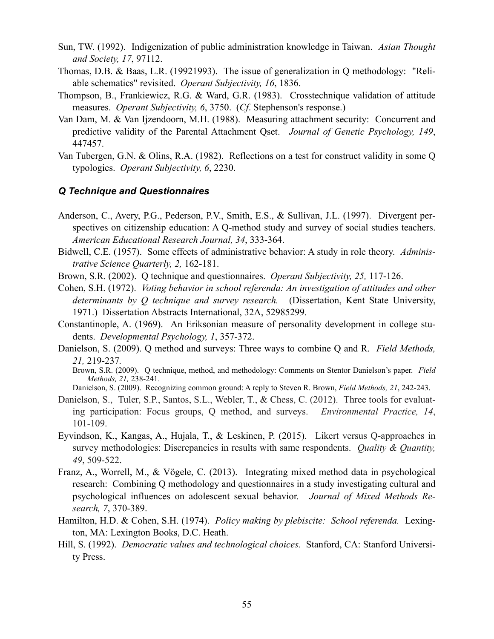- Sun, TW. (1992). Indigenization of public administration knowledge in Taiwan. *Asian Thought and Society, 17*, 97112.
- Thomas, D.B. & Baas, L.R. (19921993). The issue of generalization in Q methodology: "Reliable schematics" revisited. *Operant Subjectivity, 16*, 1836.
- Thompson, B., Frankiewicz, R.G. & Ward, G.R. (1983). Crosstechnique validation of attitude measures. *Operant Subjectivity, 6*, 3750. (*Cf*. Stephenson's response.)
- Van Dam, M. & Van Ijzendoorn, M.H. (1988). Measuring attachment security: Concurrent and predictive validity of the Parental Attachment Qset. *Journal of Genetic Psychology, 149*, 447457.
- Van Tubergen, G.N. & Olins, R.A. (1982). Reflections on a test for construct validity in some Q typologies. *Operant Subjectivity, 6*, 2230.

### *Q Technique and Questionnaires*

- Anderson, C., Avery, P.G., Pederson, P.V., Smith, E.S., & Sullivan, J.L. (1997). Divergent perspectives on citizenship education: A Q-method study and survey of social studies teachers. *American Educational Research Journal, 34*, 333-364.
- Bidwell, C.E. (1957). Some effects of administrative behavior: A study in role theory. *Administrative Science Quarterly, 2,* 162-181.
- Brown, S.R. (2002). Q technique and questionnaires. *Operant Subjectivity, 25,* 117-126.
- Cohen, S.H. (1972). *Voting behavior in school referenda: An investigation of attitudes and other determinants by Q technique and survey research.* (Dissertation, Kent State University, 1971.) Dissertation Abstracts International, 32A, 52985299.
- Constantinople, A. (1969). An Eriksonian measure of personality development in college students. *Developmental Psychology, 1*, 357-372.
- Danielson, S. (2009). Q method and surveys: Three ways to combine Q and R. *Field Methods, 21,* 219-237*.*

Brown, S.R. (2009). Q technique, method, and methodology: Comments on Stentor Danielson's paper. *Field Methods, 21,* 238-241.

Danielson, S. (2009). Recognizing common ground: A reply to Steven R. Brown, *Field Methods, 21*, 242-243.

- Danielson, S., Tuler, S.P., Santos, S.L., Webler, T., & Chess, C. (2012). Three tools for evaluating participation: Focus groups, Q method, and surveys. *Environmental Practice, 14*, 101-109.
- Eyvindson, K., Kangas, A., Hujala, T., & Leskinen, P. (2015). Likert versus Q-approaches in survey methodologies: Discrepancies in results with same respondents. *Quality & Quantity, 49*, 509-522.
- Franz, A., Worrell, M., & Vögele, C. (2013). Integrating mixed method data in psychological research: Combining Q methodology and questionnaires in a study investigating cultural and psychological influences on adolescent sexual behavior. *Journal of Mixed Methods Research, 7*, 370-389.
- Hamilton, H.D. & Cohen, S.H. (1974). *Policy making by plebiscite: School referenda.* Lexington, MA: Lexington Books, D.C. Heath.
- Hill, S. (1992). *Democratic values and technological choices.* Stanford, CA: Stanford University Press.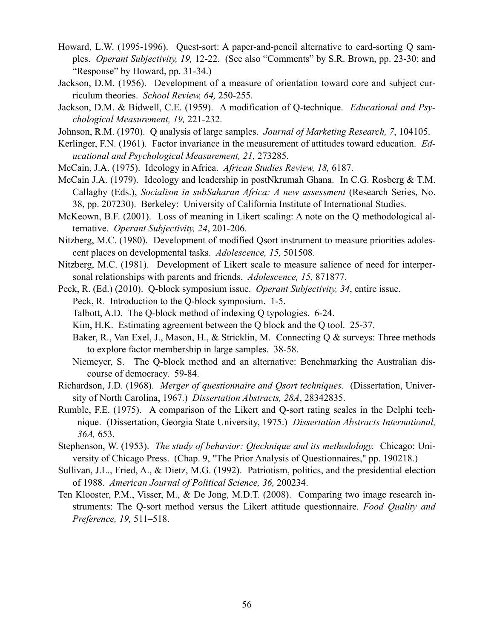- Howard, L.W. (1995-1996). Quest-sort: A paper-and-pencil alternative to card-sorting Q samples. *Operant Subjectivity, 19,* 12-22. (See also "Comments" by S.R. Brown, pp. 23-30; and "Response" by Howard, pp. 31-34.)
- Jackson, D.M. (1956). Development of a measure of orientation toward core and subject curriculum theories. *School Review, 64,* 250-255.
- Jackson, D.M. & Bidwell, C.E. (1959). A modification of Q-technique. *Educational and Psychological Measurement, 19,* 221-232.
- Johnson, R.M. (1970). Q analysis of large samples. *Journal of Marketing Research, 7*, 104105.
- Kerlinger, F.N. (1961). Factor invariance in the measurement of attitudes toward education. *Educational and Psychological Measurement, 21,* 273285.
- McCain, J.A. (1975). Ideology in Africa. *African Studies Review, 18,* 6187.
- McCain J.A. (1979). Ideology and leadership in postNkrumah Ghana. In C.G. Rosberg & T.M. Callaghy (Eds.), *Socialism in subSaharan Africa: A new assessment* (Research Series, No. 38, pp. 207230). Berkeley: University of California Institute of International Studies.
- McKeown, B.F. (2001). Loss of meaning in Likert scaling: A note on the Q methodological alternative. *Operant Subjectivity, 24*, 201-206.
- Nitzberg, M.C. (1980). Development of modified Qsort instrument to measure priorities adolescent places on developmental tasks. *Adolescence, 15,* 501508.
- Nitzberg, M.C. (1981). Development of Likert scale to measure salience of need for interpersonal relationships with parents and friends. *Adolescence, 15,* 871877.
- Peck, R. (Ed.) (2010). Q-block symposium issue. *Operant Subjectivity, 34*, entire issue. Peck, R. Introduction to the Q-block symposium. 1-5.
	- Talbott, A.D. The Q-block method of indexing Q typologies. 6-24.
	- Kim, H.K. Estimating agreement between the Q block and the Q tool. 25-37.
	- Baker, R., Van Exel, J., Mason, H., & Stricklin, M. Connecting Q & surveys: Three methods to explore factor membership in large samples. 38-58.
	- Niemeyer, S. The Q-block method and an alternative: Benchmarking the Australian discourse of democracy. 59-84.
- Richardson, J.D. (1968). *Merger of questionnaire and Qsort techniques.* (Dissertation, University of North Carolina, 1967.) *Dissertation Abstracts, 28A*, 28342835.
- Rumble, F.E. (1975). A comparison of the Likert and Q-sort rating scales in the Delphi technique. (Dissertation, Georgia State University, 1975.) *Dissertation Abstracts International, 36A,* 653.
- Stephenson, W. (1953). *The study of behavior: Qtechnique and its methodology.* Chicago: University of Chicago Press. (Chap. 9, "The Prior Analysis of Questionnaires," pp. 190218.)
- Sullivan, J.L., Fried, A., & Dietz, M.G. (1992). Patriotism, politics, and the presidential election of 1988. *American Journal of Political Science, 36,* 200234.
- Ten Klooster, P.M., Visser, M., & De Jong, M.D.T. (2008). Comparing two image research instruments: The Q-sort method versus the Likert attitude questionnaire. *Food Quality and Preference, 19,* 511–518.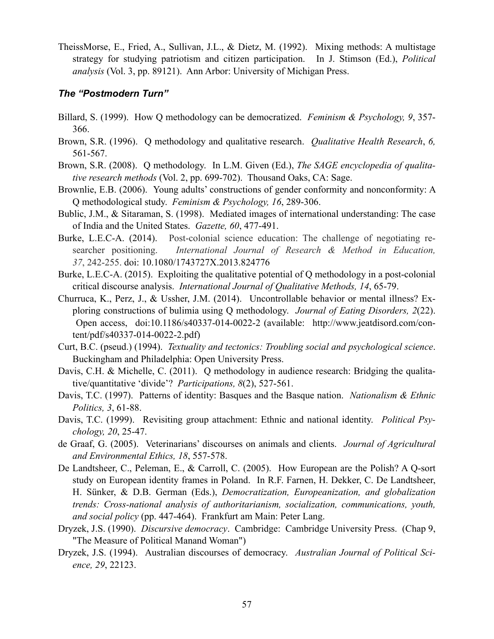TheissMorse, E., Fried, A., Sullivan, J.L., & Dietz, M. (1992). Mixing methods: A multistage strategy for studying patriotism and citizen participation. In J. Stimson (Ed.), *Political analysis* (Vol. 3, pp. 89121). Ann Arbor: University of Michigan Press.

### *The "Postmodern Turn"*

- Billard, S. (1999). How Q methodology can be democratized. *Feminism & Psychology, 9*, 357- 366.
- Brown, S.R. (1996). Q methodology and qualitative research. *Qualitative Health Research*, *6,* 561-567.
- Brown, S.R. (2008). Q methodology. In L.M. Given (Ed.), *The SAGE encyclopedia of qualitative research methods* (Vol. 2, pp. 699-702). Thousand Oaks, CA: Sage.
- Brownlie, E.B. (2006). Young adults' constructions of gender conformity and nonconformity: A Q methodological study. *Feminism & Psychology, 16*, 289-306.
- Bublic, J.M., & Sitaraman, S. (1998). Mediated images of international understanding: The case of India and the United States. *Gazette, 60*, 477-491.
- Burke, L.E.C-A. (2014). Post-colonial science education: The challenge of negotiating researcher positioning. *International Journal of Research & Method in Education, 37*, 242-255. doi: 10.1080/1743727X.2013.824776
- Burke, L.E.C-A. (2015). Exploiting the qualitative potential of Q methodology in a post-colonial critical discourse analysis. *International Journal of Qualitative Methods, 14*, 65-79.
- Churruca, K., Perz, J., & Ussher, J.M. (2014). Uncontrollable behavior or mental illness? Exploring constructions of bulimia using Q methodology. *Journal of Eating Disorders, 2*(22). Open access, doi:10.1186/s40337-014-0022-2 (available: [http://www.jeatdisord.com/con](http://www.jeatdisord.com/content/pdf/s40337-014-0022-2.pdf)[tent/pdf/s40337-014-0022-2.pdf](http://www.jeatdisord.com/content/pdf/s40337-014-0022-2.pdf))
- Curt, B.C. (pseud.) (1994). *Textuality and tectonics: Troubling social and psychological science*. Buckingham and Philadelphia: Open University Press.
- Davis, C.H. & Michelle, C. (2011). Q methodology in audience research: Bridging the qualitative/quantitative 'divide'? *Participations, 8*(2), 527-561.
- Davis, T.C. (1997). Patterns of identity: Basques and the Basque nation. *Nationalism & Ethnic Politics, 3*, 61-88.
- Davis, T.C. (1999). Revisiting group attachment: Ethnic and national identity. *Political Psychology, 20*, 25-47.
- de Graaf, G. (2005). Veterinarians' discourses on animals and clients. *Journal of Agricultural and Environmental Ethics, 18*, 557-578.
- De Landtsheer, C., Peleman, E., & Carroll, C. (2005). How European are the Polish? A Q-sort study on European identity frames in Poland. In R.F. Farnen, H. Dekker, C. De Landtsheer, H. Sünker, & D.B. German (Eds.), *Democratization, Europeanization, and globalization trends: Cross-national analysis of authoritarianism, socialization, communications, youth, and social policy* (pp. 447-464). Frankfurt am Main: Peter Lang.
- Dryzek, J.S. (1990). *Discursive democracy*. Cambridge: Cambridge University Press. (Chap 9, "The Measure of Political Manand Woman")
- Dryzek, J.S. (1994). Australian discourses of democracy. *Australian Journal of Political Science, 29*, 22123.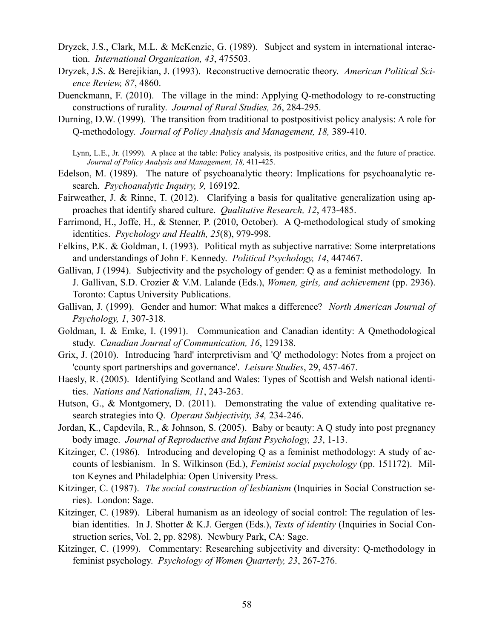- Dryzek, J.S., Clark, M.L. & McKenzie, G. (1989). Subject and system in international interaction. *International Organization, 43*, 475503.
- Dryzek, J.S. & Berejikian, J. (1993). Reconstructive democratic theory. *American Political Science Review, 87*, 4860.
- Duenckmann, F. (2010). The village in the mind: Applying Q-methodology to re-constructing constructions of rurality. *Journal of Rural Studies, 26*, 284-295.
- Durning, D.W. (1999). The transition from traditional to postpositivist policy analysis: A role for Q-methodology. *Journal of Policy Analysis and Management, 18,* 389-410.
	- Lynn, L.E., Jr. (1999). A place at the table: Policy analysis, its postpositive critics, and the future of practice. *Journal of Policy Analysis and Management, 18,* 411-425.
- Edelson, M. (1989). The nature of psychoanalytic theory: Implications for psychoanalytic research. *Psychoanalytic Inquiry, 9,* 169192.
- Fairweather, J. & Rinne, T. (2012). Clarifying a basis for qualitative generalization using approaches that identify shared culture. *Qualitative Research, 12*, 473-485.
- Farrimond, H., Joffe, H., & Stenner, P. (2010, October). A Q-methodological study of smoking identities. *Psychology and Health, 25*(8), 979-998.
- Felkins, P.K. & Goldman, I. (1993). Political myth as subjective narrative: Some interpretations and understandings of John F. Kennedy. *Political Psychology, 14*, 447467.
- Gallivan, J (1994). Subjectivity and the psychology of gender: Q as a feminist methodology. In J. Gallivan, S.D. Crozier & V.M. Lalande (Eds.), *Women, girls, and achievement* (pp. 2936). Toronto: Captus University Publications.
- Gallivan, J. (1999). Gender and humor: What makes a difference? *North American Journal of Psychology, 1*, 307-318.
- Goldman, I. & Emke, I. (1991). Communication and Canadian identity: A Qmethodological study. *Canadian Journal of Communication, 16*, 129138.
- Grix, J. (2010). Introducing 'hard' interpretivism and 'Q' methodology: Notes from a project on 'county sport partnerships and governance'. *Leisure Studies*, 29, 457-467.
- Haesly, R. (2005). Identifying Scotland and Wales: Types of Scottish and Welsh national identities. *Nations and Nationalism, 11*, 243-263.
- Hutson, G., & Montgomery, D. (2011). Demonstrating the value of extending qualitative research strategies into Q. *Operant Subjectivity, 34,* 234-246.
- Jordan, K., Capdevila, R., & Johnson, S. (2005). Baby or beauty: A Q study into post pregnancy body image. *Journal of Reproductive and Infant Psychology, 23*, 1-13.
- Kitzinger, C. (1986). Introducing and developing Q as a feminist methodology: A study of accounts of lesbianism. In S. Wilkinson (Ed.), *Feminist social psychology* (pp. 151172). Milton Keynes and Philadelphia: Open University Press.
- Kitzinger, C. (1987). *The social construction of lesbianism* (Inquiries in Social Construction series). London: Sage.
- Kitzinger, C. (1989). Liberal humanism as an ideology of social control: The regulation of lesbian identities. In J. Shotter & K.J. Gergen (Eds.), *Texts of identity* (Inquiries in Social Construction series, Vol. 2, pp. 8298). Newbury Park, CA: Sage.
- Kitzinger, C. (1999). Commentary: Researching subjectivity and diversity: Q-methodology in feminist psychology. *Psychology of Women Quarterly, 23*, 267-276.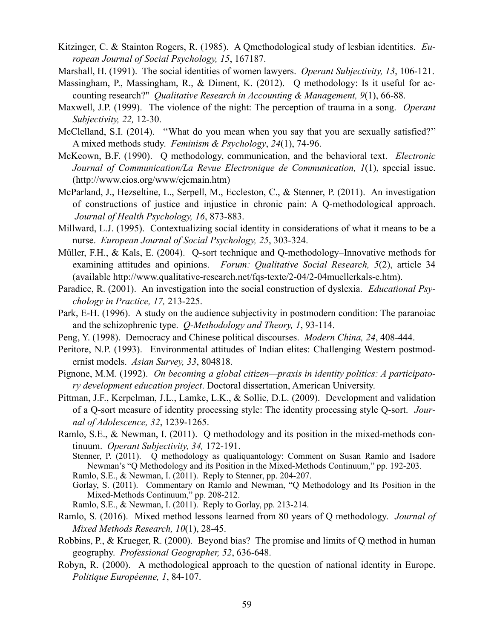- Kitzinger, C. & Stainton Rogers, R. (1985). A Qmethodological study of lesbian identities. *European Journal of Social Psychology, 15*, 167187.
- Marshall, H. (1991). The social identities of women lawyers. *Operant Subjectivity, 13*, 106-121.
- Massingham, P., Massingham, R., & Diment, K. (2012). Q methodology: Is it useful for accounting research?" *Qualitative Research in Accounting & Management, 9*(1), 66-88.
- Maxwell, J.P. (1999). The violence of the night: The perception of trauma in a song. *Operant Subjectivity, 22,* 12-30.
- McClelland, S.I. (2014). ''What do you mean when you say that you are sexually satisfied?'' A mixed methods study. *Feminism & Psychology*, *24*(1), 74-96.
- McKeown, B.F. (1990). Q methodology, communication, and the behavioral text. *Electronic Journal of Communication/La Revue Electronique de Communication, 1*(1), special issue. (<http://www.cios.org/www/ejcmain.htm>)
- McParland, J., Hezseltine, L., Serpell, M., Eccleston, C., & Stenner, P. (2011). An investigation of constructions of justice and injustice in chronic pain: A Q-methodological approach. *Journal of Health Psychology, 16*, 873-883.
- Millward, L.J. (1995). Contextualizing social identity in considerations of what it means to be a nurse. *European Journal of Social Psychology, 25*, 303-324.
- Müller, F.H., & Kals, E. (2004). Q-sort technique and Q-methodology–Innovative methods for examining attitudes and opinions. *Forum: Qualitative Social Research, 5*(2), article 34 (available<http://www.qualitative-research.net/fqs-texte/2-04/2-04muellerkals-e.htm>).
- Paradice, R. (2001). An investigation into the social construction of dyslexia. *Educational Psychology in Practice, 17,* 213-225.
- Park, E-H. (1996). A study on the audience subjectivity in postmodern condition: The paranoiac and the schizophrenic type. *Q-Methodology and Theory, 1*, 93-114.
- Peng, Y. (1998). Democracy and Chinese political discourses. *Modern China, 24*, 408-444.
- Peritore, N.P. (1993). Environmental attitudes of Indian elites: Challenging Western postmodernist models. *Asian Survey, 33*, 804818.
- Pignone, M.M. (1992). *On becoming a global citizen—praxis in identity politics: A participatory development education project*. Doctoral dissertation, American University.
- Pittman, J.F., Kerpelman, J.L., Lamke, L.K., & Sollie, D.L. (2009). Development and validation of a Q-sort measure of identity processing style: The identity processing style Q-sort. *Journal of Adolescence, 32*, 1239-1265.
- Ramlo, S.E., & Newman, I. (2011). Q methodology and its position in the mixed-methods continuum. *Operant Subjectivity, 34,* 172-191.
	- Stenner, P. (2011). Q methodology as qualiquantology: Comment on Susan Ramlo and Isadore Newman's "Q Methodology and its Position in the Mixed-Methods Continuum," pp. 192-203. Ramlo, S.E., & Newman, I. (2011). Reply to Stenner, pp. 204-207.
	- Gorlay, S. (2011). Commentary on Ramlo and Newman, "Q Methodology and Its Position in the Mixed-Methods Continuum," pp. 208-212.
	- Ramlo, S.E., & Newman, I. (2011). Reply to Gorlay, pp. 213-214.
- Ramlo, S. (2016). Mixed method lessons learned from 80 years of Q methodology. *Journal of Mixed Methods Research, 10*(1), 28-45.
- Robbins, P., & Krueger, R. (2000). Beyond bias? The promise and limits of Q method in human geography. *Professional Geographer, 52*, 636-648.
- Robyn, R. (2000). A methodological approach to the question of national identity in Europe. *Politique Européenne, 1*, 84-107.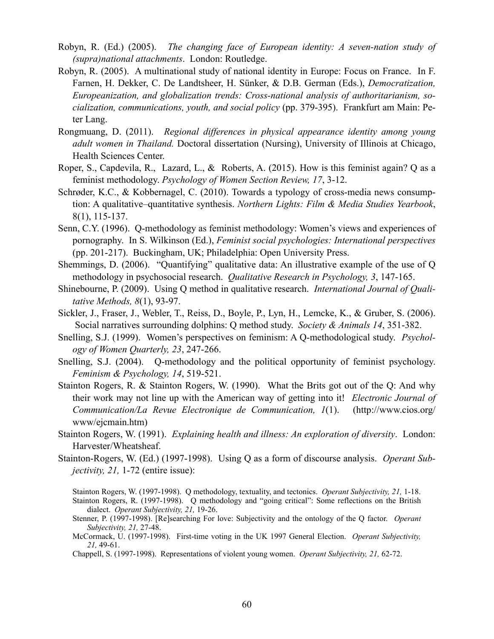- Robyn, R. (Ed.) (2005). *The changing face of European identity: A seven-nation study of (supra)national attachments*. London: Routledge.
- Robyn, R. (2005). A multinational study of national identity in Europe: Focus on France. In F. Farnen, H. Dekker, C. De Landtsheer, H. Sünker, & D.B. German (Eds.), *Democratization, Europeanization, and globalization trends: Cross-national analysis of authoritarianism, socialization, communications, youth, and social policy* (pp. 379-395). Frankfurt am Main: Peter Lang.
- Rongmuang, D. (2011). *[Regional differences in physical appearance identity among young](http://search.proquest.com.proxy.ohiolink.edu:9099/pqdt/docview/888197094/13411203190237569C0/14?accountid=12953)  [adult women in Thailand.](http://search.proquest.com.proxy.ohiolink.edu:9099/pqdt/docview/888197094/13411203190237569C0/14?accountid=12953)* Doctoral dissertation (Nursing), University of Illinois at Chicago, Health Sciences Center.
- Roper, S., Capdevila, R., Lazard, L., & Roberts, A. (2015). How is this feminist again? Q as a feminist methodology. *Psychology of Women Section Review, 17*, 3-12.
- Schrøder, K.C., & Kobbernagel, C. (2010). Towards a typology of cross-media news consumption: A qualitative–quantitative synthesis. *Northern Lights: Film & Media Studies Yearbook*, 8(1), 115-137.
- Senn, C.Y. (1996). Q-methodology as feminist methodology: Women's views and experiences of pornography. In S. Wilkinson (Ed.), *Feminist social psychologies: International perspectives* (pp. 201-217). Buckingham, UK; Philadelphia: Open University Press.
- Shemmings, D. (2006). "Quantifying" qualitative data: An illustrative example of the use of Q methodology in psychosocial research. *Qualitative Research in Psychology, 3*, 147-165.
- Shinebourne, P. (2009). Using Q method in qualitative research. *International Journal of Qualitative Methods, 8*(1), 93-97.
- Sickler, J., Fraser, J., Webler, T., Reiss, D., Boyle, P., Lyn, H., Lemcke, K., & Gruber, S. (2006). Social narratives surrounding dolphins: Q method study. *Society & Animals 14*, 351-382.
- Snelling, S.J. (1999). Women's perspectives on feminism: A Q-methodological study. *Psychology of Women Quarterly, 23*, 247-266.
- Snelling, S.J. (2004). Q-methodology and the political opportunity of feminist psychology. *Feminism & Psychology, 14*, 519-521.
- Stainton Rogers, R. & Stainton Rogers, W. (1990). What the Brits got out of the Q: And why their work may not line up with the American way of getting into it! *Electronic Journal of Communication/La Revue Electronique de Communication, 1*(1). (<http://www.cios.org/> www/ejcmain.htm)
- Stainton Rogers, W. (1991). *Explaining health and illness: An exploration of diversity*. London: Harvester/Wheatsheaf.
- Stainton-Rogers, W. (Ed.) (1997-1998). Using Q as a form of discourse analysis. *Operant Subjectivity, 21,* 1-72 (entire issue):

Stainton Rogers, W. (1997-1998). Q methodology, textuality, and tectonics. *Operant Subjectivity, 21,* 1-18. Stainton Rogers, R. (1997-1998). Q methodology and "going critical": Some reflections on the British dialect. *Operant Subjectivity, 21,* 19-26.

Stenner, P. (1997-1998). [Re]searching For love: Subjectivity and the ontology of the Q factor. *Operant Subjectivity, 21,* 27-48.

Chappell, S. (1997-1998). Representations of violent young women. *Operant Subjectivity, 21,* 62-72.

McCormack, U. (1997-1998). First-time voting in the UK 1997 General Election. *Operant Subjectivity, 21,* 49-61.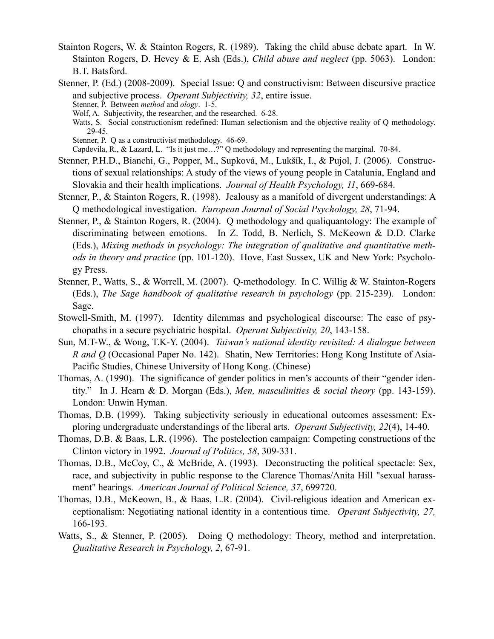Stainton Rogers, W. & Stainton Rogers, R. (1989). Taking the child abuse debate apart. In W. Stainton Rogers, D. Hevey & E. Ash (Eds.), *Child abuse and neglect* (pp. 5063). London: B.T. Batsford.

Stenner, P. (Ed.) (2008-2009). Special Issue: Q and constructivism: Between discursive practice and subjective process. *Operant Subjectivity, 32*, entire issue. Stenner, P. Between *method* and *ology*. 1-5.

- Wolf, A. Subjectivity, the researcher, and the researched. 6-28.
- Watts, S. Social constructionism redefined: Human selectionism and the objective reality of Q methodology. 29-45.
- Stenner, P. Q as a constructivist methodology. 46-69.

Capdevila, R., & Lazard, L. "Is it just me…?" Q methodology and representing the marginal. 70-84.

- Stenner, P.H.D., Bianchi, G., Popper, M., Supková, M., Lukšík, I., & Pujol, J. (2006). Constructions of sexual relationships: A study of the views of young people in Catalunia, England and Slovakia and their health implications. *Journal of Health Psychology, 11*, 669-684.
- Stenner, P., & Stainton Rogers, R. (1998). Jealousy as a manifold of divergent understandings: A Q methodological investigation. *European Journal of Social Psychology, 28*, 71-94.
- Stenner, P., & Stainton Rogers, R. (2004). Q methodology and qualiquantology: The example of discriminating between emotions. In Z. Todd, B. Nerlich, S. McKeown & D.D. Clarke (Eds.), *Mixing methods in psychology: The integration of qualitative and quantitative methods in theory and practice* (pp. 101-120). Hove, East Sussex, UK and New York: Psychology Press.
- Stenner, P., Watts, S., & Worrell, M. (2007). Q-methodology. In C. Willig & W. Stainton-Rogers (Eds.), *The Sage handbook of qualitative research in psychology* (pp. 215-239). London: Sage.
- Stowell-Smith, M. (1997). Identity dilemmas and psychological discourse: The case of psychopaths in a secure psychiatric hospital. *Operant Subjectivity, 20*, 143-158.
- Sun, M.T-W., & Wong, T.K-Y. (2004). *Taiwan's national identity revisited: A dialogue between R and Q* (Occasional Paper No. 142). Shatin, New Territories: Hong Kong Institute of Asia-Pacific Studies, Chinese University of Hong Kong. (Chinese)
- Thomas, A. (1990). The significance of gender politics in men's accounts of their "gender identity." In J. Hearn & D. Morgan (Eds.), *Men, masculinities & social theory* (pp. 143-159). London: Unwin Hyman.
- Thomas, D.B. (1999). Taking subjectivity seriously in educational outcomes assessment: Exploring undergraduate understandings of the liberal arts. *Operant Subjectivity, 22*(4), 14-40.
- Thomas, D.B. & Baas, L.R. (1996). The postelection campaign: Competing constructions of the Clinton victory in 1992. *Journal of Politics, 58*, 309-331.
- Thomas, D.B., McCoy, C., & McBride, A. (1993). Deconstructing the political spectacle: Sex, race, and subjectivity in public response to the Clarence Thomas/Anita Hill "sexual harassment" hearings. *American Journal of Political Science, 37*, 699720.
- Thomas, D.B., McKeown, B., & Baas, L.R. (2004). Civil-religious ideation and American exceptionalism: Negotiating national identity in a contentious time. *Operant Subjectivity, 27,* 166-193.
- Watts, S., & Stenner, P. (2005). Doing Q methodology: Theory, method and interpretation. *Qualitative Research in Psychology, 2*, 67-91.